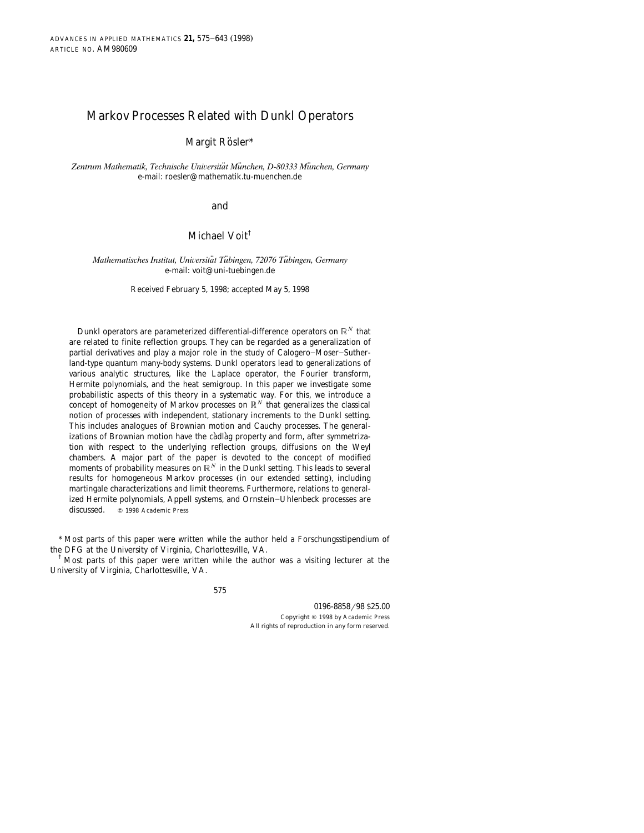# Markov Processes Related with Dunkl Operators

Margit Rösler\*

Zentrum Mathematik, Technische Universität München, D-80333 München, Germany e-mail: roesler@mathematik.tu-muenchen.de

and

# Michael Voit†

#### *Mathematisches Institut, Universität Tübingen, 72076 Tübingen, Germany* e-mail: voit@uni-tuebingen.de

#### Received February 5, 1998; accepted May 5, 1998

Dunkl operators are parameterized differential-difference operators on  $\mathbb{R}^N$  that are related to finite reflection groups. They can be regarded as a generalization of partial derivatives and play a major role in the study of Calogero-Moser-Sutherland-type quantum many-body systems. Dunkl operators lead to generalizations of various analytic structures, like the Laplace operator, the Fourier transform, Hermite polynomials, and the heat semigroup. In this paper we investigate some probabilistic aspects of this theory in a systematic way. For this, we introduce a concept of homogeneity of Markov processes on  $\mathbb{R}^N$  that generalizes the classical notion of processes with independent, stationary increments to the Dunkl setting. This includes analogues of Brownian motion and Cauchy processes. The generalizations of Brownian motion have the càdlàg property and form, after symmetrization with respect to the underlying reflection groups, diffusions on the Weyl chambers. A major part of the paper is devoted to the concept of modified moments of probability measures on  $\mathbb{R}^N$  in the Dunkl setting. This leads to several results for homogeneous Markov processes (in our extended setting), including martingale characterizations and limit theorems. Furthermore, relations to generalized Hermite polynomials, Appell systems, and Ornstein-Uhlenbeck processes are discussed.  $\otimes$  1998 Academic Press  $© 1998 Academic Press$ 

\* Most parts of this paper were written while the author held a Forschungsstipendium of the DFG at the University of Virginia, Charlottesville, VA.<br><sup>†</sup> Most parts of this paper were written while the author was a visiting lecturer at the

University of Virginia, Charlottesville, VA.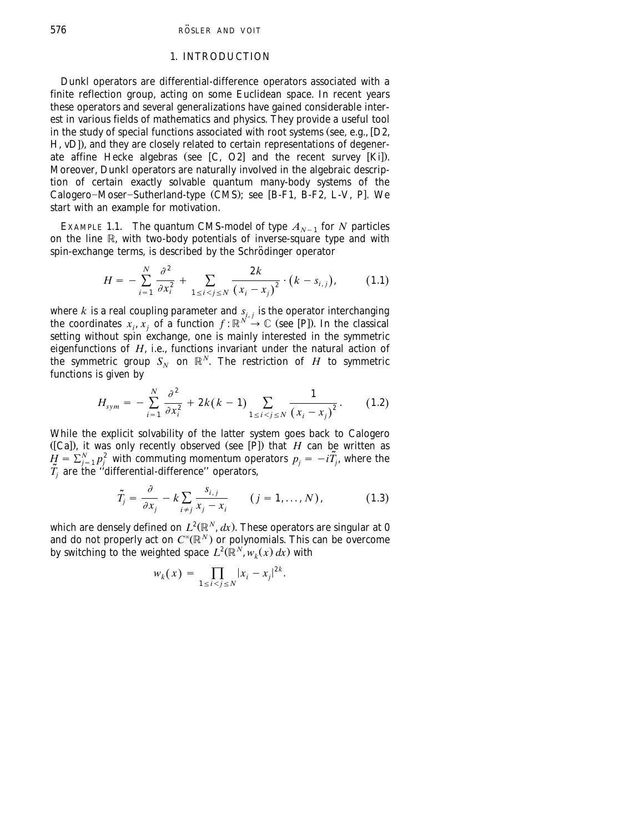## 1. INTRODUCTION

Dunkl operators are differential-difference operators associated with a finite reflection group, acting on some Euclidean space. In recent years these operators and several generalizations have gained considerable interest in various fields of mathematics and physics. They provide a useful tool in the study of special functions associated with root systems (see, e.g.,  $[D2,$  $H$ , [vD](#page-66-0)]), and they are closely related to certain representations of degener-ate affine Hecke algebras (see [C, [O2](#page-67-0)] and the recent survey [Ki]). Moreover, Dunkl operators are naturally involved in the algebraic descrip-tion of certain exactly solvable quantum many-body systems of the<br>Calogero–Moser–Sutherland-type (CMS); see [B-F1, B-F2, [L-V, P](#page-67-0)]. We start with an example for motivation.

EXAMPLE 1.1. The quantum CMS-model of type  $A_{N-1}$  for *N* particles on the line  $\mathbb R$ , with two-body potentials of inverse-square type and with spin-exchange terms, is described by the Schrödinger operator

$$
H = -\sum_{i=1}^{N} \frac{\partial^2}{\partial x_i^2} + \sum_{1 \le i < j \le N} \frac{2k}{(x_i - x_j)^2} \cdot (k - s_{i,j}), \tag{1.1}
$$

where *k* is a real coupling parameter and  $s_{i,j}$  is the operator interchanging the coordinates  $x_i, x_j$  of a function  $f: \mathbb{R}^N \to \mathbb{C}$  (see [P]). In the classical setting without spin exchange, one is mainly interested in the symmetric eigenfunctions of *H*, i.e., functions invariant under the natural action of the symmetric group  $S_N$  on  $\mathbb{R}^N$ . The restriction of *H* to symmetric functions is given by

$$
H_{sym} = -\sum_{i=1}^{N} \frac{\partial^2}{\partial x_i^2} + 2k(k-1) \sum_{1 \le i < j \le N} \frac{1}{(x_i - x_j)^2}.
$$
 (1.2)

While the explicit solvability of the latter system goes back to Calogero<br>([Ca]), it was only recently observed (see [P]) that *H* can be written as  $H = \sum_{j=1}^{N} p_j^2$  with commuting momentum operators  $p_j = -i\tilde{T}_j$ , where the  $\tilde{T}_j$  are the "differential-difference" operators,

$$
\tilde{T}_j = \frac{\partial}{\partial x_j} - k \sum_{i \neq j} \frac{s_{i,j}}{x_j - x_i} \qquad (j = 1, \dots, N), \qquad (1.3)
$$

which are densely defined on  $L^2(\mathbb{R}^N,dx)$ . These operators are singular at 0 and do not properly act on  $C^\infty(\mathbb{R}^N)$  or polynomials. This can be overcome by switching to the weighted space  $L^2(\mathbb{R}^N, w_k(x) dx)$  with

$$
w_k(x) = \prod_{1 \le i < j \le N} |x_i - x_j|^{2k}.
$$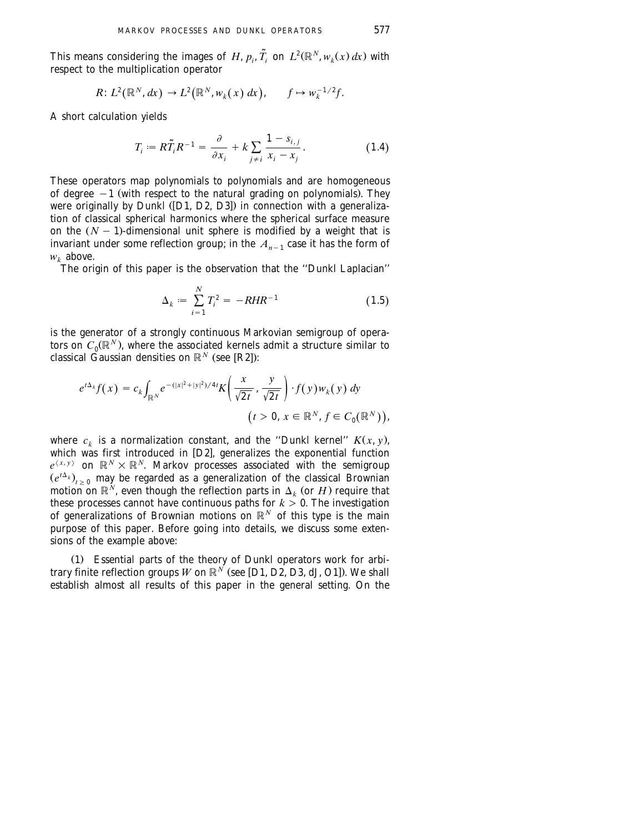This means considering the images of *H*,  $p_i$ ,  $\tilde{T}_i$  on  $L^2(\mathbb{R}^N, w_k(x) dx)$  with respect to the multiplication operator

$$
R: L^2(\mathbb{R}^N, dx) \to L^2(\mathbb{R}^N, w_k(x) dx), \qquad f \mapsto w_k^{-1/2}f.
$$

A short calculation yields

$$
T_i := R\widetilde{T}_i R^{-1} = \frac{\partial}{\partial x_i} + k \sum_{j \neq i} \frac{1 - s_{i,j}}{x_i - x_j}.
$$
 (1.4)

These operators map polynomials to polynomials and are homogeneous of degree  $-1$  (with respect to the natural grading on polynomials). They were originally by Dunkl ([D1, D2, D3]) in connection with a generalization of classical spherical harmonics where the spherical surface measure on the  $(N - 1)$ -dimensional unit sphere is modified by a weight that is invariant under some reflection group; in the  $\displaystyle A_{n-1}$  case it has the form of  $w_k$  above.

The origin of this paper is the observation that the ''Dunkl Laplacian''

$$
\Delta_k := \sum_{i=1}^N T_i^2 = -RHR^{-1} \tag{1.5}
$$

is the generator of a strongly continuous Markovian semigroup of operators on  $C_0(\mathbb{R}^N)$ , where the associated kernels admit a structure similar to classical Gaussian densities on  $\mathbb{R}^N$  (see [R2]):

$$
e^{t\Delta_k}f(x) = c_k \int_{\mathbb{R}^N} e^{-(|x|^2 + |y|^2)/4t} K\left(\frac{x}{\sqrt{2t}}, \frac{y}{\sqrt{2t}}\right) \cdot f(y) w_k(y) dy
$$
  

$$
(t > 0, x \in \mathbb{R}^N, f \in C_0(\mathbb{R}^N)),
$$

where  $c_k$  is a normalization constant, and the "Dunkl kernel"  $K(x, y)$ , which was first introduced in [D2], generalizes the exponential function  $e^{\langle x,y\rangle}$  on  $\mathbb{R}^N\times\mathbb{R}^N$ . Markov processes associated with the semigroup  $(e^{t\Delta_k})_{t\geq 0}$  may be regarded as a generalization of the classical Brownian  $\mathbf{A}\subset \mathbb{R}^N$  are though the reflection parts in  $\Delta_k$  (or  $H$ ) require that these processes cannot have continuous paths for  $k > 0$ . The investigation of generalizations of Brownian motions on  $\mathbb{R}^N$  of this type is the main purpose of this paper. Before going into details, we discuss some extensions of the example above:

(1) Essential parts of the theory of Dunkl operators work for arbi*trary finite reflection groups*  $W$  *on*  $\mathbb{R}^{N}$  *(see [D1, D2, D3, dJ, O1]). We shall* establish almost all results of this paper in the general setting. On the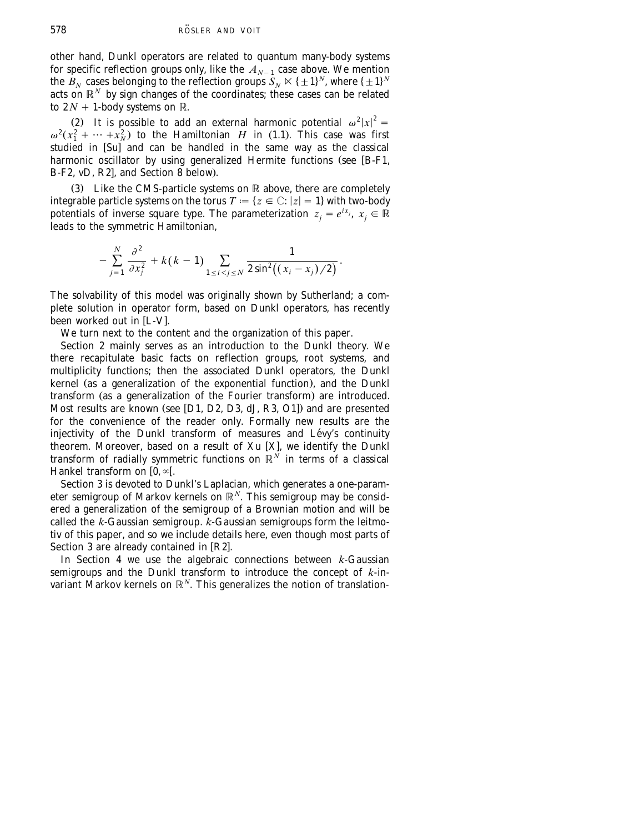other hand, Dunkl operators are related to quantum many-body systems for specific reflection groups only, like the  $A_{N-1}$  case above. We mention the  $B_N$  cases belonging to the reflection groups  $S_N \ltimes \{\pm 1\}^N$ , where  $\{\pm 1\}^N$ acts on  $\mathbb{R}^N$  by sign changes of the coordinates; these cases can be related to  $2N + 1$ -body systems on R.

(2) It is possible to add an external harmonic potential  $\omega^2 |x|^2 =$  $\omega^2(x_1^2 + \cdots + x_N^2)$  to the Hamiltonian *H* in (1.1). This case was first studied in  $\lceil \text{Sul} \rceil$  and can be handled in the same way as the classical harmonic oscillator by using generalized Hermite functions (see [B-F1,  $B-F2$ , vD, [R2](#page-67-0)], and [Section 8](#page-44-0) below).

(3) Like the CMS-particle systems on  $\mathbb R$  above, there are completely integrable particle systems on the torus  $T := \{ z \in \mathbb{C} : |z| = 1 \}$  with two-body potentials of inverse square type. The parameterization  $z_j = e^{ix_j}$ ,  $x_j \in \mathbb{R}$ leads to the symmetric Hamiltonian,

$$
-\sum_{j=1}^N \frac{\partial^2}{\partial x_j^2} + k(k-1) \sum_{1 \le i < j \le N} \frac{1}{2 \sin^2((x_i - x_j)/2)}.
$$

The solvability of this model was originally shown by Sutherland; a complete solution in operator form, based on Dunkl operators, has recently  $\overline{\mathbf{b}}$  been worked out in [L-V].

We turn next to the content and the organization of this paper.

[Section 2](#page-6-0) mainly serves as an introduction to the Dunkl theory. We there recapitulate basic facts on reflection groups, root systems, and multiplicity functions; then the associated Dunkl operators, the Dunkl kernel (as a generalization of the exponential function), and the Dunkl transform (as a generalization of the Fourier transform) are introduced. Most results are known (see [D1, D2, D3, dJ, [R3, O1](#page-67-0)]) and are presented for the convenience of the reader only. Formally new results are the injectivity of the Dunkl transform of measures and Lévy's continuity theorem. Moreover, based on a result of Xu [X], we identify the Dunkl transform of radially symmetric functions on  $\mathbb{R}^N$  in terms of a classical Hankel transform on  $[0, \infty)$ .

[Section 3](#page-13-0) is devoted to Dunkl's Laplacian, which generates a one-parameter semigroup of Markov kernels on  $\mathbb{R}^N$ . This semigroup may be considered a generalization of the semigroup of a Brownian motion and will be called the *k*-Gaussian semigroup. *k*-Gaussian semigroups form the leitmotiv of this paper, and so we include details here, even though most parts of [Section 3](#page-13-0) are already contained in  $[**R2**]$ .

In [Section 4](#page-16-0) we use the algebraic connections between *k*-Gaussian semigroups and the Dunkl transform to introduce the concept of *k*-invariant Markov kernels on  $\mathbb{R}^N$ . This generalizes the notion of translation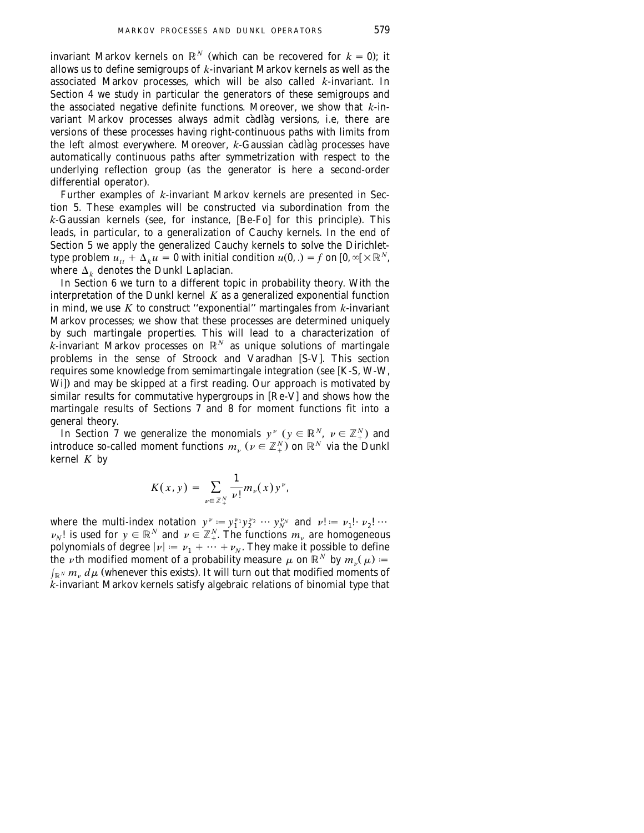invariant Markov kernels on  $\mathbb{R}^N$  (which can be recovered for  $k = 0$ ); it allows us to define semigroups of *k*-invariant Markov kernels as well as the associated Markov processes, which will be also called *k*-invariant. In [Section 4](#page-16-0) we study in particular the generators of these semigroups and the associated negative definite functions. Moreover, we show that *k*-invariant Markov processes always admit càdlàg versions, i.e, there are versions of these processes having right-continuous paths with limits from the left almost everywhere. Moreover, *k-*Gaussian càdlàg processes have automatically continuous paths after symmetrization with respect to the underlying reflection group (as the generator is here a second-order differential operator).

Further examples of *k*-invariant Markov kernels are presented in Sec[tion 5.](#page-24-0) These examples will be constructed via subordination from the  $k$ -Gaussian kernels (see, for instance,  $[Be-Fo]$  for this principle). This leads, in particular, to a generalization of Cauchy kernels. In the end of [Section 5](#page-24-0) we apply the generalized Cauchy kernels to solve the Dirichlettype problem  $u_{tt} + \Delta_k u = 0$  with initial condition  $u(0, .) = f$  on  $[0, \infty] \times \mathbb{R}^N$ , where  $\Delta_k$  denotes the Dunkl Laplacian.

In [Section 6](#page-29-0) we turn to a different topic in probability theory. With the interpretation of the Dunkl kernel *K* as a generalized exponential function in mind, we use *K* to construct ''exponential'' martingales from *k*-invariant Markov processes; we show that these processes are determined uniquely by such martingale properties. This will lead to a characterization of *k*-invariant Markov processes on  $\mathbb{R}^N$  as unique solutions of martingale problems in the sense of Stroock and Varadhan [S-V]. This section requires some knowledge from semimartingale integration (see [K-S, [W-W,](#page-68-0)  $W<sub>i</sub>$ ) and may be skipped at a first reading. Our approach is motivated by  $\frac{1}{2}$  similar results for commutative hypergroups in  $[Re-V]$  and shows how the martingale results of Sections  $\overline{7}$  and  $\overline{8}$  for moment functions fit into a general theory.

In [Section 7](#page-34-0) we generalize the monomials  $y^{\nu}$  ( $y \in \mathbb{R}^{N}$ ,  $\nu \in \mathbb{Z}_{+}^{N}$ ) and introduce so-called moment functions  $m_{\nu}$  ( $\nu \in \mathbb{Z}_{+}^{N}$ ) on  $\mathbb{R}^{N}$  via the Dunkl kernel *K* by

$$
K(x, y) = \sum_{\nu \in \mathbb{Z}_+^N} \frac{1}{\nu!} m_{\nu}(x) y^{\nu},
$$

where the multi-index notation  $y^{\nu} := y_1^{\nu_1} y_2^{\nu_2} \cdots y_N^{\nu_N}$  and  $\nu! := \nu_1! \cdot \nu_2! \cdots$  $\nu_N$ ! is used for  $y \in \mathbb{R}^N$  and  $\nu \in \mathbb{Z}_+^N$ . The functions  $m_\nu$  are homogeneous polynomials of degree  $|\nu| := \nu_1 + \cdots + \nu_N$ . They make it possible to define the  $\nu$ th modified moment of a probability measure  $\mu$  on  $\mathbb{R}^N$  by  $m_{\nu}(\mu) =$  $\int_{\mathbb R^N} m_{\nu} \ d\mu$  (whenever this exists). It will turn out that modified moments of *k*-invariant Markov kernels satisfy algebraic relations of binomial type that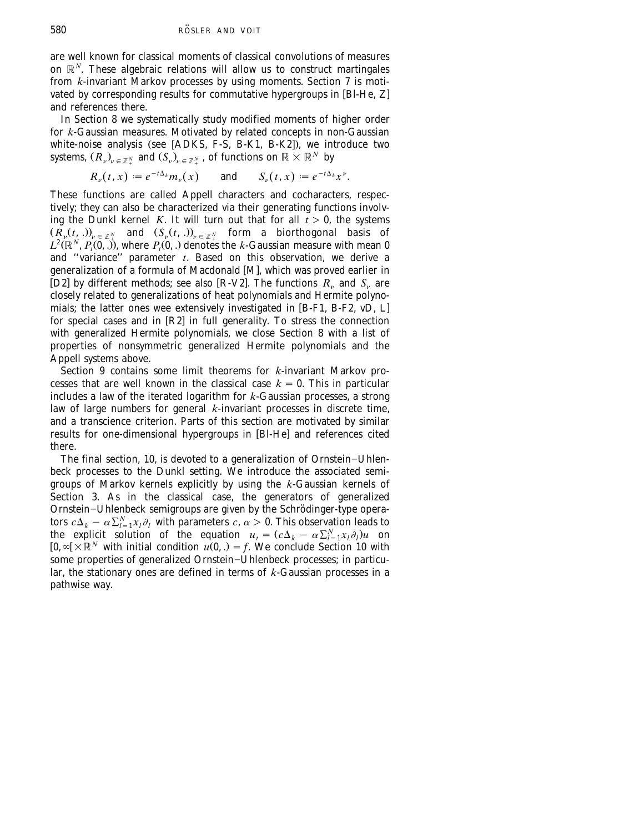are well known for classical moments of classical convolutions of measures on  $\mathbb{R}^N$ . These algebraic relations will allow us to construct martingales from *k*-invariant Markov processes by using moments. [Section 7](#page-34-0) is motivated by corresponding results for commutative hypergroups in [BI-He,  $Z$ ] and references there.

In [Section 8](#page-44-0) we systematically study modified moments of higher order for *k-*Gaussian measures. Motivated by related concepts in non-Gaussian<br>white-noise analysis (see [ADKS, [F-S,](#page-67-0) B-K1, B-K2]), we introduce two systems,  $(R_{_\nu})_{_\nu}\in$   $_{\mathbb{Z}}$   $_{\mathbb{Y}}$  and  $(S_{_\nu})_{_\nu}\in$   $_{\mathbb{Z}}$   $_{\mathbb{Y}}$  , of functions on  $\mathbb{R}\times\mathbb{R}^N$  by

$$
R_{\nu}(t,x) := e^{-t\Delta_k} m_{\nu}(x) \quad \text{and} \quad S_{\nu}(t,x) := e^{-t\Delta_k} x^{\nu}.
$$

These functions are called Appell characters and cocharacters, respectively; they can also be characterized via their generating functions involving the Dunkl kernel  $K$ . It will turn out that for all  $t > 0$ , the systems  $(R_\nu(t,.)_\nu)_{\varepsilon \in \mathbb{Z}_+^N}$  and  $(S_\nu(t,.)_\nu)_{\varepsilon \in \mathbb{Z}_+^N}$  form a biorthogonal basis of  $L^2(\mathbb{R}^N, P_t(0,.))$ , where  $P_t(0,.)$  denotes the *k*-Gaussian measure with mean 0 and "variance" parameter *t*. Based on this observation, we derive a<br>generalization of a formula of [M](#page-67-0)acdonald [M], which was proved earlier in [[D2](#page-66-0)] by different methods; see also [R-V2]. The functions  $R_v$  and  $S_v$  are closely related to generalizations of heat polynomials and Hermite polyno-<br>mials; the latter ones wee extensively investigated in [B-F1, B-F2, vD, L] for special cases and in [R2] in full generality. To stress the connection with generalized Hermite polynomials, we close [Section 8](#page-44-0) with a list of properties of nonsymmetric generalized Hermite polynomials and the Appell systems above.

[Section 9](#page-55-0) contains some limit theorems for *k*-invariant Markov processes that are well known in the classical case  $k = 0$ . This in particular includes a law of the iterated logarithm for *k*-Gaussian processes, a strong law of large numbers for general *k*-invariant processes in discrete time, and a transcience criterion. Parts of this section are motivated by similar results for one-dimensional hypergroups in [Bl-He] and references cited there.

The final section, 10, is devoted to a generalization of Ornstein-Uhlenbeck processes to the Dunkl setting. We introduce the associated semigroups of Markov kernels explicitly by using the *k*-Gaussian kernels of [Section 3.](#page-13-0) As in the classical case, the generators of generalized Ornstein–Uhlenbeck semigroups are given by the Schrödinger-type operators  $c\Delta_k - \alpha \sum_{l=1}^N x_l \partial_l$  with parameters  $c, \alpha > 0$ . This observation leads to the explicit solution of the equation  $u_t = (c\Delta_k - \alpha \sum_{l=1}^N x_l \partial_l)u$  on  $[0, \infty] \times \mathbb{R}^N$  with initial condition  $u(0, .) = f$ . We conclude [Section 10](#page-61-0) with some properties of generalized Ornstein-Uhlenbeck processes; in particular, the stationary ones are defined in terms of *k*-Gaussian processes in a pathwise way.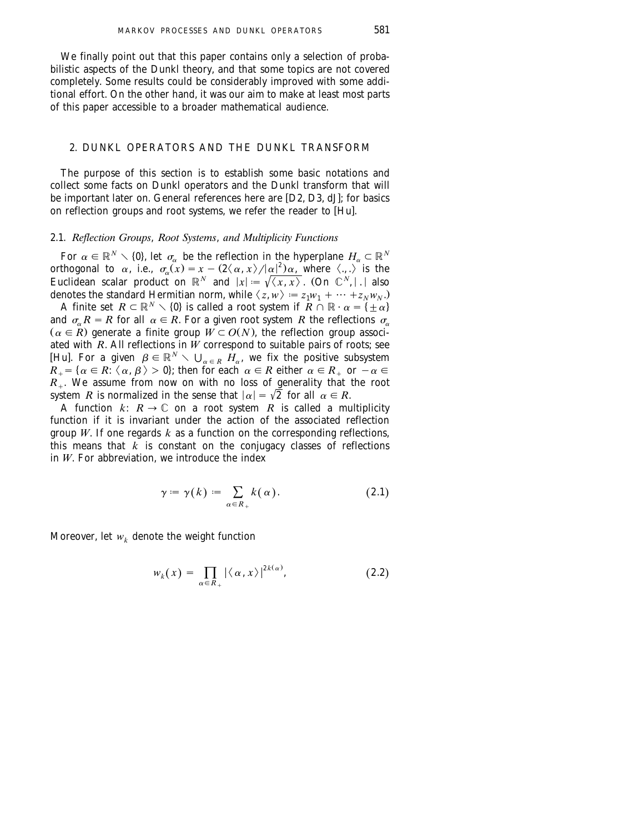<span id="page-6-0"></span>We finally point out that this paper contains only a selection of probabilistic aspects of the Dunkl theory, and that some topics are not covered completely. Some results could be considerably improved with some additional effort. On the other hand, it was our aim to make at least most parts of this paper accessible to a broader mathematical audience.

## 2. DUNKL OPERATORS AND THE DUNKL TRANSFORM

The purpose of this section is to establish some basic notations and collect some facts on Dunkl operators and the Dunkl transform that will be important later on. General references here are [D2, D3, [dJ](#page-67-0)]; for basics on reflection groups and root systems, we refer the reader to [Hu].

## 2.1. *Reflection Groups*, *Root Systems*, *and Multiplicity Functions*

For  $\alpha \in \mathbb{R}^N \setminus \{0\}$ , let  $\sigma_{\alpha}$  be the reflection in the hyperplane  $H_{\alpha} \subset \mathbb{R}^N$ orthogonal to  $\alpha$ , i.e.,  $\sigma_{\alpha}(x) = x - (2\langle \alpha, x \rangle / |\alpha|^2) \alpha$ , where  $\langle ., . \rangle$  is the Euclidean scalar product on  $\mathbb{R}^N$  and  $|x| := \sqrt{\langle x, x \rangle}$ . (On  $\mathbb{C}^N, |x|$  also denotes the standard Hermitian norm, while  $\langle z, w \rangle := z_1 w_1 + \cdots + z_N w_N$ .

A finite set  $R \subset \mathbb{R}^N \setminus \{0\}$  is called a root system if  $R \cap \mathbb{R} \cdot \alpha = \{\pm \alpha\}$ and  $\sigma_{\alpha}R = R$  for all  $\alpha \in R$ . For a given root system R the reflections  $\sigma_{\alpha}$  $(\alpha \in \mathbb{R})$  generate a finite group  $W \subset O(N)$ , the reflection group associated with  $R$ . All reflections in  $\hat{W}$  correspond to suitable pairs of roots; see [Hu]. For a given  $\beta \in \mathbb{R}^N \setminus \bigcup_{\alpha \in R} H_\alpha$ , [w](#page-67-0)e fix the positive subsystem  $R_+ = \{\alpha \in R: \langle \alpha, \beta \rangle > 0\}$ ; then for each  $\alpha \in R$  either  $\alpha \in R_+$  or  $-\alpha \in R_+$  $R_{+}$ . We assume from now on with no loss of generality that the root system *R* is normalized in the sense that  $|\alpha| = \sqrt{2}$  for all  $\alpha \in R$ .

A function  $k: R \to \mathbb{C}$  on a root system R is called a multiplicity function if it is invariant under the action of the associated reflection group *W*. If one regards  $k$  as a function on the corresponding reflections, this means that  $\tilde{k}$  is constant on the conjugacy classes of reflections in  $W$ . For abbreviation, we introduce the index

$$
\gamma := \gamma(k) := \sum_{\alpha \in R_+} k(\alpha). \tag{2.1}
$$

Moreover, let  $w_k$  denote the weight function

$$
w_k(x) = \prod_{\alpha \in R_+} |\langle \alpha, x \rangle|^{2k(\alpha)}, \qquad (2.2)
$$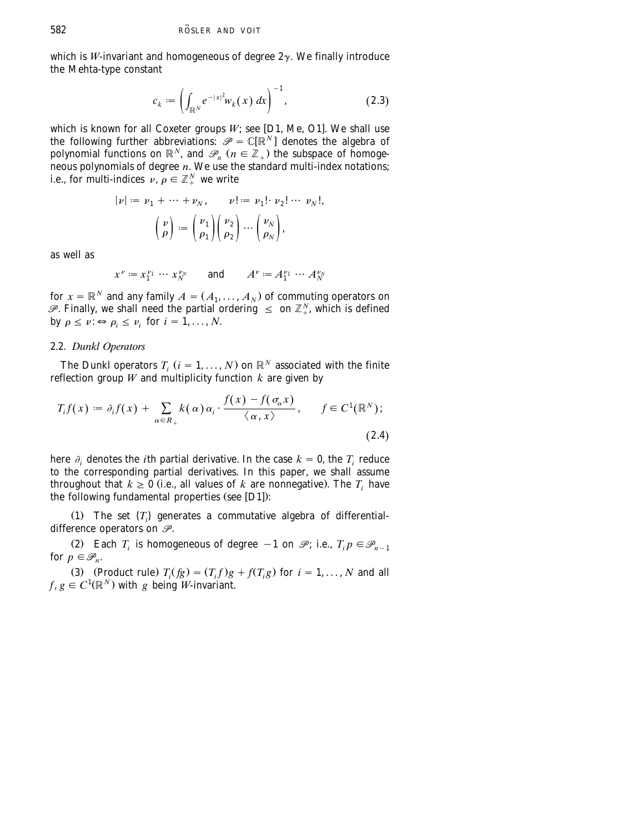<span id="page-7-0"></span>which is *W*-invariant and homogeneous of degree  $2\gamma$ . We finally introduce the Mehta-type constant

$$
c_k := \left(\int_{\mathbb{R}^N} e^{-|x|^2} w_k(x) \, dx\right)^{-1},\tag{2.3}
$$

which is known for all Coxeter groups  $W$ ; see [D1, Me, O1]. We shall use the following further abbreviations:  $\mathcal{P} = \mathbb{C}[\mathbb{R}^N]$  denotes the algebra of polynomial functions on  $\mathbb{R}^N$ , and  $\mathscr{P}_n$  ( $n \in \mathbb{Z}_+$ ) the subspace of homogeneous polynomials of degree *n*. We use the standard multi-index notations; i.e., for multi-indices  $\nu, \rho \in \mathbb{Z}_{+}^{N}$  we write

$$
\begin{aligned} |\nu| &:= \nu_1 + \cdots + \nu_N, \qquad \nu! := \nu_1! \cdot \nu_2! \cdots \nu_N!, \\ \begin{pmatrix} \nu \\ \rho \end{pmatrix} &:= \begin{pmatrix} \nu_1 \\ \rho_1 \end{pmatrix} \begin{pmatrix} \nu_2 \\ \rho_2 \end{pmatrix} \cdots \begin{pmatrix} \nu_N \\ \rho_N \end{pmatrix}, \end{aligned}
$$

as well as

$$
x^{\nu} := x_1^{\nu_1} \cdots x_N^{\nu_N}
$$
 and  $A^{\nu} := A_1^{\nu_1} \cdots A_N^{\nu_N}$ 

for  $x = \mathbb{R}^N$  and any family  $A = (A_1, \ldots, A_N)$  of commuting operators on  $\mathscr{P}$ . Finally, we shall need the partial ordering  $\leq$  on  $\mathbb{Z}_+^N$ , which is defined by  $\rho \leq \nu : \Leftrightarrow \rho_i \leq \nu_i$  for  $i = 1, ..., N$ .

### 2.2. *Dunkl Operators*

The Dunkl operators  $T_i$  ( $i = 1, ..., N$ ) on  $\mathbb{R}^N$  associated with the finite reflection group  $W$  and multiplicity function  $k$  are given by

$$
T_i f(x) := \partial_i f(x) + \sum_{\alpha \in R_+} k(\alpha) \alpha_i \cdot \frac{f(x) - f(\sigma_\alpha x)}{\langle \alpha, x \rangle}, \qquad f \in C^1(\mathbb{R}^N);
$$
\n(2.4)

here  $\partial_i$  denotes the *i*th partial derivative. In the case  $k = 0$ , the  $T_i$  reduce to the corresponding partial derivatives. In this paper, we shall assume throughout that  $k \geq 0$  (i.e., all values of k are nonnegative). The *T* have the following fundamental properties (see [D1]):

(1) The set  $\{T_i\}$  generates a commutative algebra of differentialdifference operators on *P*.

(2) Each *T<sub>i</sub>* is homogeneous of degree  $-1$  on  $\mathscr{P}$ ; i.e.,  $T_i p \in \mathscr{P}_{n-1}$ for  $p \in \mathcal{P}_n$ .

(3) (Product rule)  $T_i(fg) = (T_i f)g + f(T_i g)$  for  $i = 1, ..., N$  and all  $f, g \in C^1(\mathbb{R}^N)$  with *g* being *W*-invariant.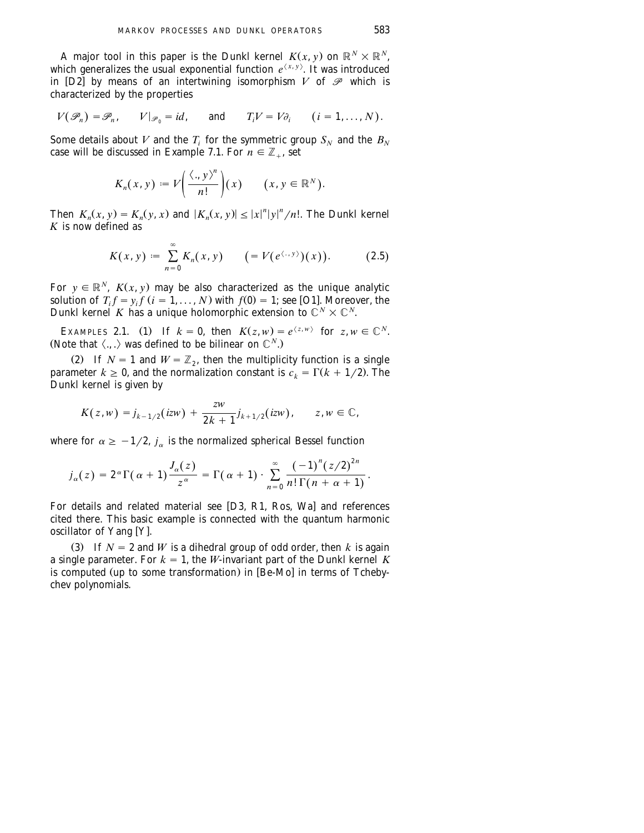A major tool in this paper is the Dunkl kernel  $K(x, y)$  on  $\mathbb{R}^N \times \mathbb{R}^N$ , which generalizes the usual exponential function  $e^{ \langle x, y \rangle}$ . It was introduced in  $[D2]$  by means of an intertwining isomorphism V of  $\mathscr P$  which is characterized by the properties

$$
V(\mathscr{P}_n) = \mathscr{P}_n, \qquad V|_{\mathscr{P}_0} = id, \qquad \text{and} \qquad T_i V = V \partial_i \qquad (i = 1, \dots, N).
$$

Some details about *V* and the *T<sub>i</sub>* for the symmetric group  $S_N$  and the  $B_N$ case will be discussed in Example 7.1. For  $n \in \mathbb{Z}_+$ , set

$$
K_n(x, y) := V\bigg(\frac{\langle ., y \rangle^n}{n!}\bigg)(x) \qquad (x, y \in \mathbb{R}^N).
$$

Then  $K_n(x, y) = K_n(y, x)$  and  $|K_n(x, y)| \le |x|^n |y|^n/n!$ . The Dunkl kernel *K* is now defined as

$$
K(x, y) := \sum_{n=0}^{\infty} K_n(x, y) \qquad \big(= V(e^{\langle \ldots y \rangle})(x)\big).
$$
 (2.5)

For  $y \in \mathbb{R}^N$ ,  $K(x, y)$  may be also characterized as the unique analytic solution of  $T_i f = y_i f$   $(i = 1, ..., N)$  with  $f(0) = 1$ ; see [O1]. Moreover, the Dunkl kernel *K* has a unique holomorphic extension to  $\mathbb{C}^N \times \mathbb{C}^N$ .

EXAMPLES 2.1. (1) If  $k = 0$ , then  $K(z, w) = e^{\langle z, w \rangle}$  for  $z, w \in \mathbb{C}^N$ . (Note that  $\langle ... \rangle$  was defined to be bilinear on  $\mathbb{C}^N$ .)

(2) If  $N = 1$  and  $W = \mathbb{Z}_2$ , then the multiplicity function is a single parameter  $k \geq 0$ , and the normalization constant is  $c_k = \Gamma(k + 1/2)$ . The Dunkl kernel is given by

$$
K(z,w) = j_{k-1/2}(izw) + \frac{zw}{2k+1}j_{k+1/2}(izw), \qquad z, w \in \mathbb{C},
$$

where for  $\alpha \geq -1/2$ , *j<sub>a</sub>* is the normalized spherical Bessel function

$$
j_{\alpha}(z)=2^{\alpha}\Gamma(\alpha+1)\frac{J_{\alpha}(z)}{z^{\alpha}}=\Gamma(\alpha+1)\cdot\sum_{n=0}^{\infty}\frac{(-1)^{n}(z/2)^{2n}}{n!\,\Gamma(n+\alpha+1)}.
$$

For details and related material see [D3, [R1, Ros,](#page-67-0) [Wa](#page-68-0)] and references cited there. This basic example is connected with the quantum harmonic oscillator of [Y](#page-68-0)ang [Y].

(3) If  $N = 2$  and *W* is a dihedral group of odd order, then *k* is again a single parameter. For  $k = 1$ , the *W*-invariant part of the Dunkl kernel *K* is computed (up to some transformation) in [Be-Mo] in terms of Tchebychev polynomials.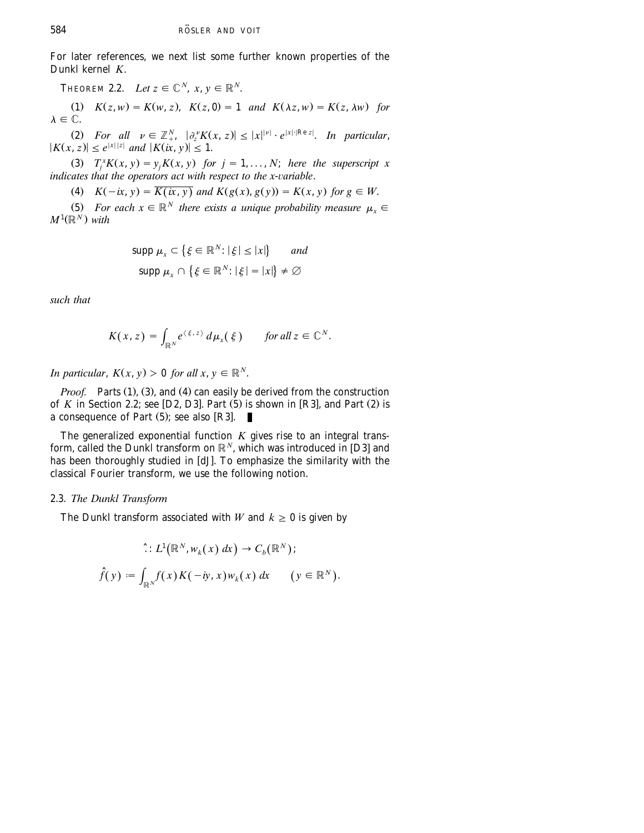For later references, we next list some further known properties of the Dunkl kernel *K*.

THEOREM 2.2. Let  $z \in \mathbb{C}^N$ ,  $x, y \in \mathbb{R}^N$ .

(1)  $K(z, w) = K(w, z), K(z, 0) = 1$  *and*  $K(\lambda z, w) = K(z, \lambda w)$  for  $\lambda \in \mathbb{C}$ .

(2) For all  $\nu \in \mathbb{Z}_+^N$ ,  $|\partial_\tau^{\nu} K(x, z)| \leq |x|^{\nu} \cdot e^{|x| \cdot |\text{Re } z|}$ . In particular,  $|K(x, z)| \leq e^{|x||z|}$  and  $|K(ix, y)| \leq 1$ .

(3)  $T_i^X K(x, y) = y_i K(x, y)$  for  $j = 1, ..., N$ ; here the superscript x *indicates that the operators act with respect to the x-variable.* 

(4)  $K(-ix, y) = \overline{K(ix, y)}$  and  $K(g(x), g(y)) = K(x, y)$  for  $g \in W$ .

(5) *For each*  $x \in \mathbb{R}^N$  *there exists a unique probability measure*  $\mu_x \in$  $M^1(\mathbb{R}^N)$  with

$$
\text{supp } \mu_x \subset \{ \xi \in \mathbb{R}^N : |\xi| \le |x| \} \quad \text{and}
$$
\n
$$
\text{supp } \mu_x \cap \{ \xi \in \mathbb{R}^N : |\xi| = |x| \} \neq \emptyset
$$

*such that*

$$
K(x, z) = \int_{\mathbb{R}^N} e^{\langle \xi, z \rangle} d\mu_x(\xi) \quad \text{for all } z \in \mathbb{C}^N.
$$

*In particular,*  $K(x, y) > 0$  *for all x, y*  $\in \mathbb{R}^N$ .

*Proof.* Parts (1), (3), and (4) can easily be derived from the construction of  $K$  in [Section 2.2;](#page-7-0) see [D2, D3]. Part  $(5)$  is shown in [R3], and Part  $(2)$  is a consequence of Part  $(5)$ ; see also [R3].

The generalized exponential function *K* gives rise to an integral transform, called the Dunkl transform on  $\mathbb{R}^N$ , which was introduced in [D3] and has been thoroughly studied in [dJ]. To emphasize the similarity with the classical Fourier transform, we use the following notion.

### 2.3. *The Dunkl Transform*

The Dunkl transform associated with *W* and  $k \ge 0$  is given by

$$
\hat{\cdot}: L^1(\mathbb{R}^N, w_k(x) dx) \to C_b(\mathbb{R}^N);
$$
  

$$
\hat{f}(y) := \int_{\mathbb{R}^N} f(x)K(-iy, x)w_k(x) dx \qquad (y \in \mathbb{R}^N).
$$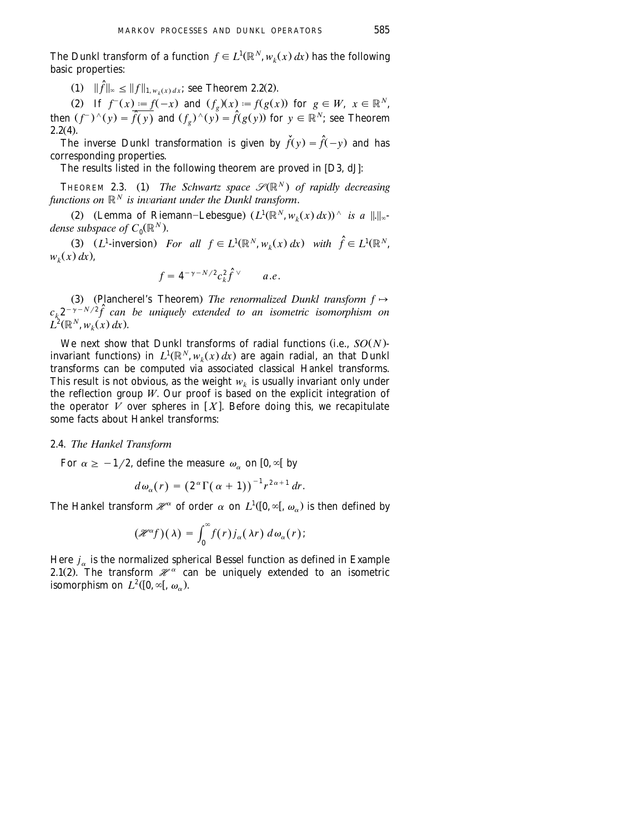The Dunkl transform of a function  $f \in L^1(\mathbb{R}^N, w_k(x) dx)$  has the following basic properties:

 $(1)$   $\|\hat{f}\|_{\infty} \leq \|f\|_{1, w_k(x) dx}$ ; see Theorem 2.2(2).

(2) If  $f^{-}(x) := f(-x)$  and  $(f_{g})(x) := f(g(x))$  for  $g \in W$ ,  $x \in \mathbb{R}^{N}$ , then  $(f^-)^\wedge(y) = \overline{\hat{f}(y)}$  and  $(f_g)^\wedge(y) = \hat{f}(g(y))$  for  $y \in \mathbb{R}^N$ ; see Theorem  $2.2(4)$ .

The inverse Dunkl transformation is given by  $\tilde{f}(y) = \hat{f}(-y)$  and has corresponding properties.

The results listed in the following theorem are proved in  $[D3, dJ]$  $[D3, dJ]$  $[D3, dJ]$ :

**THEOREM 2.3.** (1) The Schwartz space  $\mathcal{S}(\mathbb{R}^N)$  of rapidly decreasing *functions on*  $\mathbb{R}^N$  *is invariant under the Dunkl transform.* 

(2) (Lemma of Riemann–Lebesgue)  $(L^1(\mathbb{R}^N, w_k(x) dx))^{\wedge}$  is a  $\|.\|_{\infty}$ *dense subspace of*  $C_0(\mathbb{R}^N)$ .

1 1 (3)  $(L^1$ -inversion) For all  $f \in L^1(\mathbb{R}^N, w_k(x) dx)$  with  $\hat{f} \in L^1(\mathbb{R}^N,$  $w_k(x) dx$ .

$$
f = 4^{-\gamma - N/2} c_k^2 \hat{f}^\vee \qquad a.e.
$$

(3) (Plancherel's Theorem) *The renormalized Dunkl transform*  $f \mapsto$  $c_k 2^{-\gamma-N/2} \widehat{f}$  can be uniquely extended to an isometric isomorphism on  $L^2(\mathbb{R}^N, w_k(x) dx)$ .

We next show that Dunkl transforms of radial functions (i.e.,  $SO(N)$ invariant functions) in  $L^1(\mathbb{R}^N, w_k(x) dx)$  are again radial, an that Dunkl transforms can be computed via associated classical Hankel transforms. This result is not obvious, as the weight  $w_k$  is usually invariant only under the reflection group *W*. Our proof is based on the explicit integration of the operator  $\tilde{V}$  over spheres in [X]. Before doing this, we recapitulate some facts about Hankel transforms:

### 2.4. *The Hankel Transform*

For  $\alpha \geq -1/2$ , define the measure  $\omega_{\alpha}$  on  $[0, \infty)$  by

$$
d\omega_{\alpha}(r) = (2^{\alpha}\Gamma(\alpha+1))^{-1}r^{2\alpha+1} dr.
$$

The Hankel transform  $\mathcal{H}^{\alpha}$  of order  $\alpha$  on  $L^{1}([0,\infty[, \omega_{\alpha})$  is then defined by

$$
(\mathcal{H}^{\alpha}f)(\lambda) = \int_0^{\infty} f(r) j_{\alpha}(\lambda r) d\omega_{\alpha}(r);
$$

Here  $j_{\alpha}$  is the normalized spherical Bessel function as defined in Example 2.1(2). The transform  $\mathcal{H}^{\alpha}$  can be uniquely extended to an isometric isomorphism on  $L^2([0, \infty[, \omega_\alpha)$ .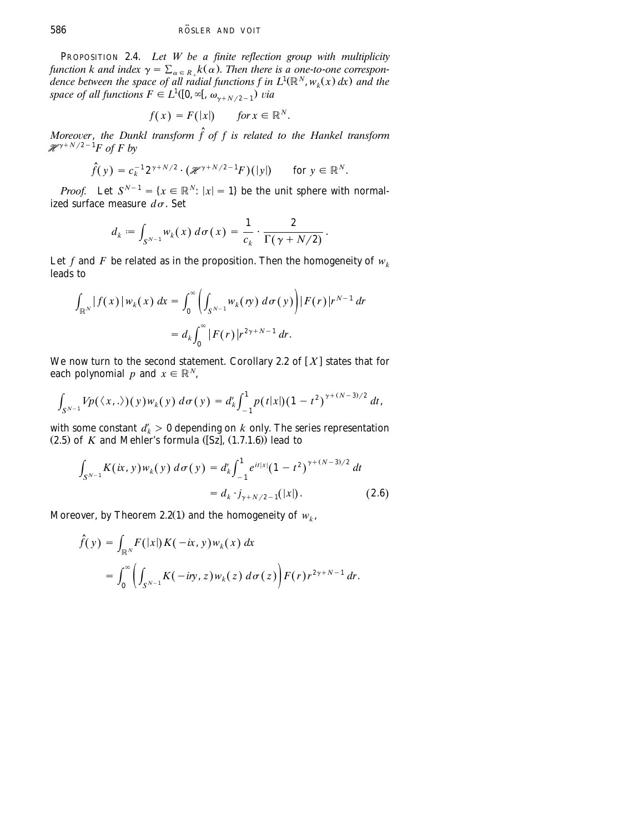PROPOSITION 2.4. *Let W be a finite reflection group with multiplicity function k and index*  $\gamma = \sum_{\alpha \in R_+} k(\alpha)$ . *Then there is a one-to-one correspon*dence between the space of all radial functions f in  $L^1(\mathbb{R}^N, w_k(x) dx)$  and the space of all functions  $F \in L^1([0, \infty[, \omega_{\gamma+N/2-1})$  via

$$
f(x) = F(|x|) \quad \text{for } x \in \mathbb{R}^N.
$$

*Moreover, the Dunkl transform*  $\hat{f}$  *of f is related to the Hankel transform*  $\mathcal{H}^{\gamma+N/2-1}F$  of F by

$$
\widehat{f}(y) = c_k^{-1} 2^{\gamma + N/2} \cdot (\mathscr{H}^{\gamma + N/2 - 1} F)(|y|) \quad \text{for } y \in \mathbb{R}^N.
$$

*Proof.* Let  $S^{N-1} = \{x \in \mathbb{R}^N : |x| = 1\}$  be the unit sphere with normalized surface measure  $d\sigma$ . Set

$$
d_k := \int_{S^{N-1}} w_k(x) d\sigma(x) = \frac{1}{c_k} \cdot \frac{2}{\Gamma(\gamma + N/2)}.
$$

Let *f* and *F* be related as in the proposition. Then the homogeneity of  $w_k$ leads to

$$
\int_{\mathbb{R}^N} |f(x)| w_k(x) dx = \int_0^{\infty} \left( \int_{S^{N-1}} w_k(y) d\sigma(y) \right) |F(r)| r^{N-1} dr
$$
  
=  $d_k \int_0^{\infty} |F(r)| r^{2\gamma + N - 1} dr$ .

We now turn to the second statement. Corollary 2.2 of  $[X]$  states that for each polynomial *p* and  $x \in \mathbb{R}^N$ ,

$$
\int_{S^{N-1}} V p(\langle x,.\rangle)(y) w_k(y) d\sigma(y) = d'_k \int_{-1}^1 p(t|x|) (1-t^2)^{\gamma + (N-3)/2} dt,
$$

with some constant  $d'_k > 0$  depending on  $k$  only. The series representation  $(2.5)$  of *K* and Mehler's formula  $(Sz]$ ,  $(1.7.1.6)$  lead to

$$
\int_{S^{N-1}} K(ix, y) w_k(y) d\sigma(y) = d'_k \int_{-1}^1 e^{it|x|} (1 - t^2)^{\gamma + (N-3)/2} dt
$$
  
=  $d_k \cdot j_{\gamma + N/2 - 1}(|x|).$  (2.6)

Moreover, by Theorem 2.2(1) and the homogeneity of  $w_k$ ,

$$
\hat{f}(y) = \int_{\mathbb{R}^N} F(|x|) K(-ix, y) w_k(x) dx
$$
  
= 
$$
\int_0^{\infty} \left( \int_{S^{N-1}} K(-iny, z) w_k(z) d\sigma(z) \right) F(r) r^{2\gamma + N - 1} dr.
$$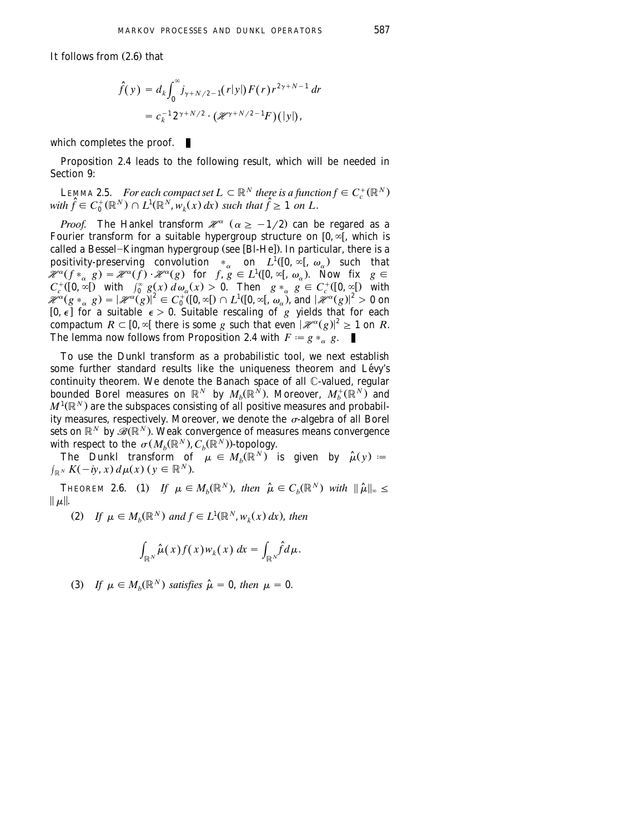It follows from  $(2.6)$  that

$$
\hat{f}(y) = d_k \int_0^{\infty} j_{\gamma + N/2 - 1}(r|y|) F(r) r^{2\gamma + N - 1} dr
$$
  
=  $c_k^{-1} 2^{\gamma + N/2} \cdot (\mathcal{H}^{\gamma + N/2 - 1} F)(|y|),$ 

which completes the proof.  $\blacksquare$ 

Proposition 2.4 leads to the following result, which will be needed in [Section 9:](#page-55-0)

**LEMMA 2.5.** *For each compact set*  $L \subset \mathbb{R}^N$  *there is a function*  $f \in C_c^+(\mathbb{R}^N)$ *with*  $\hat{f} \in C_0^+(\mathbb{R}^N) \cap L^1(\mathbb{R}^N, w_t(x) dx)$  such that  $\hat{f} \geq 1$  on L.

*Proof.* The Hankel transform  $\mathcal{H}^{\alpha}$  ( $\alpha \ge -1/2$ ) can be regared as a Fourier transform for a suitable hypergroup structure on  $[0, \infty]$ , which is called a Bessel-Kingman hypergroup (see [Bl-He]). In particular, there is a positivity-preserving convolution  $*_{\alpha}$  on  $L^1([0, \infty[, \omega_{\alpha})$  such that  $\mathcal{H}^{\alpha}(f *_{\alpha} g) = \mathcal{H}^{\alpha}(f) \cdot \mathcal{H}^{\alpha}(g)$  for  $f, g \in L^{1}([0, \infty[, \omega_{\alpha})$ . Now fix  $g \in C_{c}^{+}([0, \infty[)$  with  $\int_{0}^{\infty} g(x) d\omega_{\alpha}(x) > 0$ . Then  $g *_{\alpha} g \in C_{c}^{+}([0, \infty[)$  with  $C_c^+([0, \infty[)$  with  $\int_0^\infty g(x) d\omega_\alpha(x) > 0$ . Then  $g *_{\alpha} g \in C_c^+([0, \infty[)$  with  $\mathscr{H}^{\alpha}(g *_{\alpha} g) = |\mathscr{H}^{\alpha}(g)|^2 \in C_0^{\{1\}}(0, \infty[) \cap L^1([0, \infty[, \omega_{\alpha}]), \text{ and } |\mathscr{H}^{\alpha}(g)|^2 > 0 \text{ on } \mathbb{R}$  $[0, \epsilon]$  for a suitable  $\epsilon > 0$ . Suitable rescaling of *g* yields that for each compactum  $R \subset [0, \infty]$  there is some g such that even  $|\mathcal{H}^{\alpha}(g)|^2 \geq 1$  on R. The lemma now follows from Proposition 2.4 with  $F = g *_{\alpha} g$ .

To use the Dunkl transform as a probabilistic tool, we next establish some further standard results like the uniqueness theorem and Lévy's continuity theorem. We denote the Banach space of all C-valued, regular bounded Borel measures on  $\mathbb{R}^N$  by  $M_b(\mathbb{R}^N)$ . Moreover,  $M_b^+(\mathbb{R}^N)$  and  $M^1(\mathbb{R}^N)$  are the subspaces consisting of all positive measures and probability measures, respectively. Moreover, we denote the  $\sigma$ -algebra of all Borel *N* sets on  $\mathbb{R}^N$  by  $\mathscr{B}(\mathbb{R}^N)$ . Weak convergence of measures means convergence with respect to the  $\sigma(M_h(\mathbb{R}^N), C_h(\mathbb{R}^N))$ -topology.

The Dunkl transform of  $\mu \in M_b(\mathbb{R}^N)$  is given by  $\hat{\mu}(y) =$  $\int_{\mathbb{R}^N} K(-iy, x) d\mu(x)$   $(y \in \mathbb{R}^N)$ .

**THEOREM 2.6.** (1) If  $\mu \in M_b(\mathbb{R}^N)$ , then  $\hat{\mu} \in C_b(\mathbb{R}^N)$  with  $\|\hat{\mu}\|_{\infty} \leq$  $\|\mu\|$ .

(2) If 
$$
\mu \in M_b(\mathbb{R}^N)
$$
 and  $f \in L^1(\mathbb{R}^N, w_k(x) dx)$ , then

$$
\int_{\mathbb{R}^N} \widehat{\mu}(x) f(x) w_k(x) \, dx = \int_{\mathbb{R}^N} \widehat{f} d\mu.
$$

(3) If  $\mu \in M_b(\mathbb{R}^N)$  satisfies  $\hat{\mu} = 0$ , then  $\mu = 0$ .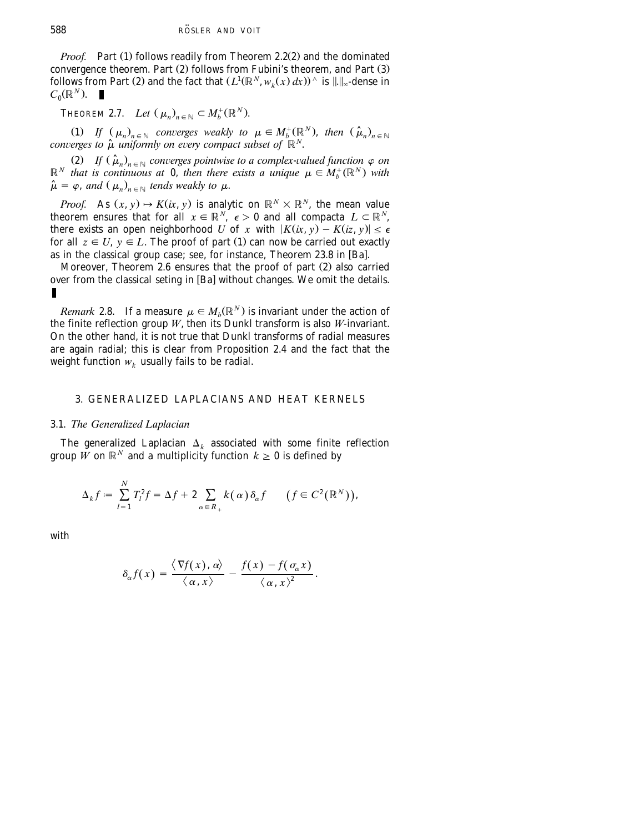<span id="page-13-0"></span>*Proof.* Part (1) follows readily from Theorem 2.2(2) and the dominated convergence theorem. Part  $(2)$  follows from Fubini's theorem, and Part  $(3)$ follows from Part (2) and the fact that  $(L^1(\mathbb{R}^N, w_k(x) dx))^{\wedge}$  is  $\|.\|_{\infty}$ -dense in  $C_0(\mathbb{R}^N)$ .

**THEOREM 2.7.** *Let*  $(\mu_n)_{n \in \mathbb{N}} \subset M_b^+(\mathbb{R}^N)$ .

(1) If  $(\mu_n)_{n \in \mathbb{N}}$  converges weakly to  $\mu \in M_b^+(\mathbb{R}^N)$ , then  $(\hat{\mu}_n)_{n \in \mathbb{N}}$ *converges to*  $\hat{\mu}$  *uniformly on every compact subset of*  $\mathbb{R}^N$ .

 $\hat{H}$   $\left( \hat{\mu}_n \right)_{n \in \mathbb{N}}$  *converges pointwise to a complex-valued function*  $\varphi$  *on*  $\mathbb{R}^N$  *that is continuous at* 0, *then there exists a unique*  $\mu \in M_b^+(\mathbb{R}^N)$  *with*  $\hat{\mu} = \varphi$ , and  $(\mu_n)_{n \in \mathbb{N}}$  tends weakly to  $\mu$ .

*Proof.* As  $(x, y) \rightarrow K(x, y)$  is analytic on  $\mathbb{R}^N \times \mathbb{R}^N$ , the mean value theorem ensures that for all  $x \in \mathbb{R}^N$ ,  $\epsilon > 0$  and all compacta  $L \subset \mathbb{R}^N$ , there exists an open neighborhood *U* of *x* with  $|K(ix, y) - K(iz, y)| \le \epsilon$ for all  $z \in U$ ,  $y \in L$ . The proof of part (1) can now be carried out exactly as in the classical group case; see, for instance, Theorem 23.8 in [Ba].

Moreover, Theorem  $2.6$  ensures that the proof of part  $(2)$  also carried over from the classical seting in [Ba] without changes. We omit the details.

*Remark* 2.8. If a measure  $\mu \in M_b(\mathbb{R}^N)$  is invariant under the action of the finite reflection group *W*, then its Dunkl transform is also *W*-invariant. On the other hand, it is not true that Dunkl transforms of radial measures are again radial; this is clear from Proposition 2.4 and the fact that the weight function  $w_k$  usually fails to be radial.

## 3. GENERALIZED LAPLACIANS AND HEAT KERNELS

### 3.1. *The Generalized Laplacian*

The generalized Laplacian  $\Delta_k$  associated with some finite reflection group  $\tilde{W}$  on  $\mathbb{R}^N$  and a multiplicity function  $k \geq 0$  is defined by

$$
\Delta_k f \coloneqq \sum_{l=1}^N T_l^2 f = \Delta f + 2 \sum_{\alpha \in R_+} k(\alpha) \, \delta_\alpha f \qquad \big( f \in C^2(\mathbb{R}^N) \big),
$$

with

$$
\delta_{\alpha} f(x) = \frac{\langle \nabla f(x), \alpha \rangle}{\langle \alpha, x \rangle} - \frac{f(x) - f(\sigma_{\alpha} x)}{\langle \alpha, x \rangle^{2}}.
$$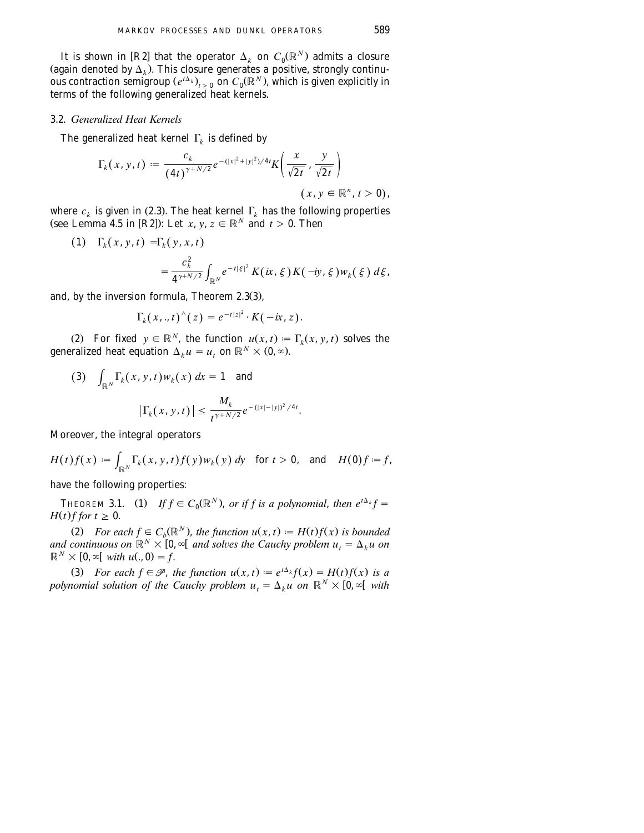<span id="page-14-0"></span>It is shown in [R2] that the operator  $\Delta_k$  on  $C_0(\mathbb{R}^N)$  admits a closure (again denoted by  $\Delta_k$ ). This closure generates a positive, strongly continuous contraction semigroup  $(e^{t\Delta_k})_{k>0}$  on  $C_0(\mathbb{R}^N)$ , which is given explicitly in terms of the following generalized heat kernels.

### 3.2. *Generalized Heat Kernels*

The generalized heat kernel  $\Gamma_k$  is defined by

$$
\Gamma_k(x, y, t) := \frac{c_k}{(4t)^{\gamma + N/2}} e^{-(|x|^2 + |y|^2)/4t} K\left(\frac{x}{\sqrt{2t}}, \frac{y}{\sqrt{2t}}\right)
$$
  
 $(x, y \in \mathbb{R}^n, t > 0),$ 

where  $c_k$  is given in (2.3). The heat kernel  $\Gamma_k$  has the following properties (see Lemma 4.5 in [R2]): Let *x*, *y*,  $z \in \mathbb{R}^N$  and  $t > 0$ . Then

(1) 
$$
\Gamma_k(x, y, t) = \Gamma_k(y, x, t)
$$
  
=  $\frac{c_k^2}{4^{\gamma + N/2}} \int_{\mathbb{R}^N} e^{-t|\xi|^2} K(ix, \xi) K(-iy, \xi) w_k(\xi) d\xi$ ,

and, by the inversion formula, Theorem  $2.3(3)$ ,

$$
\Gamma_k(x,.,t)^{\wedge}(z)=e^{-t|z|^2}\cdot K(-ix,z).
$$

(2) For fixed  $y \in \mathbb{R}^N$ , the function  $u(x, t) = \Gamma_k(x, y, t)$  solves the generalized heat equation  $\Delta_k u = u_t$ , on  $\mathbb{R}^N \times (0, \infty)$ .

(3) 
$$
\int_{\mathbb{R}^N} \Gamma_k(x, y, t) w_k(x) dx = 1
$$
 and  

$$
|\Gamma_k(x, y, t)| \le \frac{M_k}{t^{\gamma + N/2}} e^{-(|x| - |y|)^2 / 4t}.
$$

Moreover, the integral operators

$$
H(t)f(x) := \int_{\mathbb{R}^N} \Gamma_k(x, y, t) f(y) w_k(y) dy \quad \text{for } t > 0, \text{ and } H(0)f := f,
$$

have the following properties:

**THEOREM 3.1.** (1) If  $f \in C_0(\mathbb{R}^N)$ , or if f is a polynomial, then  $e^{t\Delta_k}f =$  $H(t)$ *f for*  $t \geq 0$ .

(2) *For each*  $f \in C_b(\mathbb{R}^N)$ *, the function*  $u(x, t) := H(t)f(x)$  *is bounded and continuous on*  $\mathbb{R}^N \times [0, \infty]$  *and solves the Cauchy problem*  $u_t = \Delta_k u$  *on*  $\mathbb{R}^N \times [0, \infty)$  *with u* $(0, 0) = f$ .

(3) For each  $f \in \mathcal{P}$ , the function  $u(x, t) := e^{t\Delta_k} f(x) = H(t)f(x)$  is a *polynomial solution of the Cauchy problem*  $u_t = \Delta_k u$  *on*  $\mathbb{R}^N \times [0, \infty)$  with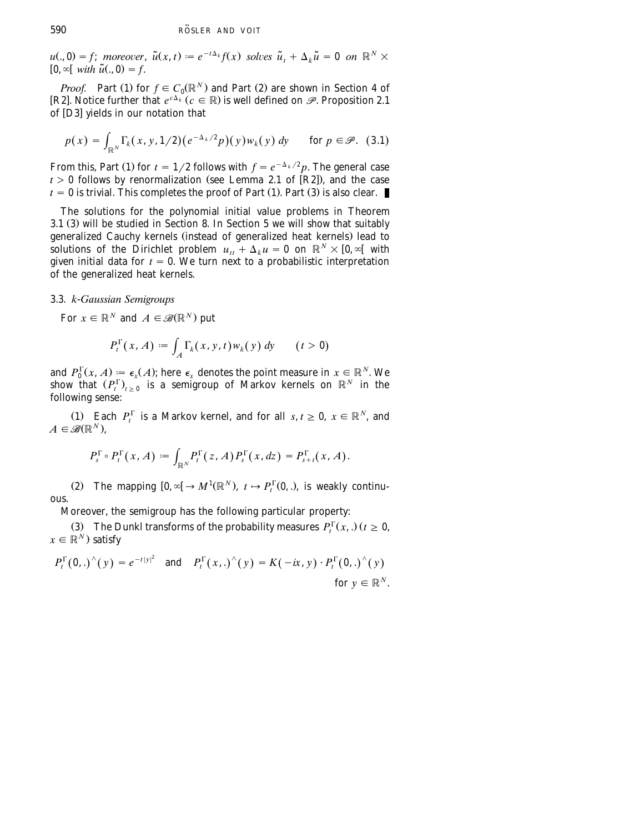<span id="page-15-0"></span> $u(., 0) = f$ ; *moreover*,  $\tilde{u}(x, t) := e^{-t\Delta_k} f(x)$  solves  $\tilde{u}_t + \Delta_k \tilde{u} = 0$  on  $\mathbb{R}^N \times$  $[0, \infty[$  with  $\tilde{u}(., 0) = f$ .

*Proof.* Part (1) for  $f \in C_0(\mathbb{R}^N)$  and Part (2) are shown in [Section 4](#page-16-0) of [R2]. Notice further that  $e^{c\Delta_k}(c \in \mathbb{R})$  is well defined on  $\mathscr{P}$ . Proposition 2.1 of [D3] yields in our notation that

$$
p(x) = \int_{\mathbb{R}^N} \Gamma_k(x, y, 1/2) \big( e^{-\Delta_k/2} p \big) (y) w_k(y) \, dy \quad \text{for } p \in \mathcal{P}. \tag{3.1}
$$

From this, Part (1) for  $t = 1/2$  follows with  $f = e^{-\Delta_k/2}p$ . The general case  $t > 0$  follows by renormalization (see Lemma 2.1 of [R2]), and the case  $t = 0$  is trivial. This completes the proof of Part (1). Part (3) is also clear.

The solutions for the polynomial initial value problems in Theorem 3.1  $(3)$  will be studied in [Section 8.](#page-44-0) In [Section 5](#page-24-0) we will show that suitably generalized Cauchy kernels (instead of generalized heat kernels) lead to solutions of the Dirichlet problem  $u_{tt} + \Delta_k u = 0$  on  $\mathbb{R}^N \times [0, \infty[$  with given initial data for  $t = 0$ . We turn next to a probabilistic interpretation of the generalized heat kernels.

### 3.3. *k*-*Gaussian Semigroups*

For  $x \in \mathbb{R}^N$  and  $A \in \mathcal{B}(\mathbb{R}^N)$  put

$$
P_t^{\Gamma}(x, A) := \int_A \Gamma_k(x, y, t) w_k(y) dy \qquad (t > 0)
$$

and  $P_0^{\Gamma}(x, A) = \epsilon_x(A)$ ; here  $\epsilon_x$  denotes the point measure in  $x \in \mathbb{R}^N$ . We show that  $(P_t^{\Gamma})_{t>0}$  is a semigroup of Markov kernels on  $\mathbb{R}^N$  in the following sense:

(1) Each  $P_t^{\Gamma}$  is a Markov kernel, and for all  $s, t \ge 0$ ,  $x \in \mathbb{R}^N$ , and  $A \in \mathscr{B}(\mathbb{R}^N)$ .

$$
P_s^{\Gamma} \circ P_t^{\Gamma}(x, A) \coloneqq \int_{\mathbb{R}^N} P_t^{\Gamma}(z, A) P_s^{\Gamma}(x, dz) = P_{s+t}^{\Gamma}(x, A).
$$

(2) The mapping  $[0, \infty] \to M^1(\mathbb{R}^N)$ ,  $t \mapsto P_t^{\Gamma}(0, \cdot)$ , is weakly continuous.

Moreover, the semigroup has the following particular property:

(3) The Dunkl transforms of the probability measures  $P_t^{\Gamma}(x,.)$  ( $t \ge 0$ ,  $x \in \mathbb{R}^N$ ) satisfy

$$
P_t^{\Gamma}(0,.)^{\wedge}(y) = e^{-t|y|^2} \quad \text{and} \quad P_t^{\Gamma}(x,.)^{\wedge}(y) = K(-ix, y) \cdot P_t^{\Gamma}(0,.)^{\wedge}(y)
$$
  
for  $y \in \mathbb{R}^N$ .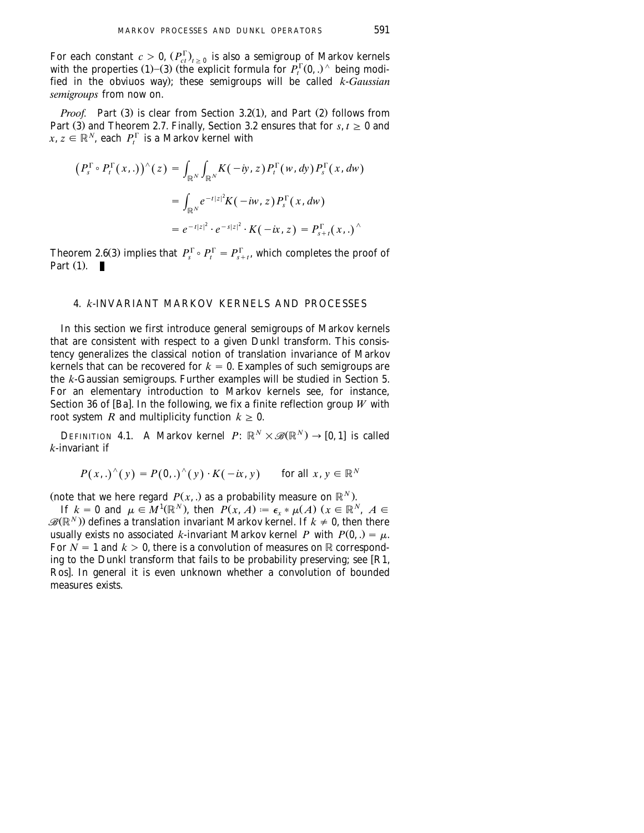<span id="page-16-0"></span>For each constant  $c > 0$ ,  $(P_{ct}^{\Gamma})_{t \geq 0}$  is also a semigroup of Markov kernels with the properties (1)–(3) (the explicit formula for  $P_t^{\Gamma}(0,.)^{\wedge}$  being modified in the obviuos way); these semigroups will be called *k*-*Gaussian semigroups* from now on.

*Proof.* Part (3) is clear from Section 3.2(1), and Part (2) follows from Part (3) and Theorem 2.7. Finally, [Section 3.2](#page-14-0) ensures that for  $s, t \ge 0$  and  $x, z \in \mathbb{R}^N$ , each  $P_t^{\Gamma}$  is a Markov kernel with

$$
\begin{aligned} \left(P_s^{\Gamma} \circ P_t^{\Gamma}(x,.)\right)^{\wedge}(z) &= \int_{\mathbb{R}^N} \int_{\mathbb{R}^N} K(-iy,z) \, P_t^{\Gamma}(w,dy) \, P_s^{\Gamma}(x,dw) \\ &= \int_{\mathbb{R}^N} e^{-t|z|^2} K(-iw,z) \, P_s^{\Gamma}(x,dw) \\ &= e^{-t|z|^2} \cdot e^{-s|z|^2} \cdot K(-ix,z) = P_{s+t}^{\Gamma}(x,.)^{\wedge} \end{aligned}
$$

Theorem 2.6(3) implies that  $P_{s}^{\Gamma} \circ P_{t}^{\Gamma} = P_{s+t}^{\Gamma}$ , which completes the proof of Part  $(1)$ .

## 4. *k*-INVARIANT MARKOV KERNELS AND PROCESSES

In this section we first introduce general semigroups of Markov kernels that are consistent with respect to a given Dunkl transform. This consistency generalizes the classical notion of translation invariance of Markov kernels that can be recovered for  $k = 0$ . Examples of such semigroups are the *k*-Gaussian semigroups. Further examples will be studied in [Section 5.](#page-24-0) For an elementary introduction to Markov kernels see, for instance, Section 36 of [Ba]. In the following, we fix a finite reflection group  $W$  with root system *R* and multiplicity function  $k \geq 0$ .

**DEFINITION 4.1.** A Markov kernel  $P: \mathbb{R}^N \times \mathcal{B}(\mathbb{R}^N) \rightarrow [0, 1]$  is called *k*-invariant if

$$
P(x,.)^{(y)} = P(0,.)^{(y)} \cdot K(-ix, y) \quad \text{for all } x, y \in \mathbb{R}^N
$$

(note that we here regard  $P(x, \cdot)$  as a probability measure on  $\mathbb{R}^N$ ).

If  $k = 0$  and  $\mu \in M^1(\mathbb{R}^N)$ , then  $P(x, A) = \epsilon_{r} * \mu(A)$   $(x \in \mathbb{R}^N, A \in$  $\mathscr{B}(\mathbb{R}^N)$  defines a translation invariant Markov kernel. If  $k \neq 0$ , then there usually exists no associated *k*-invariant Markov kernel *P* with  $P(0, .) = \mu$ . For  $N = 1$  and  $k > 0$ , there is a convolution of measures on R corresponding to the Dunkl transform that fails to be probability preserving; see  $[R1,$ [Ros](#page-67-0)]. In general it is even unknown whether a convolution of bounded measures exists.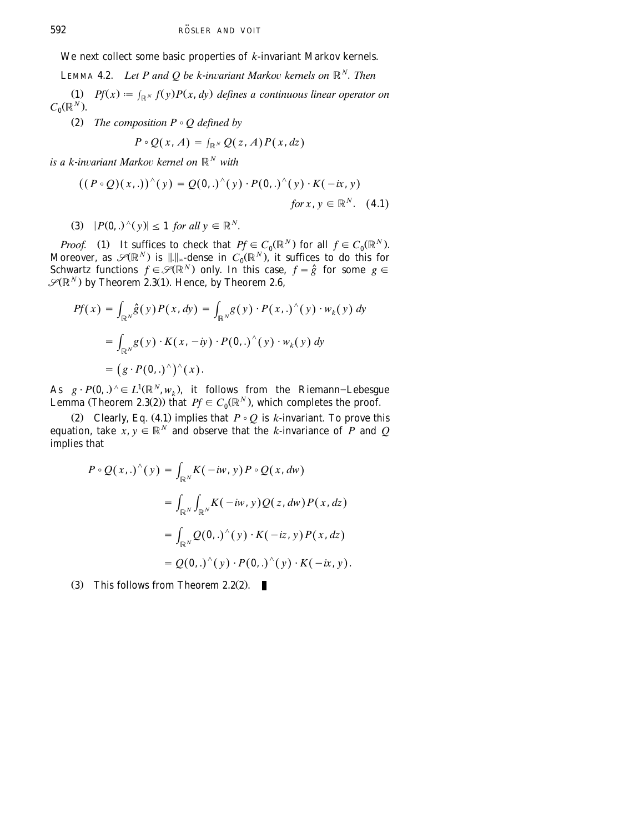We next collect some basic properties of *k*-invariant Markov kernels.

**LEMMA 4.2.** *Let P and O be k-invariant Markov kernels on*  $\mathbb{R}^N$ . *Then* 

(1)  $Pf(x) := \int_{\mathbb{R}^N} f(y)P(x, dy)$  defines a continuous linear operator on  $C_0(\mathbb{R}^N)$ .

(2) *The composition*  $P \circ Q$  *defined by* 

$$
P\circ Q(x,A)=\int_{\mathbb{R}^N}Q(z,A)P(x,dz)
$$

*is a k-invariant Markov kernel on*  $\mathbb{R}^N$  *with* 

$$
((P \circ Q)(x,.))^{\wedge}(y) = Q(0,.)^{\wedge}(y) \cdot P(0,.)^{\wedge}(y) \cdot K(-ix,y)
$$
  
for x, y \in \mathbb{R}^N. (4.1)

 $P(0,.)^{\wedge}(v) \leq 1$  *for all*  $v \in \mathbb{R}^N$ .

*Proof.* (1) It suffices to check that  $Pf \in C_0(\mathbb{R}^N)$  for all  $f \in C_0(\mathbb{R}^N)$ . Moreover, as  $\mathscr{S}(\mathbb{R}^N)$  is  $\|.\|_{\infty}$  dense in  $C_0(\mathbb{R}^N)$ , it suffices to do this for Schwartz functions  $f \in \mathscr{S}(\mathbb{R}^N)$  only. In this case,  $f = \hat{g}$  for some  $g \in$  $\mathscr{S}(\mathbb{R}^N)$  by Theorem 2.3(1). Hence, by Theorem 2.6,

$$
Pf(x) = \int_{\mathbb{R}^N} \hat{g}(y) P(x, dy) = \int_{\mathbb{R}^N} g(y) \cdot P(x,.)^{\wedge}(y) \cdot w_k(y) dy
$$
  
= 
$$
\int_{\mathbb{R}^N} g(y) \cdot K(x, -iy) \cdot P(0,.)^{\wedge}(y) \cdot w_k(y) dy
$$
  
= 
$$
(g \cdot P(0,.)^{\wedge})^{\wedge}(x).
$$

As  $g \cdot P(0,.)^{\wedge} \in L^1(\mathbb{R}^N, w_k)$ , it follows from the Riemann-Lebesgue Lemma (Theorem 2.3(2)) that  $Pf \in C_0(\mathbb{R}^N)$ , which completes the proof.

(2) Clearly, Eq. (4.1) implies that  $P \circ Q$  is *k*-invariant. To prove this equation, take  $x, y \in \mathbb{R}^N$  and observe that the *k*-invariance of *P* and *Q* implies that

$$
P \circ Q(x,.)^{\wedge}(y) = \int_{\mathbb{R}^N} K(-iw, y) P \circ Q(x, dw)
$$
  
= 
$$
\int_{\mathbb{R}^N} \int_{\mathbb{R}^N} K(-iw, y) Q(z, dw) P(x, dz)
$$
  
= 
$$
\int_{\mathbb{R}^N} Q(0,.)^{\wedge}(y) \cdot K(-iz, y) P(x, dz)
$$
  
= 
$$
Q(0,.)^{\wedge}(y) \cdot P(0,.)^{\wedge}(y) \cdot K(-ix, y).
$$

(3) This follows from Theorem 2.2(2).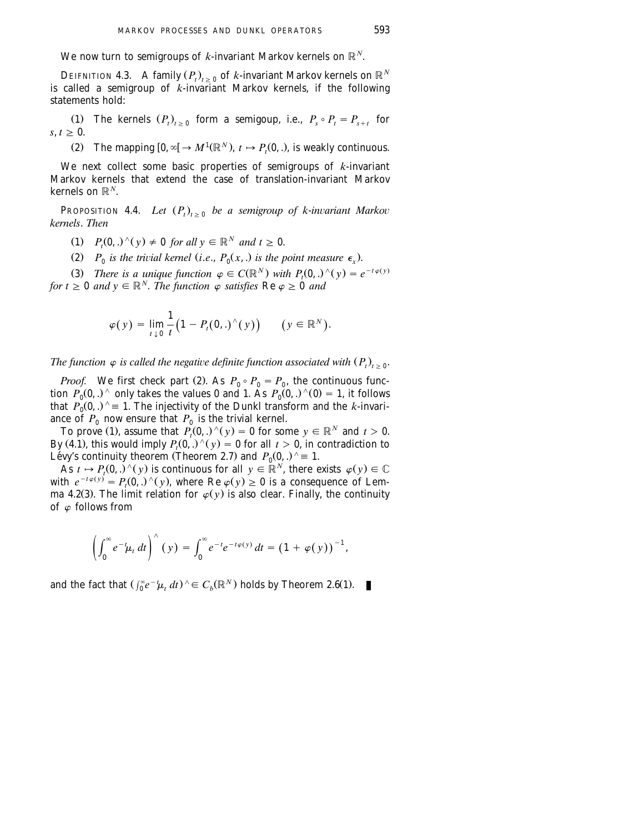We now turn to semigroups of *k*-invariant Markov kernels on  $\mathbb{R}^N$ .

**DEIFNITION 4.3.** A family  $(P_t)_{t>0}$  of *k*-invariant Markov kernels on  $\mathbb{R}^N$ is called a semigroup of *k*-invariant Markov kernels, if the following statements hold:

(1) The kernels  $(P_t)_{t>0}$  form a semigoup, i.e.,  $P_s \circ P_t = P_{s+t}$  for  $s, t \geq 0$ .

(2) The mapping  $[0, \infty] \to M^1(\mathbb{R}^N)$ ,  $t \mapsto P_t(0, \cdot)$ , is weakly continuous.

We next collect some basic properties of semigroups of *k*-invariant Markov kernels that extend the case of translation-invariant Markov kernels on  $\mathbb{R}^N$ .

**PROPOSITION 4.4.** *Let*  $(P_t)_{t>0}$  *be a semigroup of k-invariant Markov kernels*. *Then*

 $P_n(0,.)^{\wedge}(y) \neq 0$  *for all*  $y \in \mathbb{R}^N$  *and*  $t \geq 0$ .

(2)  $P_0$  *is the trivial kernel (i.e.,*  $P_0(x,.)$  *is the point measure*  $\epsilon_{\gamma}$ *).* 

(3) There is a unique function  $\varphi \in C(\mathbb{R}^N)$  with  $P_1(0, .)^{\wedge}(\gamma) = e^{-t \varphi(\gamma)}$ 

*for*  $t \geq 0$  *and*  $y \in \mathbb{R}^N$ . *The function*  $\varphi$  *satisfies* Re  $\varphi \geq 0$  *and* 

$$
\varphi(y) = \lim_{t \downarrow 0} \frac{1}{t} \big( 1 - P_t(0,.)^{\wedge}(y) \big) \qquad (y \in \mathbb{R}^N).
$$

*The function*  $\varphi$  *is called the negative definite function associated with*  $(P_t)_{t>0}$ .

*Proof.* We first check part (2). As  $P_0 \circ P_0 = P_0$ , the continuous function  $P_0(0,.)$  only takes the values 0 and 1. As  $P_0(0,.)$   $\hat{ }$  (0) = 1, it follows that  $P_0(0,.)^\wedge \equiv 1$ . The injectivity of the Dunkl transform and the *k*-invariance of  $P_0$  now ensure that  $P_0$  is the trivial kernel.

To prove (1), assume that  $P_t(0,.)^{\wedge}(y) = 0$  for some  $y \in \mathbb{R}^N$  and  $t > 0$ . By (4.1), this would imply  $P_t(0,.) \wedge (y) = 0$  for all  $t > 0$ , in contradiction to Lévy's continuity theorem (Theorem 2.7) and  $P_0(0,.)^{\wedge} \equiv 1$ .<br>As  $t \mapsto P_r(0,.)^{\wedge}(y)$  is continuous for all  $y \in \mathbb{R}^N$ , there exists  $\varphi(y) \in \mathbb{C}$ 

with  $e^{-t\varphi(y)} = P(0,.)^{\wedge}(y)$ , where Re  $\varphi(y) \ge 0$  is a consequence of Lemma 4.2(3). The limit relation for  $\varphi(y)$  is also clear. Finally, the continuity of  $\varphi$  follows from

$$
\left(\int_0^\infty e^{-t}\mu_t dt\right)^\wedge (y) = \int_0^\infty e^{-t}e^{-t\varphi(y)} dt = \left(1 + \varphi(y)\right)^{-1},
$$

and the fact that  $\left(\int_0^\infty e^{-t}\mu_t dt\right)$   $\land \in C_b(\mathbb{R}^N)$  holds by Theorem 2.6(1).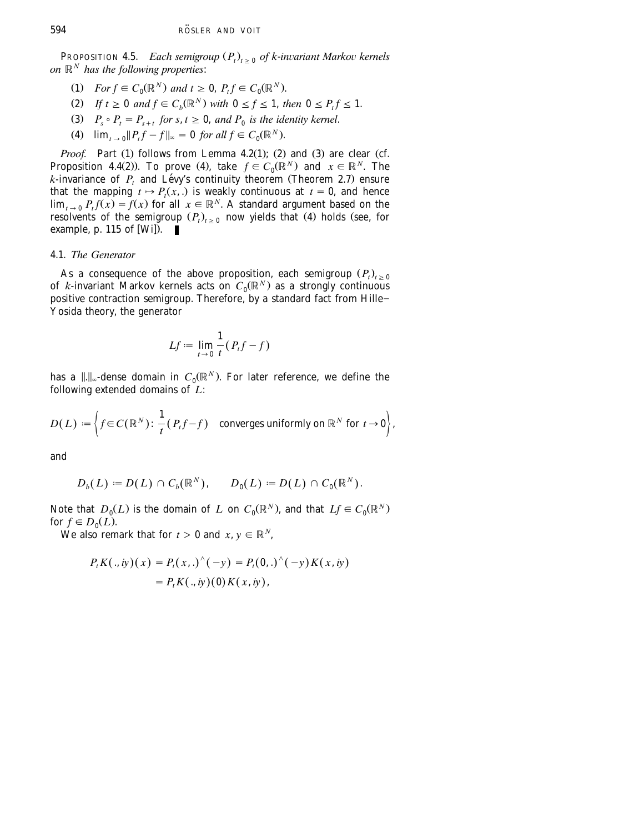**PROPOSITION 4.5.** *Each semigroup*  $(P_t)_{t>0}$  *of k-invariant Markov kernels on*  $\mathbb{R}^N$  *has the following properties:* 

- (1) *For*  $f \in C_0(\mathbb{R}^N)$  *and*  $t \geq 0$ ,  $P_t f \in C_0(\mathbb{R}^N)$ .
- $Z(t)$  *If t*  $\geq 0$  *and*  $f \in C_b(\mathbb{R}^N)$  *with*  $0 \leq f \leq 1$ , *then*  $0 \leq P, f \leq 1$ .
- (3)  $P_s \circ P_t = P_{s+t}$  for  $s, t \geq 0$ , and  $P_0$  is the identity kernel.
- (4)  $\lim_{x \to 0} ||P_t f f||_{\infty} = 0$  *for all*  $f \in C_0(\mathbb{R}^N)$ .

*Proof.* Part (1) follows from Lemma 4.2(1); (2) and (3) are clear (cf. Proposition 4.4(2)). To prove (4), take  $f \in C_0(\mathbb{R}^N)$  and  $x \in \mathbb{R}^N$ . The  $k$ -invariance of  $P_t$  and Lévy's continuity theorem (Theorem 2.7) ensure that the mapping  $t \mapsto P_t(x, \cdot)$  is weakly continuous at  $t = 0$ , and hence  $\lim_{x\to 0} P_t f(x) = f(x)$  for all  $x \in \mathbb{R}^N$ . A standard argument based on the resolvents of the semigroup  $(P_t)_{t>0}$  now yields that (4) holds (see, for example, p. 115 of [Wi]).  $\blacksquare$ 

## 4.1. *The Generator*

As a consequence of the above proposition, each semigroup  $(P_t)_{t\geq 0}$ of *k*-invariant Markov kernels acts on  $C_0(\mathbb{R}^N)$  as a strongly continuous positive contraction semigroup. Therefore, by a standard fact from Hille-Yosida theory, the generator

$$
Lf := \lim_{t \to 0} \frac{1}{t} (P_t f - f)
$$

has a  $||.||_{\infty}$ -dense domain in  $C_0(\mathbb{R}^N)$ . For later reference, we define the following extended domains of *L*:

$$
D(L) := \left\{ f \in C(\mathbb{R}^N) \colon \frac{1}{t}(P_t f - f) \quad \text{converges uniformly on } \mathbb{R}^N \text{ for } t \to 0 \right\},
$$

and

$$
D_b(L) := D(L) \cap C_b(\mathbb{R}^N), \qquad D_0(L) := D(L) \cap C_0(\mathbb{R}^N).
$$

Note that  $D_0(L)$  is the domain of *L* on  $C_0(\mathbb{R}^N)$ , and that  $Lf \in C_0(\mathbb{R}^N)$ for  $f \in D_0(L)$ .

We also remark that for  $t > 0$  and  $x, y \in \mathbb{R}^N$ ,

$$
P_t K(., iy)(x) = P_t(x,.)^{\wedge}(-y) = P_t(0,.)^{\wedge}(-y) K(x, iy)
$$
  
=  $P_t K(., iy)(0) K(x, iy),$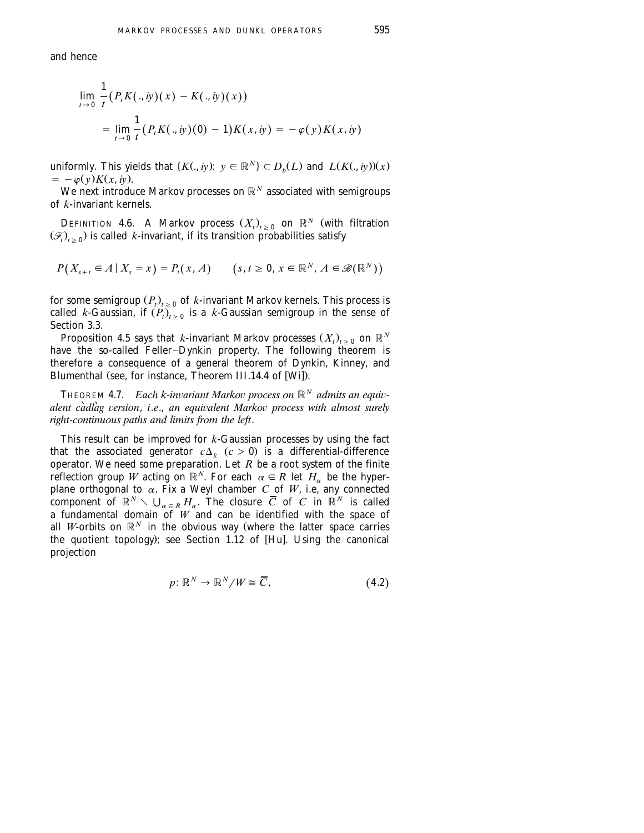and hence

$$
\lim_{t \to 0} \frac{1}{t} (P_t K(., iy)(x) - K(., iy)(x))
$$
  
= 
$$
\lim_{t \to 0} \frac{1}{t} (P_t K(., iy)(0) - 1) K(x, iy) = -\varphi(y) K(x, iy)
$$

uniformly. This yields that  $\{K(., iy): y \in \mathbb{R}^N\} \subset D_b(L)$  and  $L(K(., iy))(x)$  $= -\varphi(y)K(x, iy).$ 

We next introduce Markov processes on  $\mathbb{R}^N$  associated with semigroups of *k*-invariant kernels.

DEFINITION 4.6. A Markov process  $(X_t)_{t\geq 0}$  on  $\mathbb{R}^N$  (with filtration  $(\mathscr{F}_t)_{t\geq 0}$ ) is called *k*-invariant, if its transition probabilities satisfy

$$
P(X_{s+t} \in A \mid X_s = x) = P_t(x, A) \qquad (s, t \ge 0, x \in \mathbb{R}^N, A \in \mathcal{B}(\mathbb{R}^N))
$$

for some semigroup  $(P_t)_{t>0}$  of *k*-invariant Markov kernels. This process is called *k*-Gaussian, if  $(P_i)_{i>0}$  is a *k*-Gaussian semigroup in the sense of Section 3.3.

Proposition 4.5 says that *k*-invariant Markov processes  $(X_t)_{t>0}$  on  $\mathbb{R}^N$ have the so-called Feller-Dynkin property. The following theorem is therefore a consequence of a general theorem of Dynkin, Kinney, and Blumenthal (see, for instance, Theorem III.14.4 of  $[Wi]$ ).

**THEOREM 4.7.** *Each k-invariant Markov process on*  $\mathbb{R}^N$  *admits an equivalent càdlàg version, i.e., an equivalent Markov process with almost surely right*-*continuous paths and limits from the left*.

This result can be improved for *k*-Gaussian processes by using the fact that the associated generator  $c\Delta_k$  ( $c > 0$ ) is a differential-difference operator. We need some preparation. Let *R* be a root system of the finite reflection group *W* acting on  $\mathbb{R}^N$ . For each  $\alpha \in R$  let  $H_{\alpha}$  be the hyperplane orthogonal to  $\alpha$ . Fix a Weyl chamber *C* of *W*, i.e, any connected component of  $\mathbb{R}^N \setminus \bigcup_{\alpha \in R} H_\alpha$ . The closure  $\overline{C}$  of  $C$  in  $\mathbb{R}^N$  is called a fundamental domain of *W* and can be identified with the space of all *W*-orbits on  $\mathbb{R}^N$  in the obvious way (where the latter space carries the quotient topology); see Section 1.12 of [Hu]. Using the canonical projection

$$
p: \mathbb{R}^N \to \mathbb{R}^N / W \cong \overline{C}, \tag{4.2}
$$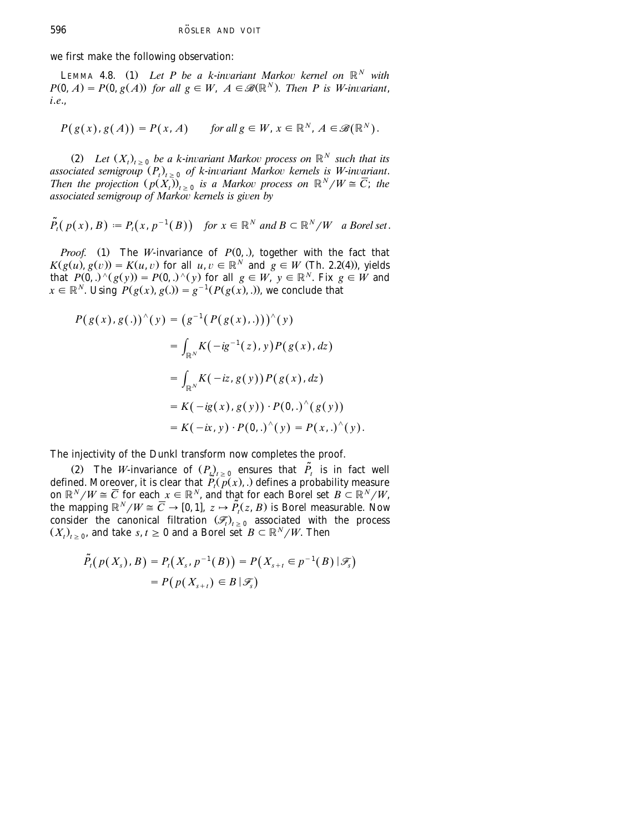we first make the following observation:

**LEMMA 4.8.** (1) Let P be a k-invariant Markov kernel on  $\mathbb{R}^N$  with  $P(0, A) = P(0, g(A))$  for all  $g \in W$ ,  $A \in \mathcal{B}(\mathbb{R}^N)$ . Then P is W-invariant, *i*.*e*.,

$$
P(g(x),g(A)) = P(x,A) \quad \text{for all } g \in W, x \in \mathbb{R}^N, A \in \mathcal{B}(\mathbb{R}^N).
$$

(2) Let  $(X_t)_{t>0}$  be a k-invariant Markov process on  $\mathbb{R}^N$  such that its associated semigroup  $(P_i)_{i>0}$  of k-invariant Markov kernels is W-invariant. *Then the projection*  $(p(X_i))_{i>0}$  *is a Markov process on*  $\mathbb{R}^N/W \cong \overline{C}$ ; *the associated semigroup of Markov kernels is given by* 

 $\tilde{P}_t(p(x), B) := P_t(x, p^{-1}(B))$  for  $x \in \mathbb{R}^N$  and  $B \subset \mathbb{R}^N/W$  a Borel set.

*Proof.* (1) The *W*-invariance of  $P(0, .)$ , together with the fact that  $K(g(u), g(v)) = K(u, v)$  for all  $u, v \in \mathbb{R}^N$  and  $\check{g} \in W$  (Th. 2.2(4)), yields that  $P(\vec{0},.) \setminus (g(y)) = P(\vec{0},.) \setminus (y)$  for all  $g \in W$ ,  $y \in \mathbb{R}^N$ . Fix  $g \in W$  and  $x \in \mathbb{R}^N$ . Using  $P(g(x), g(x)) = g^{-1}(P(g(x), x))$ , we conclude that

$$
P(g(x), g(.))^{\wedge}(y) = (g^{-1}(P(g(x), .)))^{\wedge}(y)
$$
  
= 
$$
\int_{\mathbb{R}^N} K(-ig^{-1}(z), y) P(g(x), dz)
$$
  
= 
$$
\int_{\mathbb{R}^N} K(-iz, g(y)) P(g(x), dz)
$$
  
= 
$$
K(-ig(x), g(y)) \cdot P(0, .)^{\wedge}(g(y))
$$
  
= 
$$
K(-ix, y) \cdot P(0, .)^{\wedge}(y) = P(x, .)^{\wedge}(y).
$$

The injectivity of the Dunkl transform now completes the proof.

(2) The *W*-invariance of  $(P_t)_{t\geq 0}$  ensures that  $\tilde{P}_t$  is in fact well defined. Moreover, it is clear that  $\widetilde{P}_t(\widetilde{p}(x),.)$  defines a probability measure on  $\mathbb{R}^N/W \cong \overline{C}$  for each  $x \in \mathbb{R}^N$ , and that for each Borel set  $B \subset \mathbb{R}^N/W$ , the mapping  $\mathbb{R}^N/W \cong \overline{C} \to [0, 1], z \mapsto \tilde{P}_t(z, B)$  is Borel measurable. Now consider the canonical filtration  $(\mathcal{F}_{t})$  associated with the process  $(X_t)_{t>0}$ , and take *s*,  $t \ge 0$  and a Borel set  $B \subset \mathbb{R}^N/W$ . Then

$$
\tilde{P}_t(p(X_s), B) = P_t(X_s, p^{-1}(B)) = P(X_{s+t} \in p^{-1}(B) | \mathcal{F}_s)
$$
  
=  $P(p(X_{s+t}) \in B | \mathcal{F}_s)$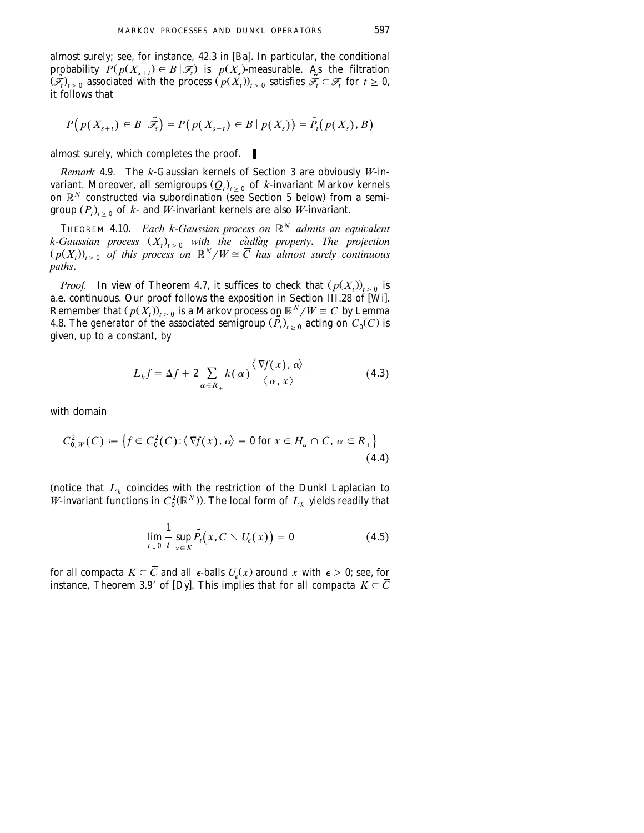almost surely; see, for instance,  $42.3$  in [Ba]. In particular, the conditional probability  $P(p(X_{s+t}) \in B | \mathcal{F}_s)$  is  $p(X_s)$ -measurable. As the filtration  $(\widetilde{\mathscr{F}}_t)_{t\geq0}$  associated with the process  $(p(X_t))_{t\geq0}$  satisfies  $\widetilde{\mathscr{F}}_t \subset \mathscr{F}_t$  for  $t\geq0$ , it follows that

$$
P\big(p(X_{s+t})\in B\,|\,\widetilde{\mathscr{F}}_s\big)=P\big(p(X_{s+t})\in B\,|\,p(X_s)\big)=\widetilde{P}_t\big(p(X_s),B\big)
$$

almost surely, which completes the proof.

*Remark* 4.9. The *k*-Gaussian kernels of [Section 3](#page-13-0) are obviously *W*-invariant. Moreover, all semigroups  $(Q_t)_{t>0}$  of *k*-invariant Markov kernels on  $\mathbb{R}^N$  constructed via subordination (see [Section 5](#page-24-0) below) from a semigroup  $(P_t)_{t>0}$  of *k*- and *W*-invariant kernels are also *W*-invariant.

**THEOREM 4.10.** *Each k-Gaussian process on*  $\mathbb{R}^N$  *admits an equivalent k*-*Gaussian process*  $(X_t)_{t>0}$  *with the càdlàg property. The projection*  $(p(X_t))_{t>0}$  of this process on  $\mathbb{R}^N/W \cong \overline{C}$  has almost surely continuous *paths*.

*Proof.* In view of Theorem 4.7, it suffices to check that  $(p(X_i))_{i>0}$  is a.e. continuous. Our proof follows the exposition in Section III.28 of [Wi]. Remember that  $(p(\hat{X}_t))_{t \geq 0}$  is a Markov process on  $\mathbb{R}^N/W \cong \overline{C}$  by Lemma 4.8. The generator of the associated semigroup  $(\tilde{P}_t)_{t \geq 0}$  acting on  $C_0(\overline{C})$  is given, up to a constant, by

$$
L_k f = \Delta f + 2 \sum_{\alpha \in R_+} k(\alpha) \frac{\langle \nabla f(x), \alpha \rangle}{\langle \alpha, x \rangle}
$$
 (4.3)

with domain

$$
C_{0,W}^2(\overline{C}) := \left\{ f \in C_0^2(\overline{C}) : \langle \nabla f(x), \alpha \rangle = 0 \text{ for } x \in H_\alpha \cap \overline{C}, \ \alpha \in R_+ \right\}
$$
\n(4.4)

(notice that  $L_k$  coincides with the restriction of the Dunkl Laplacian to *W*-invariant functions in  $C_0^2(\mathbb{R}^N)$ . The local form of  $L_k$  yields readily that

$$
\lim_{t \downarrow 0} \frac{1}{t} \sup_{x \in K} \tilde{P}_t(x, \overline{C} \setminus U_{\epsilon}(x)) = 0 \tag{4.5}
$$

for all compacta  $K \subset \overline{C}$  and all  $\epsilon$ -balls  $U_{\epsilon}(x)$  around x with  $\epsilon > 0$ ; see, for instance, Theorem 3.9' of [Dy]. This implies that for all compacta  $K \subset \overline{C}$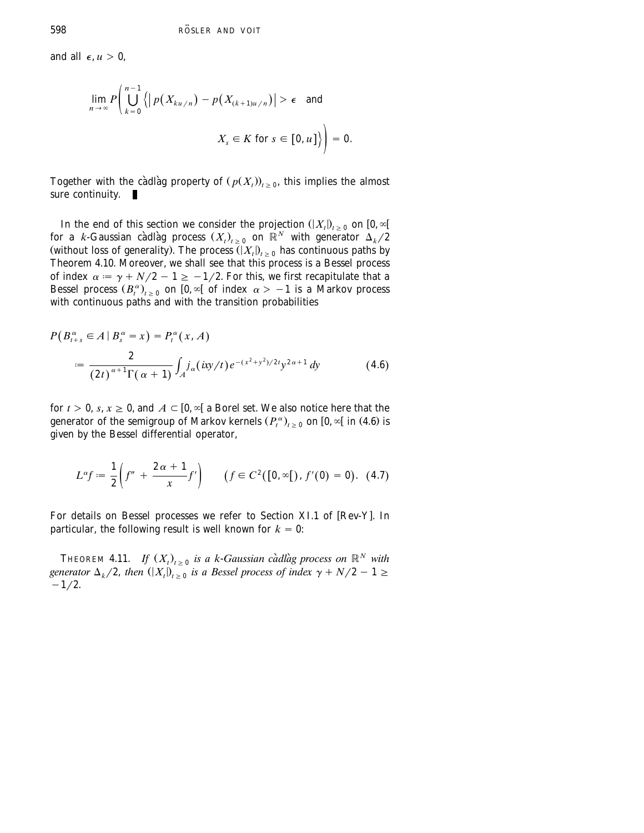and all  $\epsilon$ ,  $u > 0$ ,

$$
\lim_{n \to \infty} P\left(\bigcup_{k=0}^{n-1} \left\{ \left| p(X_{ku/n}) - p(X_{(k+1)u/n}) \right| > \epsilon \text{ and } X_s \in K \text{ for } s \in [0, u] \right\} \right) = 0.
$$

Together with the càdlàg property of  $(p(X_t))_{t>0}$ , this implies the almost sure continuity.  $\blacksquare$ 

In the end of this section we consider the projection  $(|X_t|)_{t\geq 0}$  on  $[0, \infty[$ for a *k*-Gaussian càdlàg process  $(X_t)_{t\geq 0}$  on  $\mathbb{R}^N$  with generator  $\Delta_k/2$ (without loss of generality). The process  $(|X_t|)_{t>0}$  has continuous paths by Theorem 4.10. Moreover, we shall see that this process is a Bessel process of index  $\alpha = \gamma + N/2 - 1 \ge -1/2$ . For this, we first recapitulate that a Bessel process  $(B_t^{\alpha})_{t>0}$  on  $[0, \infty)$  of index  $\alpha > -1$  is a Markov process with continuous paths and with the transition probabilities

$$
P(B_{t+s}^{\alpha} \in A \mid B_s^{\alpha} = x) = P_t^{\alpha}(x, A)
$$
  

$$
:= \frac{2}{(2t)^{\alpha+1}\Gamma(\alpha+1)} \int_A j_{\alpha}(\text{ixy/t}) e^{-(x^2+y^2)/2t} y^{2\alpha+1} dy \qquad (4.6)
$$

for  $t > 0$ ,  $s, x \ge 0$ , and  $A \subset [0, \infty[$  a Borel set. We also notice here that the generator of the semigroup of Markov kernels  $(P_t^{\alpha})_{t>0}$  on  $[0, \infty)$  in  $(4.6)$  is given by the Bessel differential operator,

$$
L^{\alpha}f := \frac{1}{2}\left(f'' + \frac{2\alpha + 1}{x}f'\right) \qquad (f \in C^{2}([0, \infty[), f'(0) = 0). \tag{4.7}
$$

For details on Bessel processes we refer to Section XI.1 of [Rev-Y]. In particular, the following result is well known for  $k = 0$ :

THEOREM 4.11. *If*  $(X_t)_{t>0}$  is a k-Gaussian càdlàg process on  $\mathbb{R}^N$  with *generator*  $\Delta_k/2$ , *then*  $(|X_t|)_{t>0}$  *is a Bessel process of index*  $\gamma + N/2 - 1 \geq$  $-1/2$ .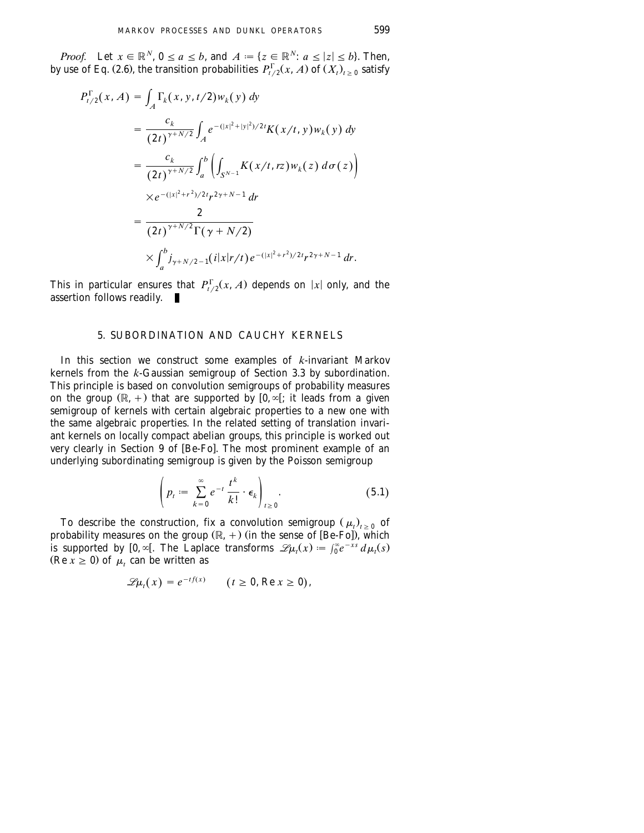<span id="page-24-0"></span>*Proof.* Let  $x \in \mathbb{R}^N$ ,  $0 \le a \le b$ , and  $A := \{z \in \mathbb{R}^N : a \le |z| \le b\}$ . Then, by use of Eq. (2.6), the transition probabilities  $P_{t/2}^{T}(x, A)$  of  $(X_{t})_{t>0}$  satisfy

$$
P_{t/2}^{\Gamma}(x, A) = \int_{A} \Gamma_{k}(x, y, t/2) w_{k}(y) dy
$$
  
\n
$$
= \frac{c_{k}}{(2t)^{\gamma + N/2}} \int_{A} e^{-(|x|^{2} + |y|^{2})/2t} K(x/t, y) w_{k}(y) dy
$$
  
\n
$$
= \frac{c_{k}}{(2t)^{\gamma + N/2}} \int_{a}^{b} \left( \int_{S^{N-1}} K(x/t, rz) w_{k}(z) d\sigma(z) \right)
$$
  
\n
$$
\times e^{-(|x|^{2} + r^{2})/2t} r^{2\gamma + N - 1} dr
$$
  
\n
$$
= \frac{2}{(2t)^{\gamma + N/2} \Gamma(\gamma + N/2)}
$$
  
\n
$$
\times \int_{a}^{b} j_{\gamma + N/2 - 1}(i|x|r/t) e^{-(|x|^{2} + r^{2})/2t} r^{2\gamma + N - 1} dr.
$$

This in particular ensures that  $P_{t/2}^{T}(x, A)$  depends on |x| only, and the assertion follows readily.

## 5. SUBORDINATION AND CAUCHY KERNELS

In this section we construct some examples of *k*-invariant Markov kernels from the *k*-Gaussian semigroup of [Section 3.3](#page-15-0) by subordination. This principle is based on convolution semigroups of probability measures on the group  $(\mathbb{R}, +)$  that are supported by  $[0, \infty]$ ; it leads from a given semigroup of kernels with certain algebraic properties to a new one with the same algebraic properties. In the related setting of translation invariant kernels on locally compact abelian groups, this principle is worked out very clearly in Section 9 of [Be-Fo]. The most prominent example of an underlying subordinating semigroup is given by the Poisson semigroup

$$
\left(p_t := \sum_{k=0}^{\infty} e^{-t} \frac{t^k}{k!} \cdot \epsilon_k \right)_{t \ge 0}.
$$
 (5.1)

To describe the construction, fix a convolution semigroup  $(\mu_t)_{t>0}$  of probability measures on the group  $(\mathbb{R}, +)$  (in the sense of  $[\mathbf{\hat{Be}}\text{-}\mathbf{\hat{Fo}}]$ ), which is supported by  $[0, \infty]$ . The Laplace transforms  $\mathscr{L} \mu_t(x) := \int_0^\infty e^{-xs} d\mu_t(s)$  $(Re\ x \geq 0)$  of  $\mu_t$  can be written as

$$
\mathscr{L}\mu_t(x) = e^{-tf(x)} \qquad (t \ge 0, \text{Re } x \ge 0),
$$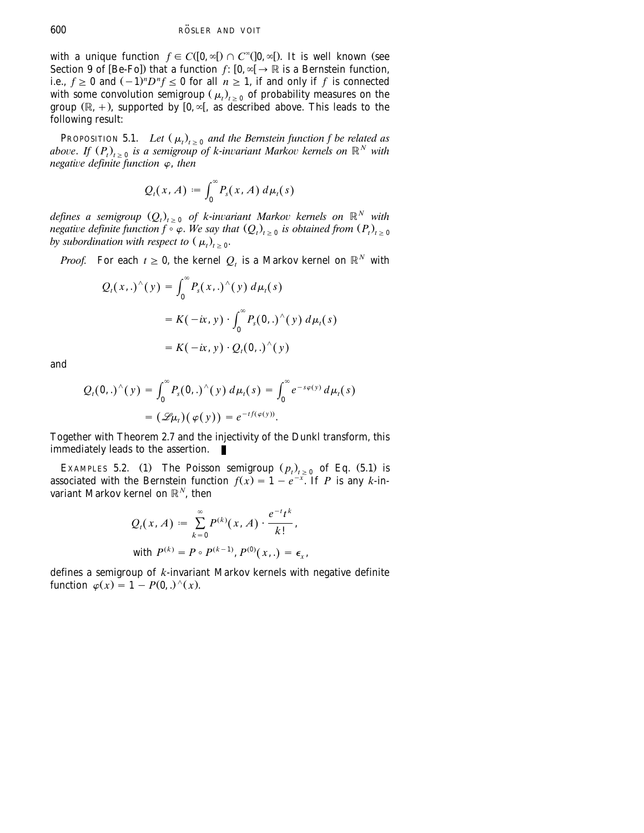with a unique function  $f \in C([0,\infty[)) \cap C^{\infty}([0,\infty[)$ . It is well known (see Section 9 of [Be-Fo]) that a function  $f: [0, \infty] \to \mathbb{R}$  is a Bernstein function, i.e.,  $f \ge 0$  and  $(-1)^n D^n f \le 0$  for all  $n \ge 1$ , if and only if f is connected with some convolution semigroup ( $\mu_t$ )<sub>t > 0</sub> of probability measures on the group  $(\mathbb{R}, +)$ , supported by  $[0, \infty)$ , as described above. This leads to the following result:

PROPOSITION 5.1. *Let*  $(\mu_t)_{t>0}$  *and the Bernstein function f be related as* above. If  $(P_t)_{t>0}$  is a semigroup of k-invariant Markov kernels on  $\mathbb{R}^N$  with *negative definite function*  $\varphi$ *, then* 

$$
Q_t(x, A) := \int_0^\infty P_s(x, A) d\mu_t(s)
$$

*defines a semigroup*  $(Q_t)_{t\geq 0}$  *of k-invariant Markov kernels on*  $\mathbb{R}^N$  *with negative definite function*  $f \circ \varphi$ . We say that  $(Q_t)_{t \geq 0}$  is obtained from  $(P_t)_{t \geq 0}$ *by subordination with respect to*  $(\mu_t)_{t>0}$ .

*Proof.* For each  $t \geq 0$ , the kernel  $Q_t$  is a Markov kernel on  $\mathbb{R}^N$  with

$$
Q_t(x,.)^{\wedge}(y) = \int_0^{\infty} P_s(x,.)^{\wedge}(y) d\mu_t(s)
$$
  
=  $K(-ix, y) \cdot \int_0^{\infty} P_s(0,.)^{\wedge}(y) d\mu_t(s)$   
=  $K(-ix, y) \cdot Q_t(0,.)^{\wedge}(y)$ 

and

$$
Q_t(0,.)^{\wedge}(y) = \int_0^{\infty} P_s(0,.)^{\wedge}(y) d\mu_t(s) = \int_0^{\infty} e^{-s\varphi(y)} d\mu_t(s)
$$

$$
= (\mathscr{L}\mu_t)(\varphi(y)) = e^{-tf(\varphi(y))}.
$$

Together with Theorem 2.7 and the injectivity of the Dunkl transform, this immediately leads to the assertion.

EXAMPLES 5.2. (1) The Poisson semigroup  $(p_t)_{t \geq 0}$  of Eq. (5.1) is associated with the Bernstein function  $f(x) = 1 - e^{-x}$ . If *P* is any *k*-invariant Markov kernel on  $\mathbb{R}^N$ , then

$$
Q_t(x, A) := \sum_{k=0}^{\infty} P^{(k)}(x, A) \cdot \frac{e^{-t}t^k}{k!},
$$
  
with  $P^{(k)} = P \circ P^{(k-1)}, P^{(0)}(x, .) = \epsilon_x$ ,

defines a semigroup of *k*-invariant Markov kernels with negative definite function  $\varphi(x) = 1 - P(0,.)^{\wedge}(x)$ .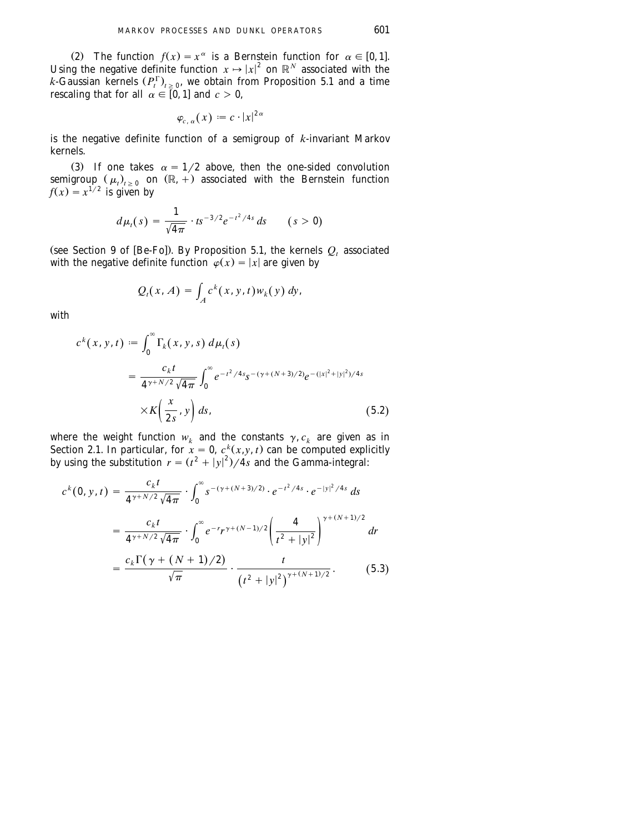(2) The function  $f(x) = x^{\alpha}$  is a Bernstein function for  $\alpha \in [0, 1]$ . Using the negative definite function  $x \mapsto |x|^2$  on  $\mathbb{R}^N$  associated with the *k*-Gaussian kernels  $(P_t^{\Gamma})_{t>0}$ , we obtain from Proposition 5.1 and a time rescaling that for all  $\alpha \in [0, 1]$  and  $c > 0$ ,

$$
\varphi_{c,\,\alpha}(x):=c\cdot|x|^{2\,\alpha}
$$

is the negative definite function of a semigroup of *k*-invariant Markov kernels.

(3) If one takes  $\alpha = 1/2$  above, then the one-sided convolution semigroup  $(\mu_t)_{t \geq 0}$  on  $(\mathbb{R}, +)$  associated with the Bernstein function  $f(x) = x^{1/2}$  is given by

$$
d\mu_t(s) = \frac{1}{\sqrt{4\pi}} \cdot t s^{-3/2} e^{-t^2/4s} ds \qquad (s > 0)
$$

(see Section 9 of [Be-Fo]). By Proposition 5.1, the kernels  $Q_t$  associated with the negative definite function  $\phi(x) = |x|$  are given by

$$
Q_t(x, A) = \int_A c^k(x, y, t) w_k(y) dy,
$$

with

$$
c^{k}(x, y, t) := \int_{0}^{\infty} \Gamma_{k}(x, y, s) d\mu_{t}(s)
$$
  
= 
$$
\frac{c_{k}t}{4^{\gamma + N/2} \sqrt{4\pi}} \int_{0}^{\infty} e^{-t^{2}/4s} s^{-(\gamma + (N+3)/2)} e^{-(|x|^{2} + |y|^{2})/4s}
$$
  

$$
\times K\left(\frac{x}{2s}, y\right) ds,
$$
 (5.2)

where the weight function  $w_k$  and the constants  $\gamma$ ,  $c_k$  are given as in [Section 2.1.](#page-6-0) In particular, for  $\hat{x} = 0$ ,  $c^{k}(x, y, t)$  can be computed explicitly by using the substitution  $r = (t^2 + |y|^2)/4s$  and the Gamma-integral:

$$
c^{k}(0, y, t) = \frac{c_{k}t}{4^{\gamma + N/2}\sqrt{4\pi}} \cdot \int_{0}^{\infty} s^{-(\gamma + (N+3)/2)} \cdot e^{-t^{2}/4s} \cdot e^{-|y|^{2}/4s} ds
$$
  

$$
= \frac{c_{k}t}{4^{\gamma + N/2}\sqrt{4\pi}} \cdot \int_{0}^{\infty} e^{-r}r^{\gamma + (N-1)/2} \left(\frac{4}{t^{2} + |y|^{2}}\right)^{\gamma + (N+1)/2} dr
$$
  

$$
= \frac{c_{k}\Gamma(\gamma + (N+1)/2)}{\sqrt{\pi}} \cdot \frac{t}{(t^{2} + |y|^{2})^{\gamma + (N+1)/2}}.
$$
(5.3)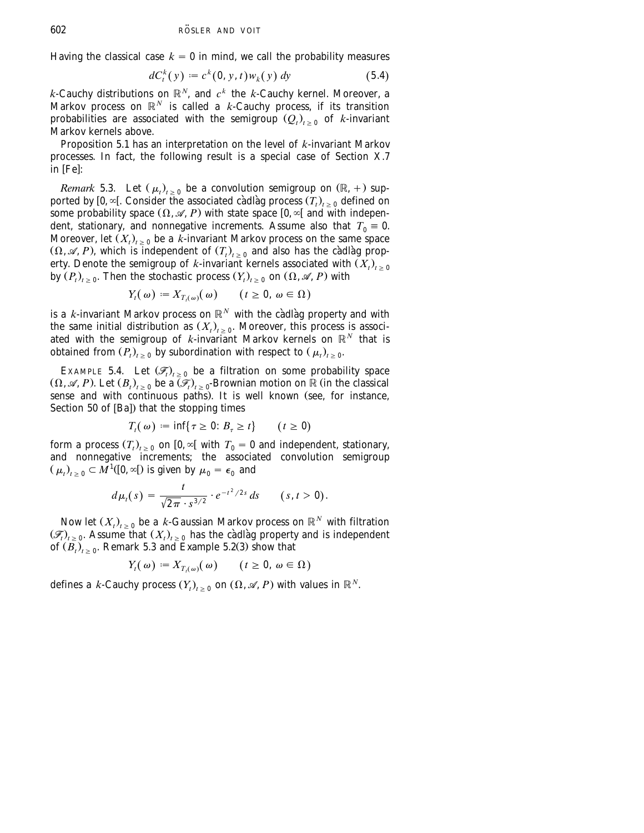Having the classical case  $k = 0$  in mind, we call the probability measures

$$
dC_t^k(y) := c^k(0, y, t)w_k(y) dy
$$
 (5.4)

 $k$ -Cauchy distributions on  $\mathbb{R}^N$ , and  $c^k$  the  $k$ -Cauchy kernel. Moreover, a Markov process on  $\mathbb{R}^N$  is called a *k*-Cauchy process, if its transition probabilities are associated with the semigroup  $(Q_t)_{t>0}$  of *k*-invariant Markov kernels above.

Proposition 5.1 has an interpretation on the level of *k*-invariant Markov processes. In fact, the following result is a special case of Section X.7 in [Fe]:

*Remark* 5.3. Let  $(\mu_t)_{t>0}$  be a convolution semigroup on  $(\mathbb{R}, +)$  supported by  $[0, \infty]$ . Consider the associated cadlag process  $(T_t)_{t>0}$  defined on some probability space  $(\Omega, \mathcal{A}, P)$  with state space  $[0, \infty[$  and with independent, stationary, and nonnegative increments. Assume also that  $T_0 \equiv 0$ . Moreover, let  $(X_t)_{t>0}$  be a *k*-invariant Markov process on the same space  $(\Omega, \mathscr{A}, P)$ , which is independent of  $(T_t)_{t>0}$  and also has the càdlàg property. Denote the semigroup of *k*-invariant kernels associated with  $(X_t)_{t>0}$ by  $(P_t)_{t>0}$ . Then the stochastic process  $(Y_t)_{t>0}$  on  $(\Omega, \mathcal{A}, P)$  with

$$
Y_t(\omega) := X_{T_t(\omega)}(\omega) \qquad (t \ge 0, \, \omega \in \Omega)
$$

is a *k*-invariant Markov process on  $\mathbb{R}^N$  with the càdlàg property and with the same initial distribution as  $(X_t)_{t>0}$ . Moreover, this process is associated with the semigroup of  $k$ -invariant Markov kernels on  $\mathbb{R}^N$  that is obtained from  $(P_t)_{t>0}$  by subordination with respect to  $(\mu_t)_{t>0}$ .

EXAMPLE 5.4. Let  $(\mathcal{F}_{t})_{t>0}$  be a filtration on some probability space  $(\Omega, \mathscr{A}, P)$ . Let  $(B_t)_{t>0}$  be a  $\overline{(\mathscr{F}_t)}_{t>0}$ -Brownian motion on  $\mathbb R$  (in the classical sense and with continuous paths). It is well known (see, for instance, Section 50 of  $[Ba]$ ) that the stopping times

$$
T_t(\omega) := \inf\{\tau \ge 0 : B_\tau \ge t\} \qquad (t \ge 0)
$$

form a process  $(T_t)_{t>0}$  on  $[0, \infty)$  with  $T_0 = 0$  and independent, stationary, and nonnegative increments; the associated convolution semigroup  $(\mu_t)_{t \geq 0} \subset M^1([0, \infty[)$  is given by  $\mu_0 = \epsilon_0$  and

$$
d\mu_t(s) = \frac{t}{\sqrt{2\pi} \cdot s^{3/2}} \cdot e^{-t^2/2s} ds \qquad (s, t > 0).
$$

Now let  $(X_t)_{t\geq 0}$  be a *k*-Gaussian Markov process on  $\mathbb{R}^N$  with filtration  $(\mathcal{F}_t)_{t\geq 0}$ . Assume that  $(X_t)_{t\geq 0}$  has the cadlag property and is independent of  $(B_t)_{t \geq 0}$ . Remark 5.3 and Example 5.2(3) show that

$$
Y_t(\omega) := X_{T_t(\omega)}(\omega) \qquad (t \ge 0, \, \omega \in \Omega)
$$

defines a *k*-Cauchy process  $(Y_t)_{t>0}$  on  $(\Omega, \mathcal{A}, P)$  with values in  $\mathbb{R}^N$ .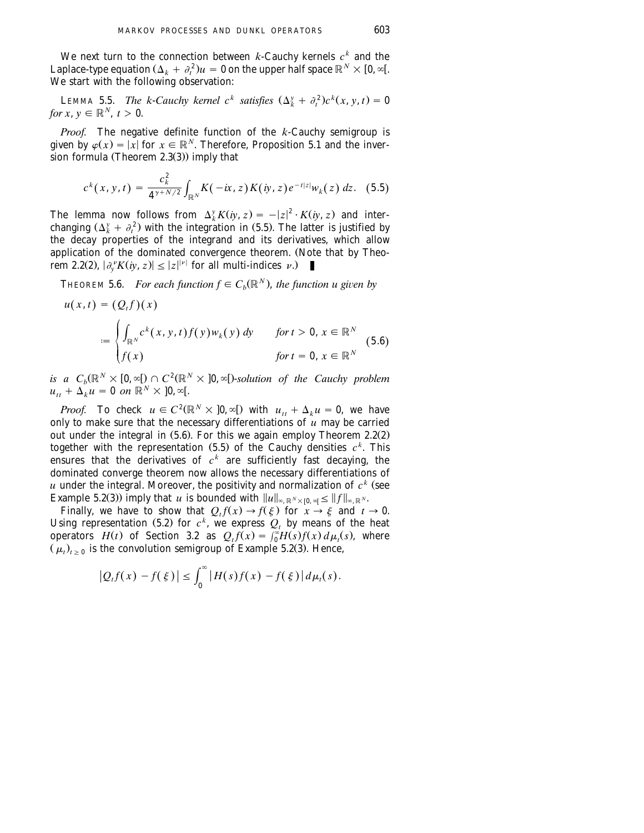We next turn to the connection between  $k$ -Cauchy kernels  $c^k$  and the Laplace-type equation  $(\Delta_k + \partial_t^2)u = 0$  on the upper half space  $\mathbb{R}^N \times [0, \infty)$ . We start with the following observation:

*k* LEMMA 5.5. *The k-Cauchy kernel c<sup>k</sup> satisfies*  $(\Delta_k^y + \partial_t^2)c^k(x, y, t) = 0$ *for*  $x, y \in \mathbb{R}^N$ ,  $t > 0$ .

*Proof.* The negative definite function of the *k*-Cauchy semigroup is given by  $\varphi(x) = |x|$  for  $x \in \mathbb{R}^N$ . Therefore, Proposition 5.1 and the inversion formula (Theorem  $2.3(3)$ ) imply that

$$
c^{k}(x, y, t) = \frac{c_{k}^{2}}{4^{\gamma + N/2}} \int_{\mathbb{R}^{N}} K(-ix, z) K(iy, z) e^{-t|z|} w_{k}(z) dz.
$$
 (5.5)

The lemma now follows from  $\Delta_k^y K(iy, z) = -|z|^2 \cdot K(iy, z)$  and interchanging  $(\Delta_k^y + \partial_t^2)$  with the integration in (5.5). The latter is justified by the decay properties of the integrand and its derivatives, which allow application of the dominated convergence theorem. (Note that by Theon  $2.2(2)$ ,  $|\partial_v^{\nu} K(iy, z)| \leq |z|^{\nu}$  for all multi-indices  $\nu$ .)

**THEOREM 5.6.** *For each function*  $f \in C_k(\mathbb{R}^N)$ , *the function u given by* 

$$
u(x,t) = (Q_t f)(x)
$$
  

$$
:= \begin{cases} \int_{\mathbb{R}^N} c^k(x, y, t) f(y) w_k(y) dy & \text{for } t > 0, x \in \mathbb{R}^N \\ f(x) & \text{for } t = 0, x \in \mathbb{R}^N \end{cases}
$$
(5.6)

is a  $C_b(\mathbb{R}^N \times [0, \infty[) \cap C^2(\mathbb{R}^N \times [0, \infty[) \cdot \text{solution of the Cauchy problem})$  $u_{tt} + \Delta \times \mathbf{u} = \mathbf{0}$  *on*  $\mathbb{R}^N \times \mathbf{0}$ ,  $\infty$ [.

*Proof.* To check  $u \in C^2(\mathbb{R}^N \times ]0, \infty[)$  with  $u_{tt} + \Delta_k u = 0$ , we have only to make sure that the necessary differentiations of  $\hat{u}$  may be carried out under the integral in  $(5.6)$ . For this we again employ Theorem 2.2 $(2)$ together with the representation  $(5.5)$  of the Cauchy densities  $c<sup>k</sup>$ . This ensures that the derivatives of  $c^k$  are sufficiently fast decaying, the dominated converge theorem now allows the necessary differentiations of  $u$  under the integral. Moreover, the positivity and normalization of  $c<sup>k</sup>$  (see Example 5.2(3)) imply that *u* is bounded with  $||u||_{\infty, \mathbb{R}^N \times [0, \infty]} \leq ||f||_{\infty, \mathbb{R}^N}$ .

Finally, we have to show that  $Q_t f(x) \to f(\xi)$  for  $x \to \xi$  and  $t \to 0$ . Using representation (5.2) for  $c^k$ , we express  $Q_t$  by means of the heat operators *H*(*t*) of Section 3.2 as  $Q_t f(x) = \int_0^x H(s) f(x) d\mu_t(s)$ , where  $(\mu_t)_{t>0}$  is the convolution semigroup of Example 5.2(3). Hence,

$$
|Q_t f(x) - f(\xi)| \leq \int_0^{\infty} |H(s) f(x) - f(\xi)| d\mu_t(s).
$$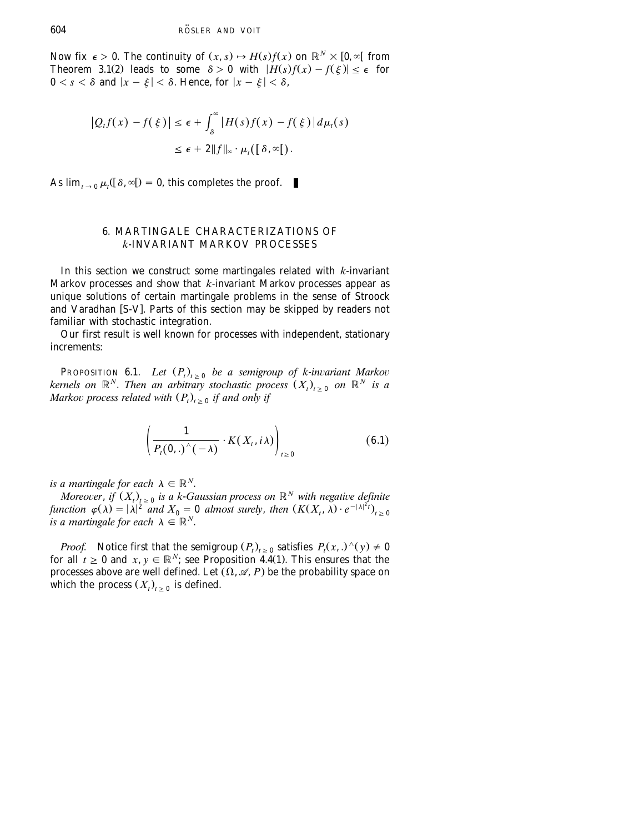<span id="page-29-0"></span>Now fix  $\epsilon > 0$ . The continuity of  $(x, s) \rightarrow H(s)f(x)$  on  $\mathbb{R}^N \times [0, \infty[$  from Theorem 3.1(2) leads to some  $\delta > 0$  with  $|H(s)f(x) - f(\xi)| \leq \epsilon$  for  $0 \leq s \leq \delta$  and  $|x - \xi| < \delta$ . Hence, for  $|x - \xi| < \delta$ ,

$$
\begin{aligned} \left| Q_t f(x) - f(\xi) \right| &\leq \epsilon + \int_{\delta}^{\infty} \left| H(s) f(x) - f(\xi) \right| d\mu_t(s) \\ &\leq \epsilon + 2 \| f \|_{\infty} \cdot \mu_t(\left[ \delta, \infty \right[ \right]. \end{aligned}
$$

As  $\lim_{t \to 0} \mu_t([\delta, \infty]) = 0$ , this completes the proof.  $\blacksquare$ 

## 6. MARTINGALE CHARACTERIZATIONS OF *k*-INVARIANT MARKOV PROCESSES

In this section we construct some martingales related with *k*-invariant Markov processes and show that *k*-invariant Markov processes appear as unique solutions of certain martingale problems in the sense of Stroock and Varadhan [S-V]. Parts of this section may be skipped by readers not familiar with stochastic integration.

Our first result is well known for processes with independent, stationary increments:

**PROPOSITION 6.1.** *Let*  $(P_t)_{t\geq 0}$  *be a semigroup of k-invariant Markov kernels on*  $\mathbb{R}^N$ . *Then an arbitrary stochastic process*  $(X_t)_{t\geq0}$  *on*  $\mathbb{R}^N$  *is a Markov process related with*  $(P_t)_{t \geq 0}$  *if and only if* 

$$
\left(\frac{1}{P_t(0,.)^\wedge(-\lambda)}\cdot K(X_t,i\lambda)\right)_{t\geq 0} \tag{6.1}
$$

*is a martingale for each*  $\lambda \in \mathbb{R}^N$ .

*Moreover, if*  $(X_t)_{t\geq 0}$  *is a k-Gaussian process on*  $\mathbb{R}^N$  *with negative definite* function  $\varphi(\lambda) = |\lambda|^2$  and  $X_0 = 0$  almost surely, then  $(K(X_t, \lambda) \cdot e^{-|\lambda|^2 t})_{t \geq 0}$ *is a martingale for each*  $\lambda \in \mathbb{R}^N$ .

*Proof.* Notice first that the semigroup  $(P_t)_{t \geq 0}$  satisfies  $P_t(x,.)^{\wedge}(y) \neq 0$ for all  $t \geq 0$  and  $x, y \in \mathbb{R}^N$ ; see Proposition 4.4(1). This ensures that the processes above are well defined. Let  $(\Omega, \mathcal{A}, P)$  be the probability space on which the process  $(X_t)_{t>0}$  is defined.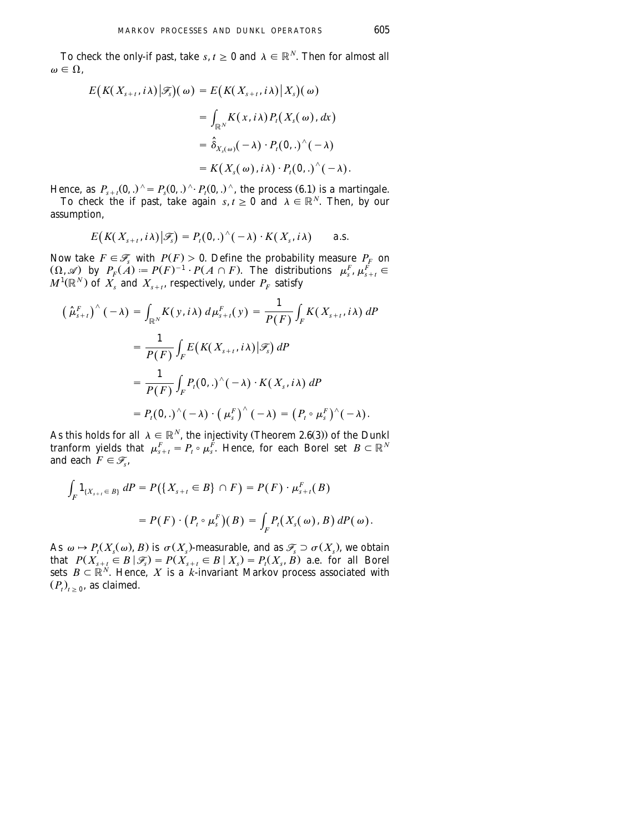To check the only-if past, take *s*,  $t \ge 0$  and  $\lambda \in \mathbb{R}^N$ . Then for almost all  $\omega \in \Omega$ .

$$
E\big(K(X_{s+t}, i\lambda) | \mathcal{F}_s\big)(\omega) = E\big(K(X_{s+t}, i\lambda) | X_s\big)(\omega)
$$
  

$$
= \int_{\mathbb{R}^N} K(x, i\lambda) P_t(X_s(\omega), dx)
$$
  

$$
= \hat{\delta}_{X_s(\omega)}(-\lambda) \cdot P_t(0,.)^\wedge(-\lambda)
$$
  

$$
= K(X_s(\omega), i\lambda) \cdot P_t(0,.)^\wedge(-\lambda).
$$

Hence, as  $P_{s+t}(0,.)^\wedge = P_s(0,.)^\wedge \cdot P_t(0,.)^\wedge$ , the process (6.1) is a martingale.

To check the if past, take again  $s, t \ge 0$  and  $\lambda \in \mathbb{R}^N$ . Then, by our assumption,

$$
E\big(K(X_{s+t},i\lambda)\big|\mathscr{F}_s\big)=P_t(\mathbf{0},.)^\wedge(-\lambda)\cdot K(X_s,i\lambda)\qquad\text{a.s.}
$$

Now take  $F \in \mathcal{F}_s$  with  $P(F) > 0$ . Define the probability measure  $P_F$  on  $(\Omega, \mathscr{A})$  by  $P_F(A) := P(F)^{-1} \cdot P(A \cap F)$ . The distributions  $\mu_s^F, \mu_{s+t}^F \in$  $M^1(\mathbb{R}^N)$  of  $\overline{X}_s$  and  $\overline{X}_{s+t}$ , respectively, under  $P_F$  satisfy

$$
\left(\hat{\mu}_{s+t}^F\right)^\wedge(-\lambda) = \int_{\mathbb{R}^N} K(y, i\lambda) d\mu_{s+t}^F(y) = \frac{1}{P(F)} \int_F K(X_{s+t}, i\lambda) dP
$$

$$
= \frac{1}{P(F)} \int_F E\big(K(X_{s+t}, i\lambda) | \mathcal{F}_s\big) dP
$$

$$
= \frac{1}{P(F)} \int_F P_t(\mathbf{0},.)^\wedge(-\lambda) \cdot K(X_s, i\lambda) dP
$$

$$
= P_t(\mathbf{0},.)^\wedge(-\lambda) \cdot \left(\mu_s^F\right)^\wedge(-\lambda) = \left(P_t \circ \mu_s^F\right)^\wedge(-\lambda).
$$

As this holds for all  $\lambda \in \mathbb{R}^N$ , the injectivity (Theorem 2.6(3)) of the Dunkl tranform yields that  $\mu_{s+t}^F = P_t \circ \mu_s^{\breve{F}}$ . Hence, for each Borel set  $B \subset \mathbb{R}^N$ and each  $F \in \mathcal{F}_s$ ,

$$
\int_{F} 1_{\{X_{s+t} \in B\}} dP = P(\{X_{s+t} \in B\} \cap F) = P(F) \cdot \mu_{s+t}^{F}(B)
$$

$$
= P(F) \cdot (P_t \circ \mu_{s}^{F})(B) = \int_{F} P_t(X_s(\omega), B) dP(\omega).
$$

As  $\omega \mapsto P_t(X_s(\omega), B)$  is  $\sigma(X_s)$ -measurable, and as  $\mathscr{F}_s \supset \sigma(X_s)$ , we obtain that  $P(X_{s+t} \in B | \mathcal{F}_s) = P(X_{s+t} \in B | X_s) = P(X_s, B)$  a.e. for all Borel sets  $B \subset \mathbb{R}^N$ . Hence, X is a *k*-invariant Markov process associated with  $(P_t)_{t>0}$ , as claimed.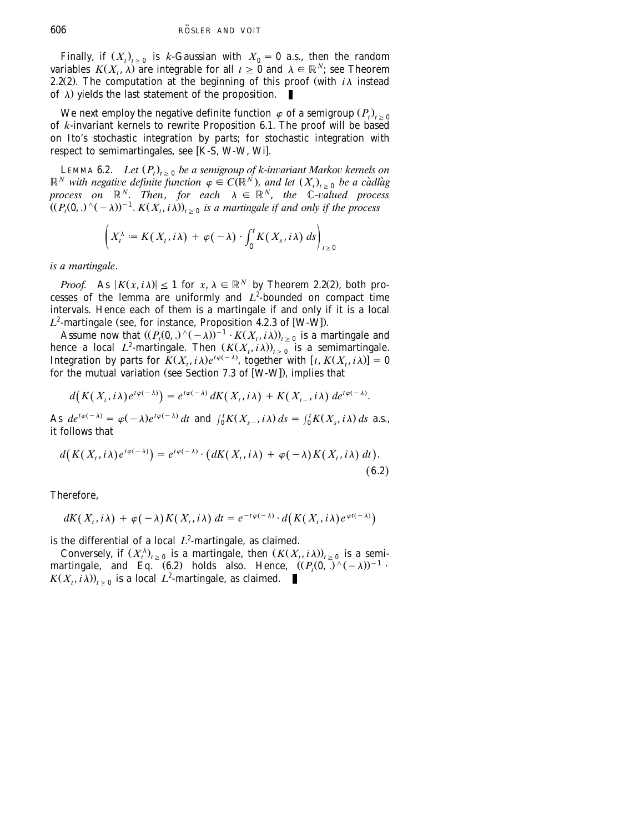Finally, if  $(X_t)_{t>0}$  is *k*-Gaussian with  $X_0 = 0$  a.s., then the random variables  $K(X_t, \lambda)$  are integrable for all  $t \geq 0$  and  $\lambda \in \mathbb{R}^N$ ; see Theorem 2.2(2). The computation at the beginning of this proof (with  $i\lambda$  instead of  $\lambda$ ) yields the last statement of the proposition.

We next employ the negative definite function  $\,\varphi$  of a semigroup  $\left( P_{t}\right) _{t\,\geq\,0}$ of *k*-invariant kernels to rewrite Proposition 6.1. The proof will be based on Ito's stochastic integration by parts; for stochastic integration with respect to semimartingales, see  $[K-S, W-W, Wi]$  $[K-S, W-W, Wi]$  $[K-S, W-W, Wi]$ .

LEMMA 6.2. *Let*  $(P_t)_{t\geq 0}$  *be a semigroup of k-invariant Markov kernels on*  $\mathbb{R}^N$  *with negative definite function*  $\varphi \in C(\mathbb{R}^N)$ *, and let*  $(X_t)_{t>0}$  *be a cadlag process on*  $\mathbb{R}^N$ . *Then*, *for each*  $\lambda \in \mathbb{R}^N$ , *the* C-*valued process*  $\overline{P}((P_t(0,.)^{\wedge}(-\lambda))^{-1}$ .  $K(X_t, i\lambda))_{t>0}$  is a martingale if and only if the process

$$
\left(X_t^{\lambda} := K(X_t, i\lambda) + \varphi(-\lambda) \cdot \int_0^t K(X_s, i\lambda) \ ds\right)_{t \geq 0}
$$

*is a martingale*.

*Proof.* As  $|K(x, i\lambda)| \le 1$  for  $x, \lambda \in \mathbb{R}^N$  by Theorem 2.2(2), both processes of the lemma are uniformly and  $L^2$ -bounded on compact time intervals. Hence each of them is a martingale if and only if it is a local  $L^2$ -martingale (see, for instance, Proposition 4.2.3 of [W-W]).

Assume now that  $(P_t(0, .)^{\wedge}(-\lambda))^{-1} \cdot K(X_t, i\lambda)_{t>0}$  is a martingale and hence a local *L*<sup>2</sup>-martingale. Then  $(K(X_t, i\lambda))_{t>0}$  is a semimartingale. Integration by parts for  $K(X_t, i\lambda)e^{i\varphi(-\lambda)}$ , together with  $[t, K(X_t, i\lambda)] = 0$ for the mutual variation (see Section 7.3 of  $[W-W]$ ), implies that

$$
d\big(K(X_t,i\lambda)e^{t\varphi(-\lambda)}\big)=e^{t\varphi(-\lambda)}\,dK(X_t,i\lambda)+K(X_{t-},i\lambda)\,de^{t\varphi(-\lambda)}.
$$

As  $de^{t\varphi(-\lambda)} = \varphi(-\lambda)e^{t\varphi(-\lambda)} dt$  and  $\int_0^t K(X_{s-}, i\lambda) ds = \int_0^t K(X_s, i\lambda) ds$  a.s., it follows that

$$
d\big(K(X_t,i\lambda)e^{t\varphi(-\lambda)}\big)=e^{t\varphi(-\lambda)}\cdot\big(dK(X_t,i\lambda)+\varphi(-\lambda)K(X_t,i\lambda)\,dt\big).
$$
\n(6.2)

Therefore,

$$
dK(X_t, i\lambda) + \varphi(-\lambda) K(X_t, i\lambda) dt = e^{-t\varphi(-\lambda)} \cdot d\bigl(K(X_t, i\lambda)e^{\varphi t(-\lambda)}\bigr)
$$

is the differential of a local  $L^2$ -martingale, as claimed.

Conversely, if  $(X_t^{\lambda})_{t>0}$  is a martingale, then  $(K(X_t, i\lambda))_{t>0}$  is a semimartingale, and Eq.  $(6.2)$  holds also. Hence,  $((P_t(0, \bar{.})^{\wedge}(-\lambda))^{-1}$ .<br> $K(X_t, i\lambda))_{t>0}$  is a local *L*<sup>2</sup>-martingale, as claimed.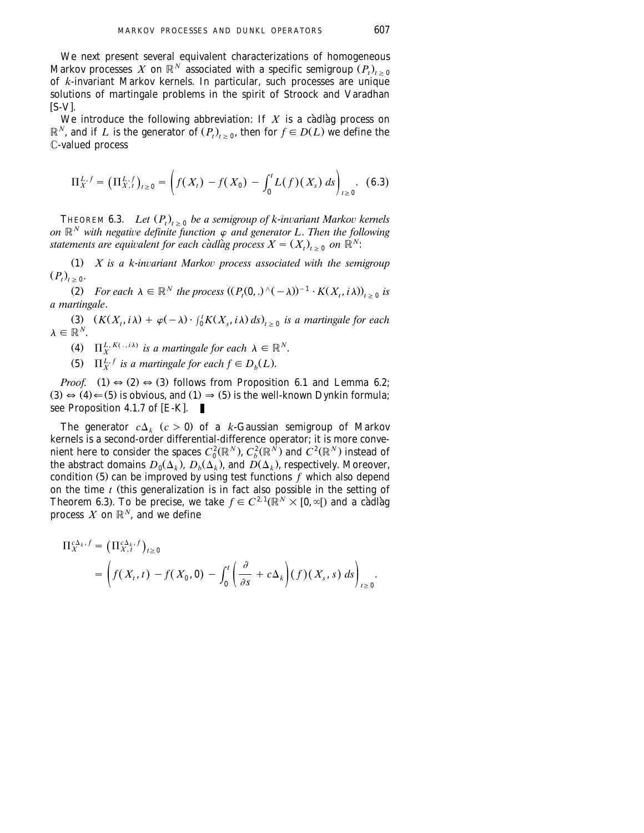We next present several equivalent characterizations of homogeneous  $\mathop{\rm Markov}\nolimits$  processes  $\,X\,$  on  $\mathbb{R}^N\,$  associated with a specific semigroup  $(P_t)_{t\,\geq\, 0}$ of *k*-invariant Markov kernels. In particular, such processes are unique solutions of martingale problems in the spirit of Stroock and Varadhan  $[S-V]$ .

We introduce the following abbreviation: If *X* is a càdlàg process on  $\mathbb{R}^N$ , and if *L* is the generator of  $(P_r)_{r>s}$ , then for  $f \in D(L)$  we define the C-valued process

$$
\Pi_X^{L,f} = \left(\Pi_{X,t}^{L,f}\right)_{t\geq 0} = \left(f(X_t) - f(X_0) - \int_0^t L(f)(X_s) \, ds\right)_{t\geq 0}.\tag{6.3}
$$

THEOREM 6.3. *Let*  $(P_t)_{t \geq 0}$  *be a semigroup of k-invariant Markov kernels on*  $\mathbb{R}^N$  with negative definite function  $\varphi$  and generator L. Then the following *statements are equivalent for each cadlag process*  $X = (X_t)_{t \geq 0}$  on  $\mathbb{R}^N$ :

(1) *X* is a k-invariant Markov process associated with the semigroup  $(P_t)_{t \geq 0}$ .

(2) For each  $\lambda \in \mathbb{R}^N$  the process  $(P_t(0,.)^{\wedge}(-\lambda))^{-1} \cdot K(X_t, i\lambda)_{t>0}$  is *a martingale*.

(3)  $(K(X_t, i\lambda) + \varphi(-\lambda) \cdot \int_0^t K(X_s, i\lambda) ds)_{t>0}$  is a martingale for each  $\lambda \in \mathbb{R}^N$ .

- (4)  $\Pi_{Y}^{L, K(., i\lambda)}$  *is a martingale for each*  $\lambda \in \mathbb{R}^{N}$ .
- (5)  $\Pi_{\mathbf{x}}^{L,f}$  *is a martingale for each*  $f \in D_h(L)$ *.*

*Proof.* (1)  $\Rightarrow$  (2)  $\Rightarrow$  (3) follows from Proposition 6.1 and Lemma 6.2;  $(3) \leftrightarrow (4) \leftarrow (5)$  is obvious, and  $(1) \Rightarrow (5)$  is the well-known Dynkin formula; see Proposition 4.1.7 of  $[E-K]$ .

The generator  $c\Delta_k$   $(c > 0)$  of a *k*-Gaussian semigroup of Markov kernels is a second-order differential-difference operator; it is more convenient here to consider the spaces  $C_0^2(\mathbb{R}^N)$ ,  $C_b^2(\mathbb{R}^N)$  and  $C^2(\mathbb{R}^N)$  instead of the abstract domains  $D_0(\Delta_k)$ ,  $D_b(\Delta_k)$ , and  $D(\Delta_k)$ , respectively. Moreover, condition (5) can be improved by using test functions  $\bar{f}$  which also depend on the time  $t$  (this generalization is in fact also possible in the setting of Theorem 6.3). To be precise, we take  $f \in C^{2,1}(\mathbb{R}^N \times [0,\infty[)$  and a cadlag process  $X$  on  $\mathbb{R}^N$ , and we define

$$
\Pi_X^{c\Delta_k, f} = \left(\Pi_{X, t}^{c\Delta_k, f}\right)_{t \ge 0}
$$
\n
$$
= \left(f(X_t, t) - f(X_0, 0) - \int_0^t \left(\frac{\partial}{\partial s} + c\Delta_k\right) (f)(X_s, s) \, ds\right)_{t \ge 0}.
$$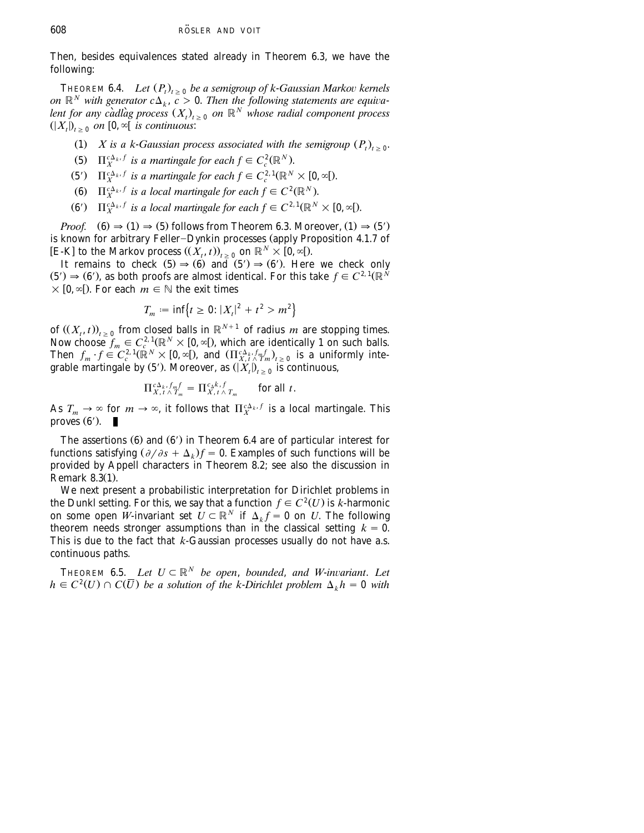Then, besides equivalences stated already in Theorem 6.3, we have the following:

THEOREM 6.4. *Let*  $(P_t)_{t \geq 0}$  *be a semigroup of k-Gaussian Markov kernels on*  $\mathbb{R}^N$  *with generator*  $c\Delta_k$ ,  $c > 0$ . *Then the following statements are equiva*lent for any càdlàg process  $(X_t)_{t \geq 0}$  on  $\mathbb{R}^N$  whose radial component process  $(|X_t|)_{t>0}$  on  $[0, \infty]$  *is continuous*:

- (1) *X* is a k-*Gaussian process associated with the semigroup*  $(P_t)$ ,  $\delta$
- (5)  $\Pi_X^{c\Delta_k, f}$  *is a martingale for each*  $f \in C_c^2(\mathbb{R}^N)$ *.*
- (5')  $\Pi_{\mathbf{x}}^{c\Delta_k, f}$  *is a martingale for each*  $f \in C_c^{2,1}(\mathbb{R}^N \times [0, \infty])$ *.*
- (6)  $\Pi_{\mathbf{Y}}^{c\Delta_k, f}$  *is a local martingale for each*  $f \in C^2(\mathbb{R}^N)$ *.*
- (6')  $\Pi_{\mathbf{x}}^{c\Delta_k, f}$  *is a local martingale for each*  $f \in C^{2,1}(\mathbb{R}^N \times [0,\infty])$ *.*

*Proof.*  $(6) \Rightarrow (1) \Rightarrow (5)$  follows from Theorem 6.3. Moreover,  $(1) \Rightarrow (5')$ is known for arbitrary Feller-Dynkin processes (apply Proposition 4.1.7 of  $[{\bf E-K}]$  to the Markov process  $(X_t, t)$ ,  $\sum_{t=0}^{\infty}$  on  $\mathbb{R}^N \times [0, \infty)$ .

It remains to check  $(5) \Rightarrow (6)$  and  $(5') \Rightarrow (6')$ . Here we check only  $(5') \Rightarrow (6')$ , as both proofs are almost identical. For this take  $f \in C^{2,1}(\mathbb{R}^N)$  $\times$  [0,  $\infty$ [). For each  $m \in \mathbb{N}$  the exit times

$$
T_m := \inf \{ t \ge 0 : |X_t|^2 + t^2 > m^2 \}
$$

of  $((X_t, t))_{t \geq 0}$  from closed balls in  $\mathbb{R}^{N+1}$  of radius *m* are stopping times. Now choose  $f_m \in C_c^{2,1}(\mathbb{R}^N \times [0,\infty])$ , which are identically 1 on such balls. Then  $f_m \cdot f \in C_c^{2,1}(\mathbb{R}^N) \times [0,\infty])$ , and  $(\prod_{X,t \atop X,t \atop X,t \atop Y} \frac{f_m f_n}{f_m}$ , is a uniformly integrable martingale by (5<sup>'</sup>). Moreover, as  $(|X_t|)_{t\geq 0}$  is continuous,

$$
\Pi_{X,\,t}^{c\Delta_k,\,f_m f} = \Pi_{X,\,t\,\wedge\,T_m}^{c_\Delta k,\,f} \qquad \text{for all } t.
$$

As  $T_m \to \infty$  for  $m \to \infty$ , it follows that  $\Pi_X^{c\Delta_k, f}$  is a local martingale. This proves  $(6')$ .

The assertions  $(6)$  and  $(6')$  in Theorem 6.4 are of particular interest for functions satisfying  $(\partial/\partial s + \Delta_k)f = 0$ . Examples of such functions will be provided by Appell characters in Theorem 8.2; see also the discussion in Remark 8.3(1).

We next present a probabilistic interpretation for Dirichlet problems in the Dunkl setting. For this, we say that a function  $f \in C^2(U)$  is *k*-harmonic on some open *W*-invariant set  $U \subset \mathbb{R}^N$  if  $\Delta_k f = 0$  on *U*. The following theorem needs stronger assumptions than in the classical setting  $k = 0$ . This is due to the fact that *k*-Gaussian processes usually do not have a.s. continuous paths.

THEOREM 6.5. *Let*  $U \subset \mathbb{R}^N$  *be open, bounded, and W-invariant. Let*  $h \in C^2(U) \cap C(\overline{U})$  be a solution of the k-Dirichlet problem  $\Delta_k h = 0$  with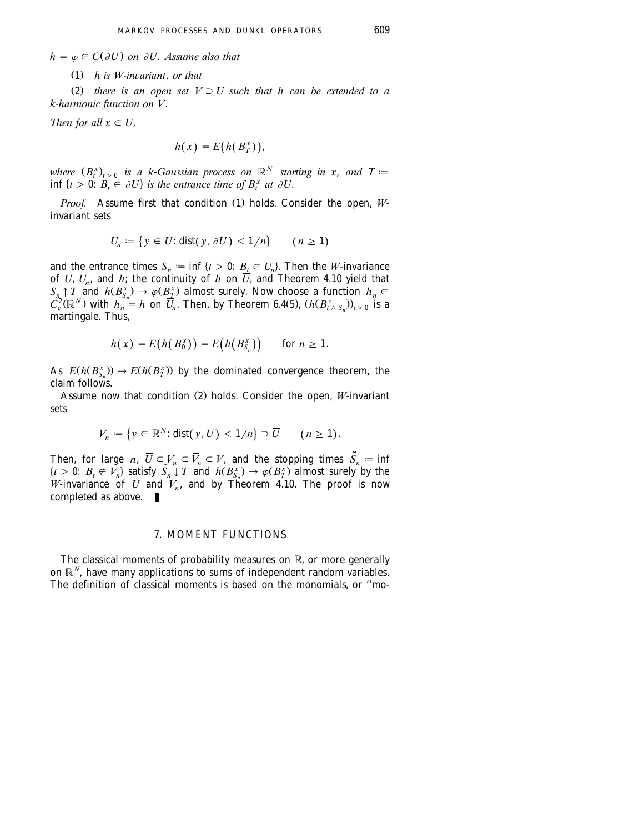<span id="page-34-0"></span> $h = \varphi \in C(\partial U)$  on  $\partial U$ . *Assume also that* 

 $\sum_{i=1}^{n} h_i$  *is W-invariant, or that* 

(2) there is an open set  $V \supset \overline{U}$  such that h can be extended to a *k*-*harmonic function on V*.

*Then for all*  $x \in U$ ,

$$
h(x) = E(h(B_T^x)),
$$

where  $(B_t^x)_{t\geq 0}$  is a k-Gaussian process on  $\mathbb{R}^N$  starting in x, and  $T =$  $\inf \{ t > 0 : B_t \in \partial U \}$  is the entrance time of  $B_t^x$  at  $\partial U$ .

*Proof.* Assume first that condition (1) holds. Consider the open, Winvariant sets

$$
U_n := \{ y \in U : \text{dist}(y, \partial U) < 1/n \} \qquad (n \ge 1)
$$

and the entrance times  $S_n := \inf \{ t > 0 : B_{\underline{t}} \in U_n \}$ . Then the *W*-invariance of *U*,  $U_n$ , and *h*; the continuity of *h* on *U*, and Theorem 4.10 yield that  $S_n \uparrow T$  and  $h(B_{S_n}^x) \to \varphi(B_{\underline{T}}^x)$  almost surely. Now choose a function  $h_n \in$  $C_c^2(\mathbb{R}^N)$  with  $h_n = h$  on  $\overline{U}_n$ . Then, by Theorem 6.4(5),  $(h(B_{t \wedge S_n}^x))_{t \geq 0}$  is a martingale. Thus,

$$
h(x) = E(h(B_0^x)) = E(h(B_{S_n}^x)) \quad \text{for } n \ge 1.
$$

As  $E(h(B_s^x)) \to E(h(B_T^x))$  by the dominated convergence theorem, the claim follows.

Assume now that condition (2) holds. Consider the open, *W*-invariant sets

$$
V_n := \{ y \in \mathbb{R}^N : \text{dist}(y, U) < 1/n \} \supset \overline{U} \qquad (n \ge 1).
$$

Then, for large *n*,  $\overline{U} \subset V_n \subset \overline{V}_n \subset V$ , and the stopping times  $\overline{S}_n := \inf$  $\{t > 0: B_t \notin V_n\}$  satisfy  $\overline{S}_n \downarrow T$  and  $h(B_{S_n}^*) \to \varphi(B_T^*)$  almost surely by the *W*-invariance of *U* and  $V_n$ , and by Theorem 4.10. The proof is now completed as above.

### 7. MOMENT FUNCTIONS

The classical moments of probability measures on R, or more generally on  $\mathbb{R}^N$ , have many applications to sums of independent random variables. The definition of classical moments is based on the monomials, or ''mo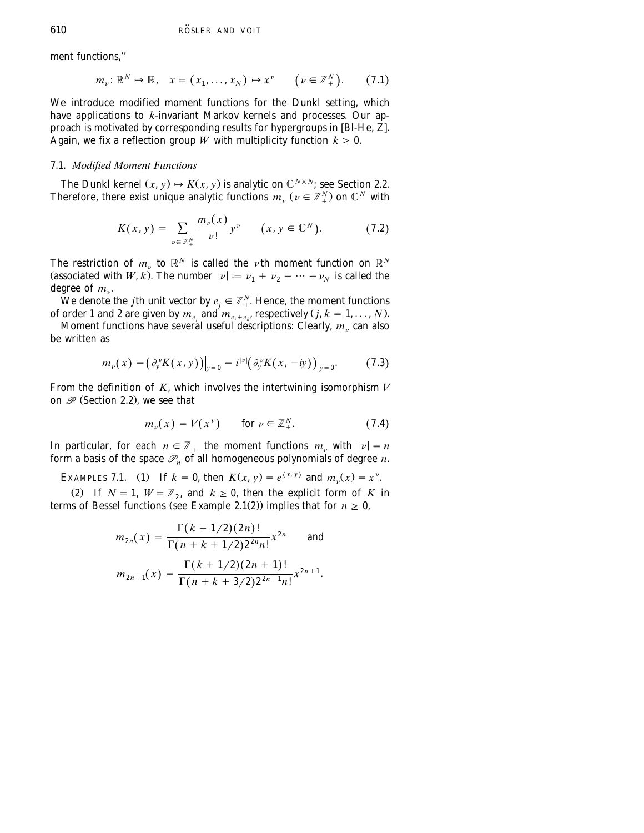<span id="page-35-0"></span>ment functions,''

$$
m_{\nu}: \mathbb{R}^N \mapsto \mathbb{R}, \quad x = (x_1, \dots, x_N) \mapsto x^{\nu} \qquad (\nu \in \mathbb{Z}_+^N). \tag{7.1}
$$

We introduce modified moment functions for the Dunkl setting, which have applications to *k*-invariant Markov kernels and processes. Our approach is motivated by corresponding results for hypergroups in [Bl-He,  $Z$ ]. Again, we fix a reflection group W with multiplicity function  $k \geq 0$ .

### 7.1. *Modified Moment Functions*

The Dunkl kernel  $(x, y) \mapsto K(x, y)$  is analytic on  $\mathbb{C}^{N \times N}$ ; see Section 2.2. Therefore, there exist unique analytic functions  $m_n$  ( $\nu \in \mathbb{Z}_{+}^{N}$ ) on  $\mathbb{C}^{N}$  with

$$
K(x, y) = \sum_{\nu \in \mathbb{Z}_+^N} \frac{m_{\nu}(x)}{\nu!} y^{\nu} \qquad (x, y \in \mathbb{C}^N). \tag{7.2}
$$

The restriction of  $m_{\nu}$  to  $\mathbb{R}^{N}$  is called the  $\nu$ th moment function on  $\mathbb{R}^{N}$ (associated with *W*, *k*). The number  $|\nu| := \nu_1 + \nu_2 + \cdots + \nu_N$  is called the degree of  $m_{\nu}$ .

We denote the *j*th unit vector by  $e_i \in \mathbb{Z}_{+}^N$ . Hence, the moment functions of order 1 and 2 are given by  $m_e$ , and  $m_{e, +e}$ , respectively (*j*,  $k = 1, ..., N$ ).

Moment functions have several useful descriptions: Clearly,  $m_v$  can also be written as

$$
m_{\nu}(x) = \left(\partial_{y}^{\nu} K(x, y)\right)\big|_{y=0} = i^{|\nu|} \left(\partial_{y}^{\nu} K(x, -iy)\right)\big|_{y=0}.
$$
 (7.3)

From the definition of *K*, which involves the intertwining isomorphism *V* on  $\mathscr P$  (Section 2.2), we see that

$$
m_{\nu}(x) = V(x^{\nu}) \qquad \text{for } \nu \in \mathbb{Z}_{+}^{N}.
$$
 (7.4)

In particular, for each  $n \in \mathbb{Z}_+$  the moment functions  $m_\nu$  with  $|\nu| = n$ form a basis of the space  $\mathcal{P}_n$  of all homogeneous polynomials of degree *n*.

EXAMPLES 7.1. (1) If  $k = 0$ , then  $K(x, y) = e^{\langle x, y \rangle}$  and  $m_y(x) = x^y$ .

(2) If  $N = 1$ ,  $W = \mathbb{Z}_2$ , and  $k \ge 0$ , then the explicit form of *K* in terms of Bessel functions (see Example 2.1(2)) implies that for  $n \geq 0$ .

$$
m_{2n}(x) = \frac{\Gamma(k + 1/2)(2n)!}{\Gamma(n + k + 1/2)2^{2n}n!} x^{2n}
$$
 and  

$$
m_{2n+1}(x) = \frac{\Gamma(k + 1/2)(2n + 1)!}{\Gamma(n + k + 3/2)2^{2n+1}n!} x^{2n+1}.
$$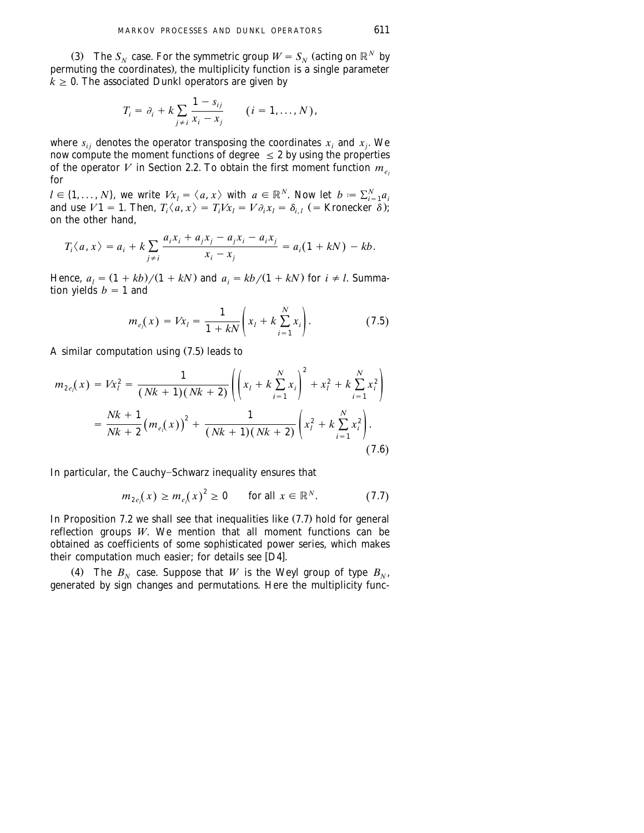(3) The  $S_N$  case. For the symmetric group  $W = S_N$  (acting on  $\mathbb{R}^N$  by permuting the coordinates), the multiplicity function is a single parameter  $k \geq 0$ . The associated Dunkl operators are given by

$$
T_i = \partial_i + k \sum_{j \neq i} \frac{1 - s_{ij}}{x_i - x_j} \qquad (i = 1, \ldots, N),
$$

where  $s_{ij}$  denotes the operator transposing the coordinates  $x_i$  and  $x_j$ . We now compute the moment functions of degree  $\leq$  2 by using the properties of the operator *V* in [Section 2.2.](#page-7-0) To obtain the first moment function  $m_e$ for

 $l \in \{1, ..., N\}$ , we write  $Vx_l = \langle a, x \rangle$  with  $a \in \mathbb{R}^N$ . Now let  $b := \sum_{i=1}^N a_i$ and use  $V1 = 1$ . Then,  $T_i \langle a, x \rangle = T_i Vx_i = V \partial_i x_i = \delta_{i,i}$  (= Kronecker  $\delta$ ); on the other hand,

$$
T_i \langle a, x \rangle = a_i + k \sum_{j \neq i} \frac{a_i x_i + a_j x_j - a_j x_i - a_i x_j}{x_i - x_j} = a_i (1 + kN) - kb.
$$

Hence,  $a_i = (1 + kb)/(1 + kN)$  and  $a_i = kb/(1 + kN)$  for  $i \neq l$ . Summation yields  $b = 1$  and

$$
m_{e_l}(x) = Vx_l = \frac{1}{1 + kN} \left( x_l + k \sum_{i=1}^{N} x_i \right). \tag{7.5}
$$

A similar computation using  $(7.5)$  leads to

$$
m_{2e_l}(x) = Vx_l^2 = \frac{1}{(Nk+1)(Nk+2)} \left( \left( x_l + k \sum_{i=1}^N x_i \right)^2 + x_l^2 + k \sum_{i=1}^N x_i^2 \right)
$$
  
= 
$$
\frac{Nk+1}{Nk+2} (m_{e_l}(x))^2 + \frac{1}{(Nk+1)(Nk+2)} \left( x_l^2 + k \sum_{i=1}^N x_i^2 \right).
$$
 (7.6)

In particular, the Cauchy-Schwarz inequality ensures that

$$
m_{2e_l}(x) \ge m_{e_l}(x)^2 \ge 0 \qquad \text{for all } x \in \mathbb{R}^N. \tag{7.7}
$$

In Proposition 7.2 we shall see that inequalities like  $(7.7)$  hold for general reflection groups *W*. We mention that all moment functions can be obtained as coefficients of some sophisticated power series, which makes their computation much easier; for details see  $[D4]$ .

(4) The  $B_N$  case. Suppose that *W* is the Weyl group of type  $B_N$ , generated by sign changes and permutations. Here the multiplicity func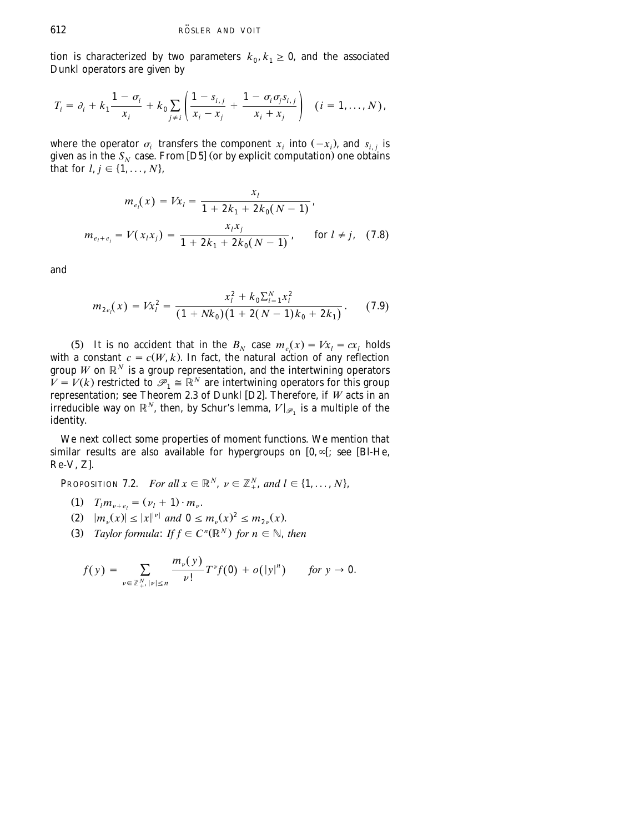tion is characterized by two parameters  $k_0, k_1 \geq 0$ , and the associated Dunkl operators are given by

$$
T_i = \partial_i + k_1 \frac{1 - \sigma_i}{x_i} + k_0 \sum_{j \neq i} \left( \frac{1 - s_{i,j}}{x_i - x_j} + \frac{1 - \sigma_i \sigma_j s_{i,j}}{x_i + x_j} \right) \quad (i = 1, ..., N),
$$

where the operator  $\sigma_i$  transfers the component  $x_i$  into  $(-x_i)$ , and  $s_{i,i}$  is given as in the  $S_N$  case. From [D5] (or by explicit computation) one obtains that for  $l, j \in \{1, ..., N\}$ ,

$$
m_{e_l}(x) = Vx_l = \frac{x_l}{1 + 2k_1 + 2k_0(N - 1)},
$$
  

$$
m_{e_l + e_j} = V(x_l x_j) = \frac{x_l x_j}{1 + 2k_1 + 2k_0(N - 1)}, \quad \text{for } l \neq j, \quad (7.8)
$$

and

$$
m_{2e_l}(x) = Vx_l^2 = \frac{x_l^2 + k_0 \sum_{i=1}^N x_i^2}{(1 + Nk_0)(1 + 2(N - 1)k_0 + 2k_1)}.
$$
 (7.9)

(5) It is no accident that in the  $B_N$  case  $m_e(x) = Vx_i = cx_i$  holds with a constant  $c = c(W, k)$ . In fact, the natural action of any reflection group *W* on  $\mathbb{R}^N$  is a group representation, and the intertwining operators  $V = V(k)$  restricted to  $\mathscr{P}_1 \cong \mathbb{R}^N$  are intertwining operators for this group representation; see Theorem 2.3 of Dunkl [D2]. Therefore, if W acts in an *irreducible way on*  $\mathbb{R}^N$ , then, by Schur's lemma,  $V|_{\mathscr{P}_1}$  is a multiple of the identity.

We next collect some properties of moment functions. We mention that similar results are also available for hypergroups on  $[0, \infty]$ ; see [Bl-He,  $Re-V, Z$  $Re-V, Z$ ].

**PROPOSITION 7.2.** *For all*  $x \in \mathbb{R}^N$ ,  $\nu \in \mathbb{Z}_+^N$ , and  $l \in \{1, ..., N\}$ ,

- $T_l m_{\nu+e_l} = (\nu_l + 1) \cdot m_{\nu}$ .
- $|x y_0|^2 \leq |x|^{|\nu|}$  and  $0 \leq m_{\nu}(x)^2 \leq m_{\nu}(x)$ .
- (3) *Taylor formula: If*  $f \in C^n(\mathbb{R}^N)$  *for*  $n \in \mathbb{N}$ *, then*

$$
f(y) = \sum_{\nu \in \mathbb{Z}_{+}^N, |\nu| \leq n} \frac{m_{\nu}(y)}{\nu!} T^{\nu} f(0) + o(|y|^n) \quad \text{for } y \to 0.
$$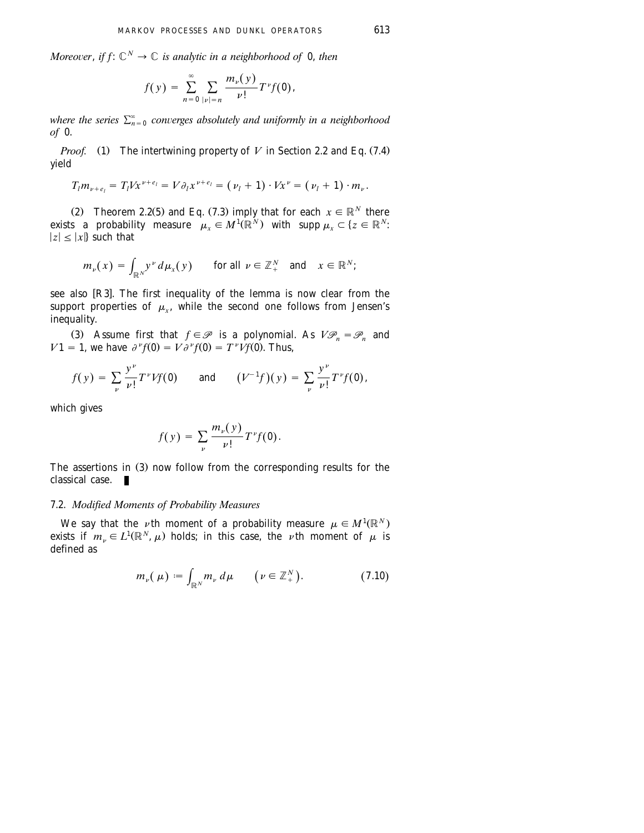*Moreover, if f:*  $\mathbb{C}^N \to \mathbb{C}$  *is analytic in a neighborhood of* 0, *then* 

$$
f(y) = \sum_{n=0}^{\infty} \sum_{|\nu|=n} \frac{m_{\nu}(y)}{\nu!} T^{\nu} f(0),
$$

where the series  $\sum_{n=0}^{\infty}$  converges absolutely and uniformly in a neighborhood *of* 0.

*Proof.* (1) The intertwining property of *V* in Section 2.2 and Eq. (7.4) yield

$$
T_{l}m_{\nu+e_{l}}=T_{l}Vx^{\nu+e_{l}}=V\partial_{l}x^{\nu+e_{l}}=(\nu_{l}+1)\cdot Vx^{\nu}=(\nu_{l}+1)\cdot m_{\nu}.
$$

(2) Theorem 2.2(5) and Eq. (7.3) imply that for each  $x \in \mathbb{R}^N$  there exists a probability measure  $\mu_r \in M^1(\mathbb{R}^N)$  with supp  $\mu_r \subset \{z \in \mathbb{R}^N\}$ .  $|z| < |x|$  such that

$$
m_{\nu}(x) = \int_{\mathbb{R}^N} y^{\nu} d\mu_x(y) \quad \text{for all } \nu \in \mathbb{Z}_+^N \text{ and } x \in \mathbb{R}^N;
$$

see also  $[R3]$ . The first inequality of the lemma is now clear from the support properties of  $\mu_r$ , while the second one follows from Jensen's inequality.

(3) Assume first that  $f \in \mathcal{P}$  is a polynomial. As  $V\mathcal{P}_n = \mathcal{P}_n$  and  $V1 = 1$ , we have  $\partial^{\nu} f(0) = V \partial^{\nu} f(0) = T^{\nu} Vf(0)$ . Thus,

$$
f(y) = \sum_{\nu} \frac{y^{\nu}}{\nu!} T^{\nu} V f(0)
$$
 and  $(V^{-1}f)(y) = \sum_{\nu} \frac{y^{\nu}}{\nu!} T^{\nu} f(0)$ ,

which gives

$$
f(y) = \sum_{\nu} \frac{m_{\nu}(y)}{\nu!} T^{\nu} f(\mathbf{0}).
$$

The assertions in (3) now follow from the corresponding results for the classical case.

### 7.2. *Modified Moments of Probability Measures*

We say that the *v*th moment of a probability measure  $\mu \in M^1(\mathbb{R}^N)$ exists if  $m_{\nu} \in L^1(\mathbb{R}^N, \mu)$  holds; in this case, the *v*th moment of  $\mu$  is defined as

$$
m_{\nu}(\mu) \coloneqq \int_{\mathbb{R}^N} m_{\nu} d\mu \qquad (\nu \in \mathbb{Z}_+^N). \tag{7.10}
$$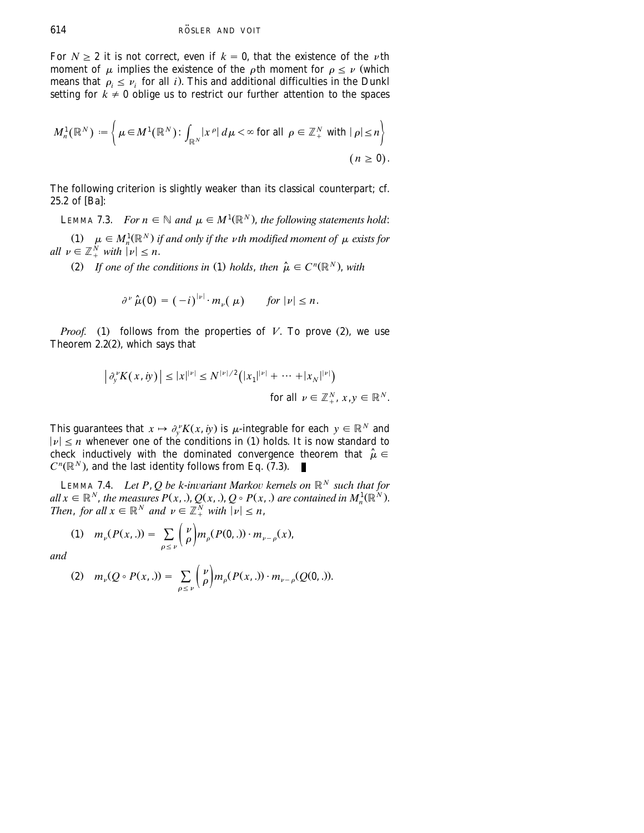For  $N > 2$  it is not correct, even if  $k = 0$ , that the existence of the *v*th moment of  $\mu$  implies the existence of the  $\rho$ th moment for  $\rho \leq \nu$  (which means that  $\rho_i \leq \nu_i$  for all *i*). This and additional difficulties in the Dunkl setting for  $k \neq 0$  oblige us to restrict our further attention to the spaces

$$
M_n^1(\mathbb{R}^N) := \left\{ \mu \in M^1(\mathbb{R}^N) \colon \int_{\mathbb{R}^N} |x^{\rho}| d\mu < \infty \text{ for all } \rho \in \mathbb{Z}_+^N \text{ with } |\rho| \le n \right\}
$$
\n
$$
(n \ge 0).
$$

The following criterion is slightly weaker than its classical counterpart; cf. 25.2 of [Ba]:

**LEMMA 7.3.** *For n*  $\in \mathbb{N}$  *and*  $\mu \in M^1(\mathbb{R}^N)$ *, the following statements hold:* 

(1)  $\mu \in M_n^1(\mathbb{R}^N)$  *if and only if the vth modified moment of*  $\mu$  *exists for all*  $\nu \in \mathbb{Z}_{+}^{N}$  *with*  $|\nu| \leq n$ .

(2) If one of the conditions in (1) holds, then  $\hat{\mu} \in C^{n}(\mathbb{R}^{N})$ , with

$$
\partial^{\nu} \hat{\mu}(0) = (-i)^{|\nu|} \cdot m_{\nu}(\mu) \quad \text{for } |\nu| \leq n.
$$

*Proof.* (1) follows from the properties of  $V$ . To prove (2), we use Theorem 2.2 $(2)$ , which says that

$$
\left| \partial_{y}^{\nu} K(x, iy) \right| \leq |x|^{\nu} \leq N^{\nu/2} (|x_{1}|^{\nu} + \dots + |x_{N}|^{\nu})
$$
  
for all  $\nu \in \mathbb{Z}_{+}^{N}, x, y \in \mathbb{R}^{N}$ .

This guarantees that  $x \mapsto \partial_y^{\nu} K(x, iy)$  is  $\mu$ -integrable for each  $y \in \mathbb{R}^N$  and  $|\nu| \le n$  whenever one of the conditions in (1) holds. It is now standard to check inductively with the dominated convergence theorem that  $\hat{\mu} \in$  $C^n(\mathbb{R}^N)$ , and the last identity follows from Eq. (7.3).

**LEMMA 7.4.** *Let P, Q be k-invariant Markov kernels on*  $\mathbb{R}^N$  *such that for Reall*  $x \in \mathbb{R}^N$ , the measures  $P(x,.)$ ,  $Q(x,.)$ ,  $Q \circ P(x,.)$  are contained in  $M_n^1(\mathbb{R}^N)$ .<br>*Then*, for all  $x \in \mathbb{R}^N$  and  $v \in \mathbb{Z}^N_+$  with  $|v| \le n$ , *Then, for all*  $x \in \mathbb{R}^N$  *and*  $\nu \in \mathbb{Z}_+^N$  *with*  $|\nu| \leq n$ ,

(1) 
$$
m_{\nu}(P(x,.)) = \sum_{\rho \le \nu} {\nu \choose \rho} m_{\rho}(P(0,.)) \cdot m_{\nu-\rho}(x),
$$

*and*

(2) 
$$
m_{\nu}(Q \circ P(x,.)) = \sum_{\rho \le \nu} {\nu \choose \rho} m_{\rho}(P(x,.)) \cdot m_{\nu-\rho}(Q(0,.)).
$$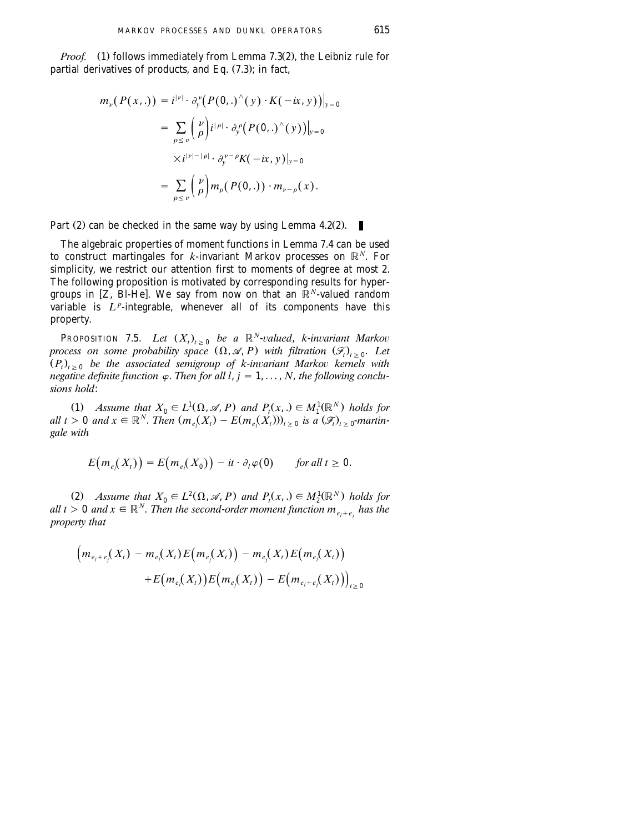*Proof.* (1) follows immediately from Lemma 7.3(2), the Leibniz rule for partial derivatives of products, and Eq.  $(7.3)$ ; in fact,

$$
m_{\nu}(P(x,.)) = i^{|\nu|} \cdot \partial_{y}^{\nu}(P(0,.)^{\wedge}(y) \cdot K(-ix, y))|_{y=0}
$$
  

$$
= \sum_{\rho \leq \nu} {\nu \choose \rho} i^{|\rho|} \cdot \partial_{y}^{\rho}(P(0,.)^{\wedge}(y))|_{y=0}
$$
  

$$
\times i^{|\nu|-|\rho|} \cdot \partial_{y}^{\nu-\rho}K(-ix, y)|_{y=0}
$$
  

$$
= \sum_{\rho \leq \nu} {\nu \choose \rho} m_{\rho}(P(0,.)) \cdot m_{\nu-\rho}(x).
$$

Part  $(2)$  can be checked in the same way by using Lemma 4.2 $(2)$ .

The algebraic properties of moment functions in Lemma 7.4 can be used to construct martingales for  $k$ -invariant Markov processes on  $\mathbb{R}^N$ . For simplicity, we restrict our attention first to moments of degree at most 2. The following proposition is motivated by corresponding results for hypergroups in  $[Z, B]$ -He]. We say from now on that an  $\mathbb{R}^N$ -valued random variable is  $L^p$ -integrable, whenever all of its components have this property.

**PROPOSITION** 7.5. *Let*  $(X_t)_{t\geq 0}$  *be a*  $\mathbb{R}^N$ -valued, *k*-*invariant Markov process on some probability space*  $(\Omega, \mathcal{A}, P)$  with filtration  $(\mathcal{F}_t)_{t>0}$ . Let  $(P_t)_{t>0}$  be the associated semigroup of k-invariant Markov kernels with *negative definite function*  $\varphi$ . *Then for all l, j* = 1, . . . , *N, the following conclusions hold*:

(1) Assume that  $X_0 \in L^1(\Omega, \mathcal{A}, P)$  and  $P_t(x, .) \in M_1^1(\mathbb{R}^N)$  holds for  $all \ t > 0 \ and \ x \in \mathbb{R}^N$ . *Then*  $(m_e(X_t) - E(m_e(X_t)))_{t > 0}$  is a  $(\mathcal{F}_t)_{t > 0}$ -martin*gale with*

$$
E(m_{e_i}(X_i)) = E(m_{e_i}(X_0)) - it \cdot \partial_l \varphi(0) \quad \text{for all } t \geq 0.
$$

(2) Assume that  $X_0 \in L^2(\Omega, \mathcal{A}, P)$  and  $P_t(x, .) \in M_2^1(\mathbb{R}^N)$  holds for *all t* > 0 *and*  $x \in \mathbb{R}^N$ . *Then the second-order moment function*  $m_{e_1+e_2}$  *has the property that*

$$
\left(m_{e_l+e_j}(X_t) - m_{e_l}(X_t)E(m_{e_j}(X_t)) - m_{e_j}(X_t)E(m_{e_l}(X_t))\right) + E(m_{e_l}(X_t))E(m_{e_j}(X_t)) - E(m_{e_l+e_j}(X_t))\right)_{t \ge 0}
$$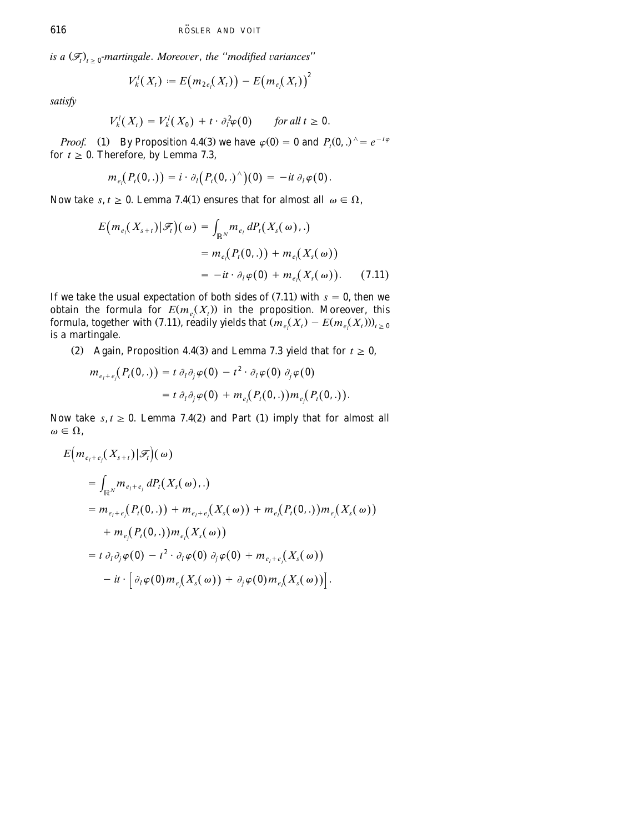*is a*  $(\mathcal{F}_t)_{t>0}$ -martingale. Moreover, the "modified variances"

$$
V'_{k}(X_{t}) = E(m_{2e_{i}}(X_{t})) - E(m_{e_{i}}(X_{t}))^{2}
$$

*satisfy*

$$
V_k^l(X_t) = V_k^l(X_0) + t \cdot \partial_l^2 \varphi(0) \quad \text{for all } t \ge 0.
$$

*Proof.* (1) By Proposition 4.4(3) we have  $\varphi(0) = 0$  and  $P_t(0, .)$   $\hat{ } = e^{-t\varphi}$ for  $t \geq 0$ . Therefore, by Lemma 7.3,

$$
m_{e_i}(P_t(0,.)) = i \cdot \partial_t (P_t(0,.)^{\wedge})(0) = -it \partial_t \varphi(0).
$$

Now take *s*,  $t \geq 0$ . Lemma 7.4(1) ensures that for almost all  $\omega \in \Omega$ ,

$$
E(m_{e_i}(X_{s+t})|\mathcal{F}_i)(\omega) = \int_{\mathbb{R}^N} m_{e_i} dP_i(X_s(\omega), .)
$$
  
=  $m_{e_i}(P_i(0, .)) + m_{e_i}(X_s(\omega))$   
=  $-it \cdot \partial_i \varphi(0) + m_{e_i}(X_s(\omega)).$  (7.11)

If we take the usual expectation of both sides of  $(7.11)$  with  $s = 0$ , then we obtain the formula for  $E(m_e(X_t))$  in the proposition. Moreover, this formula, together with (7.11), readily yields that  $\left(m_e(X_t) - E(m_e(X_t))\right)_{t>0}$ is a martingale.

(2) Again, Proposition 4.4 (3) and Lemma 7.3 yield that for  $t \ge 0$ ,

$$
m_{e_i+e_j}(P_t(0,.)) = t \partial_t \partial_j \varphi(0) - t^2 \cdot \partial_l \varphi(0) \partial_j \varphi(0)
$$
  
= 
$$
t \partial_t \partial_j \varphi(0) + m_{e_i}(P_t(0,.)) m_{e_j}(P_t(0,.)).
$$

Now take  $s, t \geq 0$ . Lemma 7.4(2) and Part (1) imply that for almost all  $\omega \in \Omega$ .

$$
E(m_{e_i+e_j}(X_{s+t})|\mathcal{F}_t)(\omega)
$$
  
=  $\int_{\mathbb{R}^N} m_{e_i+e_j} dP_t(X_s(\omega),.)$   
=  $m_{e_i+e_j}(P_t(0,.)) + m_{e_i+e_j}(X_s(\omega)) + m_{e_i}(P_t(0,.))m_{e_j}(X_s(\omega))$   
+  $m_{e_j}(P_t(0,.))m_{e_j}(X_s(\omega))$   
=  $t \partial_t \partial_j \varphi(0) - t^2 \cdot \partial_t \varphi(0) \partial_j \varphi(0) + m_{e_i+e_j}(X_s(\omega))$   
-  $it \cdot [\partial_t \varphi(0) m_{e_j}(X_s(\omega)) + \partial_j \varphi(0) m_{e_i}(X_s(\omega))].$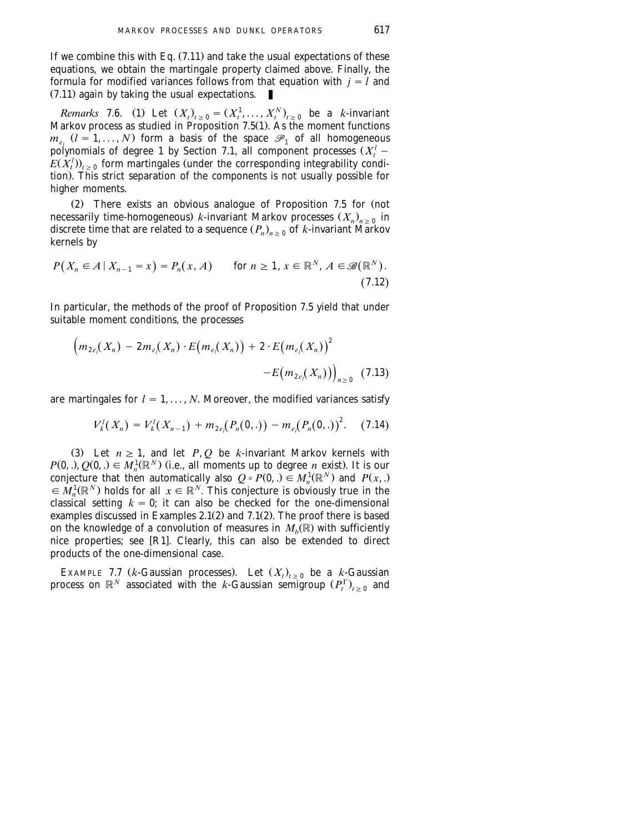If we combine this with Eq.  $(7.11)$  and take the usual expectations of these equations, we obtain the martingale property claimed above. Finally, the formula for modified variances follows from that equation with  $j = l$  and  $(7.11)$  again by taking the usual expectations.

*Remarks* 7.6. (1) Let  $(X_t)_{t>0} = (X_t^1, \ldots, X_t^N)_{t>0}$  be a *k*-invariant Markov process as studied in Proposition  $7.5(1)$ . As the moment functions  $m_e$ ,  $(l = 1, ..., N)$  form a basis of the space  $\mathcal{P}_1$  of all homogeneous polynomials of degree 1 by [Section 7.1,](#page-35-0) all component processes  $(X_t^l E(X_t^l)$ <sub>t > 0</sub> form martingales (under the corresponding integrability condition). This strict separation of the components is not usually possible for higher moments.

 $(2)$  There exists an obvious analogue of Proposition 7.5 for (not necessarily time-homogeneous) *k*-invariant Markov processes  $(X_n)_{n>0}$  in discrete time that are related to a sequence  $(P_n)_{n>0}$  of *k*-invariant Markov kernels by

$$
P(X_n \in A \mid X_{n-1} = x) = P_n(x, A) \quad \text{for } n \ge 1, x \in \mathbb{R}^N, A \in \mathcal{B}(\mathbb{R}^N). \tag{7.12}
$$

In particular, the methods of the proof of Proposition 7.5 yield that under suitable moment conditions, the processes

$$
\left(m_{2e_l}(X_n) - 2m_{e_l}(X_n) \cdot E(m_{e_l}(X_n)) + 2 \cdot E(m_{e_l}(X_n)) \right) - E(m_{2e_l}(X_n))\Big)_{n \geq 0} \quad (7.13)
$$

are martingales for  $l = 1, ..., N$ . Moreover, the modified variances satisfy

$$
V_k^l(X_n) = V_k^l(X_{n-1}) + m_{2e_l}(P_n(0,.)) - m_{e_l}(P_n(0,.))^{2}.
$$
 (7.14)

(3) Let  $n \geq 1$ , and let *P*, *Q* be *k*-invariant Markov kernels with  $P(0, .), O(0, .) \in M_n^1(\mathbb{R}^N)$  (i.e., all moments up to degree *n* exist). It is our conjecture that then automatically also  $Q \circ P(0,.) \in M_n^1(\mathbb{R}^N)$  and  $P(x,.) \in M_n^1(\mathbb{R}^N)$  holds for all  $x \in \mathbb{R}^N$ . This conjecture is obviously true in the classical setting  $k = 0$ ; it can also be checked for the one-dimensional examples discussed in Examples  $2.1(2)$  and  $7.1(2)$ . The proof there is based on the knowledge of a convolution of measures in  $M_h(\mathbb{R})$  with sufficiently nice properties; see [R1]. Clearly, this can also be extended to direct products of the one-dimensional case.

EXAMPLE 7.7 (*k*-Gaussian processes). Let  $(X_t)_{t\geq 0}$  be a *k*-Gaussian process on  $\mathbb{R}^N$  associated with the *k*-Gaussian semigroup  $(P_t^{\Gamma})_{t\, \geq\, 0}$  and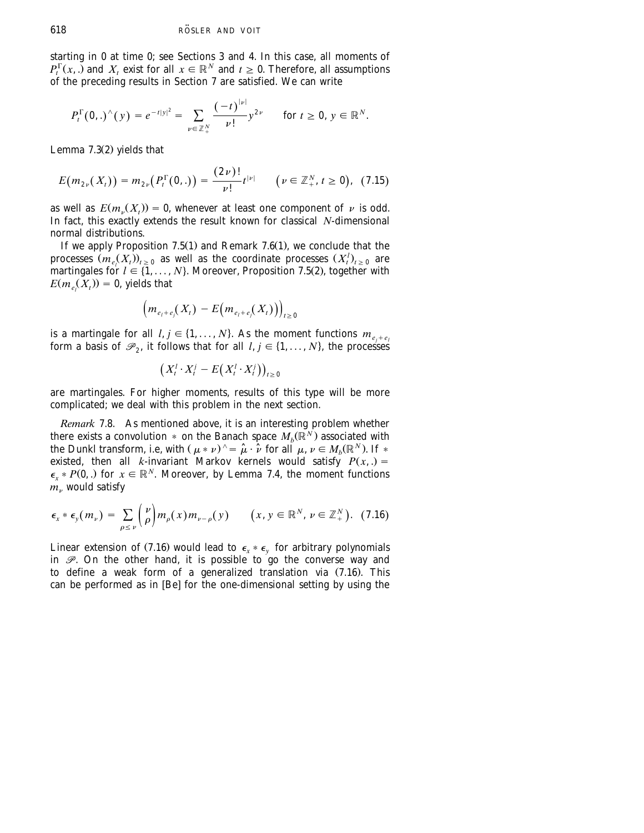starting in 0 at time 0; see [Sections 3](#page-13-0) [and 4.](#page-16-0) In this case, all moments of  $P_t^{\Gamma}(x,.)$  and  $X_t$  exist for all  $x \in \mathbb{R}^N$  and  $t \geq 0$ . Therefore, all assumptions of the preceding results in [Section 7](#page-34-0) are satisfied. We can write

$$
P_t^{\Gamma}(0,.)^{\wedge}(y)=e^{-t|y|^2}=\sum_{\nu\in\mathbb{Z}_+^N}\frac{(-t)^{|\nu|}}{\nu!}y^{2\nu}\quad\text{ for }t\geq 0,\,y\in\mathbb{R}^N.
$$

Lemma  $7.3(2)$  yields that

$$
E(m_{2\nu}(X_t)) = m_{2\nu}(P_t^{\Gamma}(0,.)) = \frac{(2\nu)!}{\nu!}t^{|\nu|} \qquad (\nu \in \mathbb{Z}_+^N, t \ge 0), \tag{7.15}
$$

as well as  $E(m_v(X_t)) = 0$ , whenever at least one component of v is odd. In fact, this exactly extends the result known for classical *N*-dimensional normal distributions.

If we apply Proposition  $7.5(1)$  and Remark  $7.6(1)$ , we conclude that the processes  $(m_{e_i}(X_i))_{i\geq 0}$  as well as the coordinate processes  $(X_i^l)_{i\geq 0}$  are martingales for  $l \in \{1, \ldots, N\}$ . Moreover, Proposition 7.5(2), together with  $E(m_e(X_t)) = 0$ , yields that

$$
\left(m_{e_l+e_j}(X_t)-E\big(m_{e_l+e_j}(X_t)\big)\right)_{t\geq 0}
$$

is a martingale for all  $l, j \in \{1, \ldots, N\}$ . As the moment functions  $m_{e_j+e_l}$ form a basis of  $\mathcal{P}_2$ , it follows that for all  $l, j \in \{1, ..., N\}$ , the processes

$$
\big(X_t^l\cdot X_t^j-E\big(X_t^l\cdot X_t^j\big)\big)_{t\geq 0}
$$

are martingales. For higher moments, results of this type will be more complicated; we deal with this problem in the next section.

*Remark* 7.8. As mentioned above, it is an interesting problem whether there exists a convolution  $*$  on the Banach space  $M_b(\widetilde{\mathbb{R}}^N)$  associated with the Dunkl transform, i.e, with  $(\mu * \nu)^{\wedge} = \hat{\mu} \cdot \hat{\nu}$  for all  $\mu, \nu \in M_b(\mathbb{R}^N)$ . If  $*$ existed, then all *k*-invariant Markov kernels would satisfy  $P(x, .) =$  $\epsilon_{r} * P(0,.)$  for  $x \in \mathbb{R}^{N}$ . Moreover, by Lemma 7.4, the moment functions  $\hat{m}_v$  would satisfy

$$
\epsilon_x * \epsilon_y(m_\nu) = \sum_{\rho \leq \nu} \binom{\nu}{\rho} m_\rho(x) m_{\nu-\rho}(y) \qquad (x, y \in \mathbb{R}^N, \nu \in \mathbb{Z}_+^N). \tag{7.16}
$$

Linear extension of (7.16) would lead to  $\epsilon_{x} * \epsilon_{y}$  for arbitrary polynomials in  $\mathscr{P}$ . On the other hand, it is possible to go the converse way and to define a weak form of a generalized translation via  $(7.16)$ . This can be performed as in [Be] for the one-dimensional setting by using the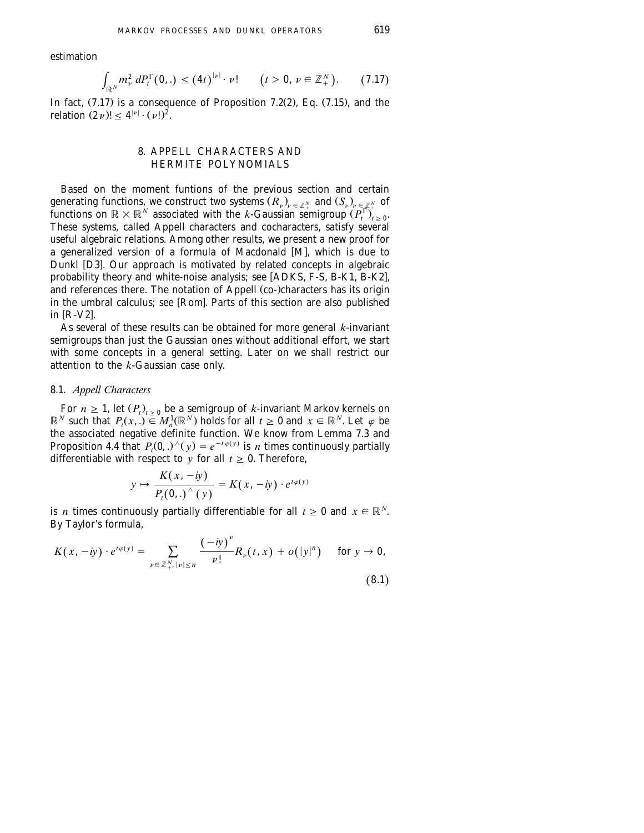<span id="page-44-0"></span>estimation

$$
\int_{\mathbb{R}^N} m_{\nu}^2 \, dP_t^{\Gamma}(0,.) \leq (4t)^{|\nu|} \cdot \nu! \qquad (t > 0, \, \nu \in \mathbb{Z}_+^N). \tag{7.17}
$$

In fact,  $(7.17)$  is a consequence of Proposition 7.2 $(2)$ , Eq.  $(7.15)$ , and the relation  $(2 \nu)! < 4^{|\nu|} \cdot (\nu!)^2$ .

## 8. APPELL CHARACTERS AND HERMITE POLYNOMIALS

Based on the moment funtions of the previous section and certain generating functions, we construct two systems  $(R_\nu)_{\nu\,\in\,\mathbb{Z}^\times_+}$  and  $(S_\nu)_{\nu\,\in\,\mathbb{Z}^\times_+}$  of functions on  $\mathbb{R}\times\mathbb{R}^N$  associated with the *k*-Gaussian semigroup  $(P_t^\Gamma)_{t\,\geq\,0}$ . These systems, called Appell characters and cocharacters, satisfy several useful algebraic relations. Among other results, we present a new proof for a generalized version of a formula of [M](#page-67-0)acdonald [M], which is due to Dunkl [D3]. Our approach is motivated by related concepts in algebraic probability theory and white-noise analysis; see  $[ADKS, F-S, B-K1, B-K2]$  $[ADKS, F-S, B-K1, B-K2]$  $[ADKS, F-S, B-K1, B-K2]$  $[ADKS, F-S, B-K1, B-K2]$ , and references there. The notation of Appell (co-)characters has its origin in the umbral calculus; see [Rom]. Parts of this section are also published in  $[R-V2]$ .

As several of these results can be obtained for more general *k*-invariant semigroups than just the Gaussian ones without additional effort, we start with some concepts in a general setting. Later on we shall restrict our attention to the *k*-Gaussian case only.

### 8.1. *Appell Characters*

For  $n \geq 1$ , let  $(P_t)_{t>0}$  be a semigroup of *k*-invariant Markov kernels on  $\mathbb{R}^N$  such that  $P_t(x, \cdot) \in M_n^1(\mathbb{R}^N)$  holds for all  $t \geq 0$  and  $x \in \mathbb{R}^N$ . Let  $\varphi$  be the associated negative definite function. We know from Lemma 7.3 and Proposition 4.4 that  $P_t(0,.)^{\wedge}(\gamma) = e^{-t\varphi(\gamma)}$  is *n* times continuously partially differentiable with respect to *y* for all  $t \geq 0$ . Therefore,

$$
y \mapsto \frac{K(x, -iy)}{P_t(0,.)^\wedge(y)} = K(x, -iy) \cdot e^{t\varphi(y)}
$$

is *n* times continuously partially differentiable for all  $t \ge 0$  and  $x \in \mathbb{R}^N$ . By Taylor's formula,

$$
K(x, -iy) \cdot e^{t\varphi(y)} = \sum_{\nu \in \mathbb{Z}_+^N, |\nu| \le n} \frac{(-iy)^{\nu}}{\nu!} R_{\nu}(t, x) + o(|y|^n) \quad \text{for } y \to 0,
$$
\n(8.1)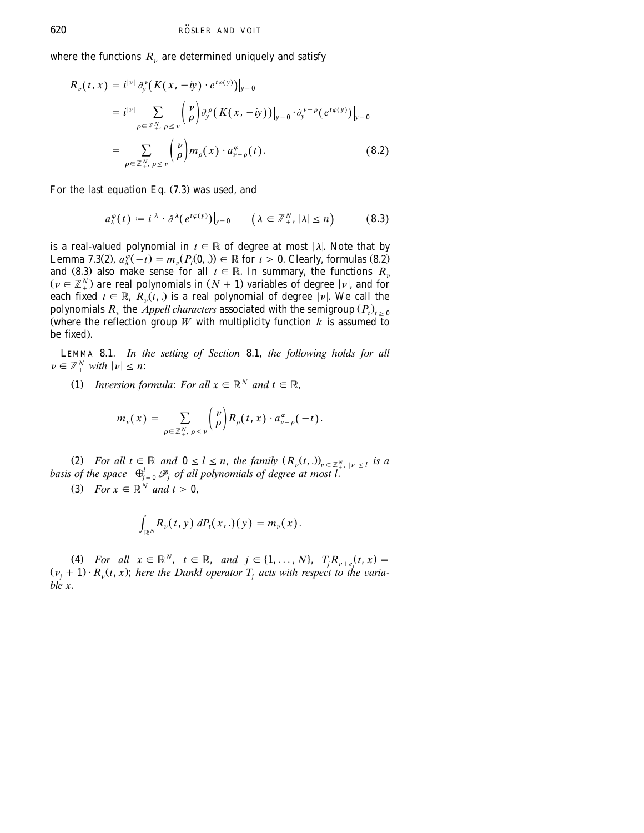where the functions  $R<sub>v</sub>$  are determined uniquely and satisfy

$$
R_{\nu}(t, x) = i^{|\nu|} \partial_{y}^{\nu} (K(x, -iy) \cdot e^{t\varphi(y)})|_{y=0}
$$
  
\n
$$
= i^{|\nu|} \sum_{\rho \in \mathbb{Z}_{+}^{N}, \rho \leq \nu} {\binom{\nu}{\rho}} \partial_{y}^{\rho} (K(x, -iy))|_{y=0} \cdot \partial_{y}^{\nu-\rho} (e^{t\varphi(y)})|_{y=0}
$$
  
\n
$$
= \sum_{\rho \in \mathbb{Z}_{+}^{N}, \rho \leq \nu} {\binom{\nu}{\rho}} m_{\rho}(x) \cdot a_{\nu-\rho}^{\varphi}(t).
$$
 (8.2)

For the last equation Eq.  $(7.3)$  was used, and

$$
a_{\lambda}^{\varphi}(t) := i^{|\lambda|} \cdot \partial^{\lambda} (e^{t \varphi(y)})|_{y=0} \qquad (\lambda \in \mathbb{Z}_{+}^{N}, |\lambda| \leq n)
$$
 (8.3)

is a real-valued polynomial in  $t \in \mathbb{R}$  of degree at most  $|\lambda|$ . Note that by Lemma 7.3(2),  $a_x^{\varphi}(-t) = m_v(P_t(0,.)) \in \mathbb{R}$  for  $t \ge 0$ . Clearly, formulas (8.2) and (8.3) also make sense for all  $t \in \mathbb{R}$ . In summary, the functions  $R_n$  $(v \in \mathbb{Z}_{+}^{N})$  are real polynomials in  $(N + 1)$  variables of degree  $|v|$ , and for each fixed  $t \in \mathbb{R}$ ,  $R_{\nu}(t,.)$  is a real polynomial of degree  $|\nu|$ . We call the polynomials  $R_u$ , the *Appell characters* associated with the semigroup  $(P_t)_{t>0}$ (where the reflection group *W* with multiplicity function  $k$  is assumed to be fixed).

LEMMA 8.1. *In the setting of [Section](#page-44-0)* 8.1, *the following holds for all*  $\nu \in \mathbb{Z}_+^N$  *with*  $|\nu| \leq n$ :

(1) *Inversion formula: For all*  $x \in \mathbb{R}^N$  *and*  $t \in \mathbb{R}$ ,

$$
m_{\nu}(x) = \sum_{\rho \in \mathbb{Z}^N_+, \ \rho \leq \nu} {\nu \choose \rho} R_{\rho}(t,x) \cdot a_{\nu-\rho}^{\varphi}(-t).
$$

(2) For all  $t \in \mathbb{R}$  and  $0 \le l \le n$ , the family  $(R_{\nu}(t,.))_{\nu \in \mathbb{Z}_{+}^{N}, |\nu| \le l}$  is a basis of the space  $\bigoplus_{j=0}^{l} \mathcal{P}_j$  of all polynomials of degree at most l.

(3) *For*  $x \in \mathbb{R}^N$  *and*  $t \geq 0$ ,

$$
\int_{\mathbb{R}^N} R_{\nu}(t, y) dP_t(x, .)(y) = m_{\nu}(x).
$$

(4) For all  $x \in \mathbb{R}^N$ ,  $t \in \mathbb{R}$ , and  $j \in \{1, ..., N\}$ ,  $T_j R_{\nu + e_j}(t, x) =$  $(\nu_i + 1) \cdot R_{\nu}(t, x)$ ; *here the Dunkl operator*  $T_i$  *acts with respect to the variable x*.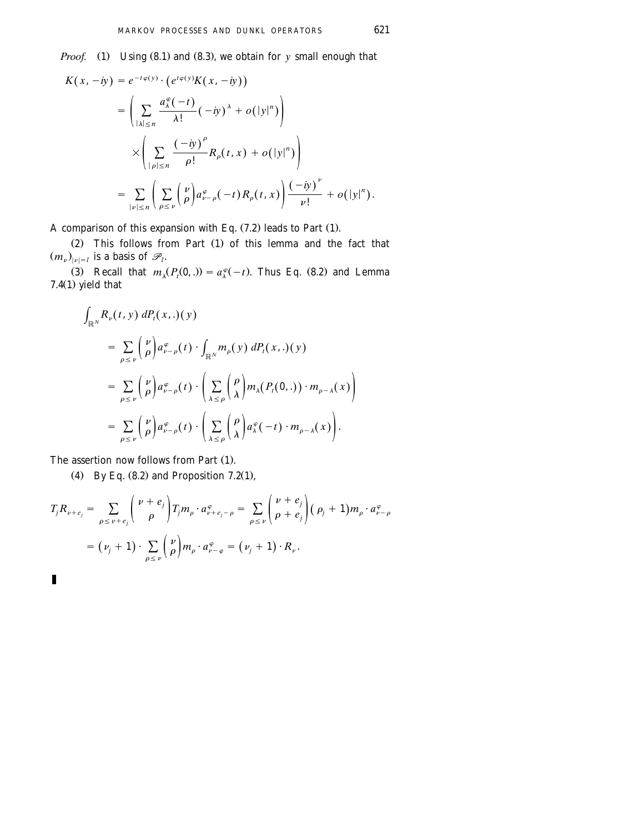*Proof.* (1) Using  $(8.1)$  and  $(8.3)$ , we obtain for *y* small enough that

$$
K(x, -iy) = e^{-t\varphi(y)} \cdot (e^{t\varphi(y)}K(x, -iy))
$$
  
\n
$$
= \left(\sum_{|\lambda| \le n} \frac{a_{\lambda}^{\varphi}(-t)}{\lambda!} (-iy)^{\lambda} + o(|y|^{n})\right)
$$
  
\n
$$
\times \left(\sum_{|\rho| \le n} \frac{(-iy)^{\rho}}{\rho!} R_{\rho}(t, x) + o(|y|^{n})\right)
$$
  
\n
$$
= \sum_{|\nu| \le n} \left(\sum_{\rho \le \nu} { \nu \choose \rho} a_{\nu-\rho}^{\varphi}(-t) R_{\rho}(t, x) \right) \frac{(-iy)^{\nu}}{\nu!} + o(|y|^{n}).
$$

A comparison of this expansion with Eq.  $(7.2)$  leads to Part  $(1)$ .

 $(2)$  This follows from Part  $(1)$  of this lemma and the fact that  $(m_{\nu})_{|\nu|=l}$  is a basis of  $\mathscr{P}_{l}$ .

(3) Recall that  $m_{\lambda}(P_{r}(0,.)) = a_{\lambda}^{\varphi}(-t)$ . Thus Eq. (8.2) and Lemma 7.4 $(1)$  yield that

$$
\int_{\mathbb{R}^N} R_{\nu}(t, y) dP_t(x,.)(y)
$$
\n
$$
= \sum_{\rho \leq \nu} {\nu \choose \rho} a_{\nu-\rho}^{\varphi}(t) \cdot \int_{\mathbb{R}^N} m_{\rho}(y) dP_t(x,.)(y)
$$
\n
$$
= \sum_{\rho \leq \nu} {\nu \choose \rho} a_{\nu-\rho}^{\varphi}(t) \cdot \left( \sum_{\lambda \leq \rho} {\rho \choose \lambda} m_{\lambda} (P_t(0,.)) \cdot m_{\rho-\lambda}(x) \right)
$$
\n
$$
= \sum_{\rho \leq \nu} {\nu \choose \rho} a_{\nu-\rho}^{\varphi}(t) \cdot \left( \sum_{\lambda \leq \rho} {\rho \choose \lambda} a_{\lambda}^{\varphi}(-t) \cdot m_{\rho-\lambda}(x) \right).
$$

The assertion now follows from Part  $(1)$ .

П

(4) By Eq.  $(8.2)$  and Proposition 7.2 $(1)$ ,

$$
T_j R_{\nu+e_j} = \sum_{\rho \leq \nu+e_j} {\nu+e_j \choose \rho} T_j m_\rho \cdot a_{\nu+e_j-\rho}^{\varphi} = \sum_{\rho \leq \nu} {\nu+e_j \choose \rho+e_j} (\rho_j+1) m_\rho \cdot a_{\nu-\rho}^{\varphi}
$$
  
=  $(\nu_j+1) \cdot \sum_{\rho \leq \nu} {\nu \choose \rho} m_\rho \cdot a_{\nu-\varphi}^{\varphi} = (\nu_j+1) \cdot R_\nu.$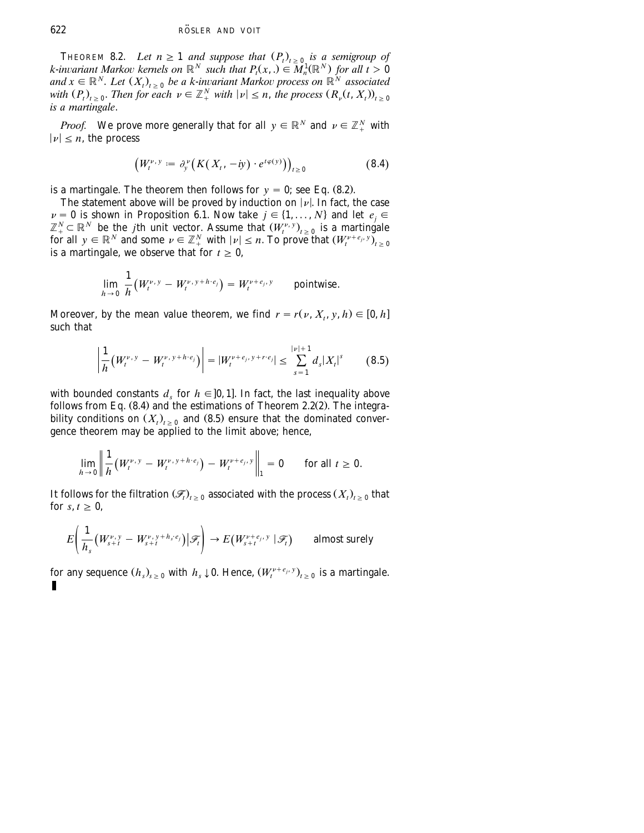THEOREM 8.2. Let  $n \geq 1$  and suppose that  $(P_t)_{t \geq 0}$  is a semigroup of *k*-invariant Markov kernels on  $\mathbb{R}^N$  such that  $P_t(x,.) \in M_n^1(\mathbb{R}^N)$  for all  $t > 0$  $A \in \mathbb{R}^N$ . Let  $(X_t)_{t \geq 0}$  be a k-invariant Markov process on  $\mathbb{R}^N$  associated with  $(P_t)_{t\geq 0}$ . Then for each  $\nu \in \mathbb{Z}_+^N$  with  $|\nu| \leq n$ , the process  $(R_\nu(t, X_t))_{t\geq 0}$ *is a martingale*.

*Proof.* We prove more generally that for all  $y \in \mathbb{R}^N$  and  $\nu \in \mathbb{Z}_+^N$  with  $|\nu| \leq n$ , the process

$$
\left(W_t^{\nu, y} := \partial_y^{\nu} \left( K(X_t, -iy) \cdot e^{t\varphi(y)} \right) \right)_{t \ge 0} \tag{8.4}
$$

is a martingale. The theorem then follows for  $y = 0$ ; see Eq.  $(8.2)$ .

The statement above will be proved by induction on  $|\nu|$ . In fact, the case  $\nu = 0$  is shown in Proposition 6.1. Now take  $j \in \{1, ..., N\}$  and let  $e_j \in$  $\mathbb{Z}_{+}^{N} \subset \mathbb{R}^{N}$  be the *j*th unit vector. Assume that  $(W_{t}^{v,y})_{t \geq 0}$  is a martingale *N*  $y \in \mathbb{R}^N$  and some  $\nu \in \mathbb{Z}_+^N$  with  $|\nu| \leq n$ . To prove that  $(W_t^{\nu+e_j, y})_{t \geq 0}$ is a martingale, we observe that for  $t \geq 0$ ,

$$
\lim_{h\to 0}\frac{1}{h}\left(W_t^{\nu,\,y}\,-\,W_t^{\nu,\,y+h\cdot e_j}\right)=W_t^{\nu+e_j,\,y}\qquad\text{pointwise}.
$$

Moreover, by the mean value theorem, we find  $r = r(\nu, X_t, \nu, h) \in [0, h]$ such that

$$
\left|\frac{1}{h}\left(W_t^{\nu,y} - W_t^{\nu,y+h\cdot e_j}\right)\right| = |W_t^{\nu+e_j,y+r\cdot e_j}| \le \sum_{s=1}^{|\nu|+1} d_s |X_t|^s \tag{8.5}
$$

with bounded constants  $d_s$  for  $h \in ]0, 1]$ . In fact, the last inequality above follows from Eq.  $(8.4)$  and the estimations of Theorem 2.2 $(2)$ . The integrability conditions on  $(X_t)_{t>0}$  and (8.5) ensure that the dominated convergence theorem may be applied to the limit above; hence,

$$
\lim_{h\to 0}\left\|\frac{1}{h}\left(W_t^{\nu,\,y}-W_t^{\nu,\,y+h\cdot e_j}\right)-W_t^{\nu+e_j,\,y}\right\|_1=0\qquad\text{for all }t\geq 0.
$$

It follows for the filtration  $(\mathcal{F}_{t})_{t>0}$  associated with the process  $(X_{t})_{t>0}$  that for  $s, t \geq 0$ ,

$$
E\left(\frac{1}{h_s}\left(W_{s+t}^{\nu,y}-W_{s+t}^{\nu,y+h_s\cdot e_j}\right)\bigg|\mathcal{F}_t\right)\to E\left(W_{s+t}^{\nu+e_j,y}\big|\mathcal{F}_t\right) \qquad \text{almost surely}
$$

for any sequence  $(h_s)_{s>0}$  with  $h_s \downarrow 0$ . Hence,  $(W_t^{\nu+e_j, y})_{t>0}$  is a martingale.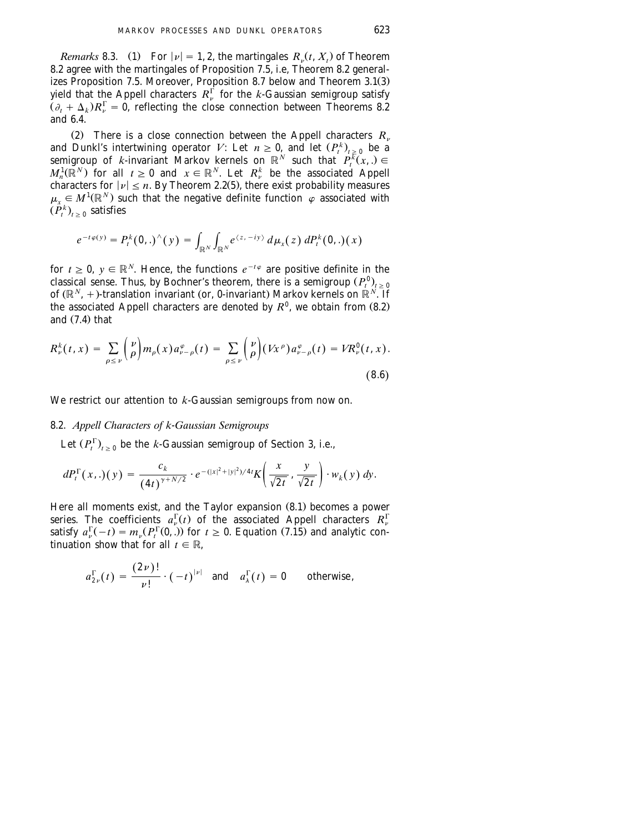*Remarks* 8.3. (1) For  $|\nu| = 1, 2$ , the martingales  $R_{\nu}(t, X_t)$  of Theorem 8.2 agree with the martingales of Proposition 7.5, i.e, Theorem 8.2 generalizes Proposition 7.5. Moreover, Proposition 8.7 below and Theorem  $3.1(3)$ yield that the Appell characters  $R_\nu^\Gamma$  for the *k*-Gaussian semigroup satisfy  $(\partial_t + \Delta_k)R_{\nu}^{\Gamma} = 0$ , reflecting the close connection between Theorems 8.2 and 6.4.

(2) There is a close connection between the Appell characters  $R_n$ and Dunkl's intertwining operator *V*: Let  $n \geq 0$ , and let  $(P_t^k)_{t \geq 0}$  be a semigroup of *k*-invariant Markov kernels on  $\mathbb{R}^N$  such that  $P_t^{\tilde{k}}(x,.) \in$  $M_n^1(\mathbb{R}^N)$  for all  $t \ge 0$  and  $x \in \mathbb{R}^N$ . Let  $R_v^k$  be the associated Appell characters for  $|v| \le n$ . By Theorem 2.2(5), there exist probability measures  $\mu_r \in M^1(\mathbb{R}^N)$  such that the negative definite function  $\varphi$  associated with  $(\tilde{P}_{t}^{k})_{t>0}$  satisfies

$$
e^{-t\varphi(y)}=P_t^k(0,.)^\wedge(y)=\int_{\mathbb{R}^N}\int_{\mathbb{R}^N}e^{\langle z,-iy\rangle}\,d\mu_x(z)\,dP_t^k(0,.)(x)
$$

for  $t \geq 0$ ,  $y \in \mathbb{R}^N$ . Hence, the functions  $e^{-t\varphi}$  are positive definite in the classical sense. Thus, by Bochner's theorem, there is a semigroup  $(P_t^0)_{t>0}$ of  $(\mathbb{R}^N, +)$ -translation invariant (or, 0-invariant) Markov kernels on  $\mathbb{R}^N$ . If the associated Appell characters are denoted by  $R^0$ , we obtain from  $(8.2)$ and  $(7.4)$  that

$$
R_{\nu}^{k}(t,x) = \sum_{\rho \leq \nu} {\nu \choose \rho} m_{\rho}(x) a_{\nu-\rho}^{\varphi}(t) = \sum_{\rho \leq \nu} {\nu \choose \rho} (Vx^{\rho}) a_{\nu-\rho}^{\varphi}(t) = V R_{\nu}^{0}(t,x).
$$
\n(8.6)

We restrict our attention to *k*-Gaussian semigroups from now on.

### 8.2. *Appell Characters of k*-*Gaussian Semigroups*

Let  $(P_t^{\Gamma})_{t>0}$  be the *k*-Gaussian semigroup of [Section 3,](#page-13-0) i.e.,

$$
dP_t^{\Gamma}(x,.)(y) = \frac{c_k}{(4t)^{\gamma + N/2}} \cdot e^{-(|x|^2 + |y|^2)/4t} K\left(\frac{x}{\sqrt{2t}}, \frac{y}{\sqrt{2t}}\right) \cdot w_k(y) \, dy.
$$

Here all moments exist, and the Taylor expansion  $(8.1)$  becomes a power series. The coefficients  $a_n^{\Gamma}(t)$  of the associated Appell characters  $R_n^{\Gamma}$ satisfy  $a_{\nu}^{\Gamma}(-t) = m_{\nu}(P_t^{\Gamma}(0,.))$  for  $t \ge 0$ . Equation (7.15) and analytic continuation show that for all  $t \in \mathbb{R}$ ,

$$
a_{2\nu}^{\Gamma}(t) = \frac{(2\nu)!}{\nu!} \cdot (-t)^{|\nu|} \text{ and } a_{\lambda}^{\Gamma}(t) = 0 \text{ otherwise,}
$$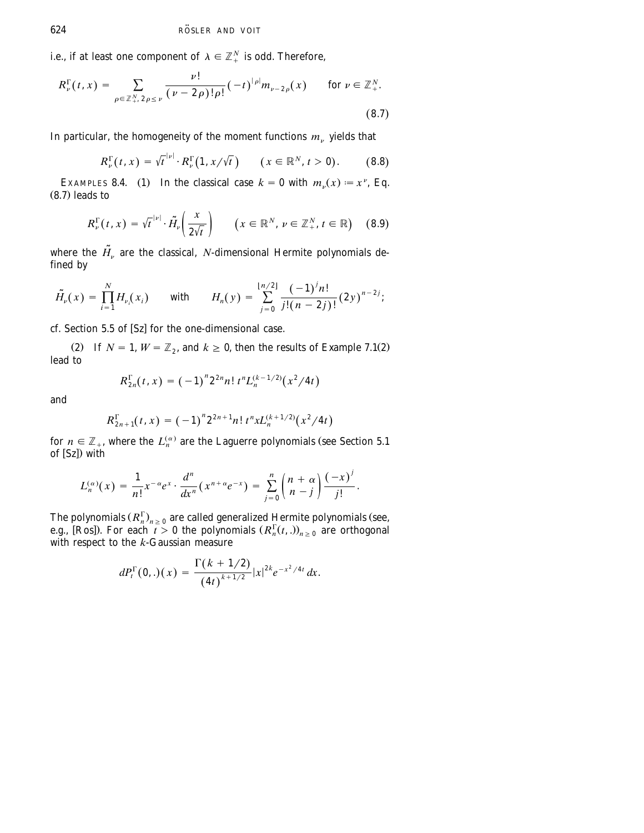i.e., if at least one component of  $\lambda \in \mathbb{Z}_+^N$  is odd. Therefore,

$$
R_{\nu}^{\Gamma}(t,x) = \sum_{\rho \in \mathbb{Z}_{+}^{N}, 2\rho \leq \nu} \frac{\nu!}{(\nu - 2\rho)! \rho!} (-t)^{|\rho|} m_{\nu - 2\rho}(x) \quad \text{for } \nu \in \mathbb{Z}_{+}^{N}.
$$
\n(8.7)

In particular, the homogeneity of the moment functions  $m_{\nu}$  yields that

$$
R_{\nu}^{\Gamma}(t,x) = \sqrt{t}^{|\nu|} \cdot R_{\nu}^{\Gamma}(1,x/\sqrt{t}) \qquad (x \in \mathbb{R}^{N}, t > 0).
$$
 (8.8)

EXAMPLES 8.4. (1) In the classical case  $k = 0$  with  $m_v(x) = x^v$ , Eq.  $(8.7)$  leads to

$$
R_{\nu}^{\Gamma}(t,x) = \sqrt{t}^{\mid \nu \mid} \cdot \tilde{H}_{\nu} \left( \frac{x}{2\sqrt{t}} \right) \qquad \left( x \in \mathbb{R}^{N}, \, \nu \in \mathbb{Z}_{+}^{N}, \, t \in \mathbb{R} \right) \tag{8.9}
$$

where the  $\tilde{H}_v$  are the classical, *N*-dimensional Hermite polynomials defined by

$$
\tilde{H_{\nu}}(x) = \prod_{i=1}^{N} H_{\nu_i}(x_i) \quad \text{with} \quad H_n(y) = \sum_{j=0}^{\lfloor n/2 \rfloor} \frac{(-1)^j n!}{j!(n-2j)!} (2y)^{n-2j};
$$

cf. Section 5.5 of  $[Sz]$  for the one-dimensional case.

(2) If  $N = 1$ ,  $W = \mathbb{Z}_2$ , and  $k \geq 0$ , then the results of Example 7.1(2) lead to

$$
R_{2n}^{\Gamma}(t,x) = (-1)^n 2^{2n} n! t^n L_n^{(k-1/2)}(x^2/4t)
$$

and

$$
R_{2n+1}^{\Gamma}(t,x) = (-1)^n 2^{2n+1} n! t^n x L_n^{(k+1/2)}(x^2/4t)
$$

for  $n \in \mathbb{Z}_+$ , where the  $L_n^{(\alpha)}$  are the Laguerre polynomials (see Section 5.1 of  $[Sz]$ ) with

$$
L_n^{(\alpha)}(x) = \frac{1}{n!} x^{-\alpha} e^x \cdot \frac{d^n}{dx^n} (x^{n+\alpha} e^{-x}) = \sum_{j=0}^n {n+\alpha \choose n-j} \frac{(-x)^j}{j!}.
$$

The polynomials  $(R_n^{\Gamma})_{n \geq 0}$  are called generalized Hermite polynomials (see, e.g., [Ros]). For each  $t > 0$  the polynomials  $(R_n^{\Gamma}(t,.))_{n \geq 0}$  are orthogonal with respect to the *k*-Gaussian measure

$$
dP_t^{\Gamma}(0,.)(x) = \frac{\Gamma(k + 1/2)}{(4t)^{k+1/2}} |x|^{2k} e^{-x^2/4t} dx.
$$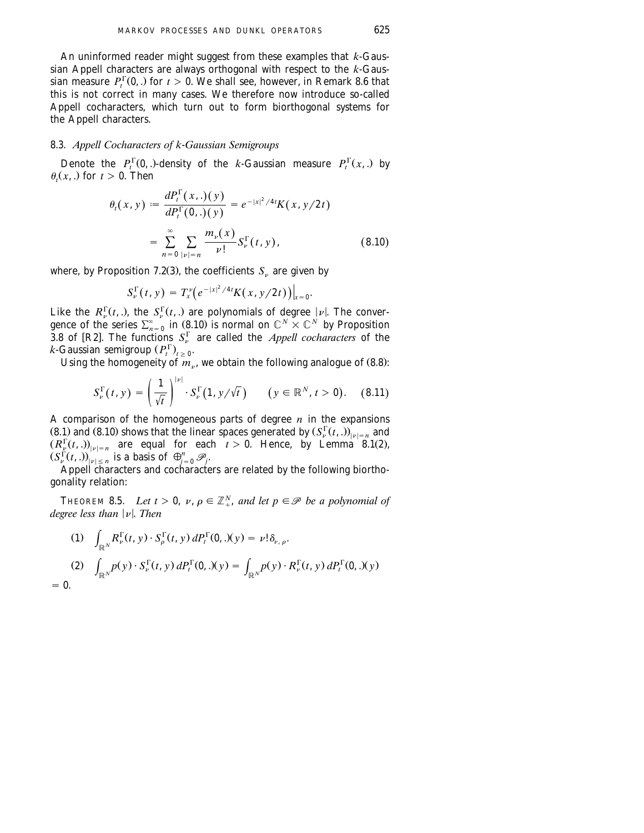An uninformed reader might suggest from these examples that *k*-Gaussian Appell characters are always orthogonal with respect to the *k*-Gaussian measure  $P_t^{\Gamma}(0,.)$  for  $t > 0$ . We shall see, however, in Remark 8.6 that this is not correct in many cases. We therefore now introduce so-called Appell cocharacters, which turn out to form biorthogonal systems for the Appell characters.

### 8.3. *Appell Cocharacters of k*-*Gaussian Semigroups*

Denote the  $P_t^{\Gamma}(0,.)$ -density of the *k*-Gaussian measure  $P_t^{\Gamma}(x,.)$  by  $\theta_t(x,.)$  for  $t > 0$ . Then

$$
\theta_t(x, y) := \frac{dP_t^{\Gamma}(x,.)(y)}{dP_t^{\Gamma}(0,.)(y)} = e^{-|x|^2/4t} K(x, y/2t)
$$

$$
= \sum_{n=0}^{\infty} \sum_{|v|=n} \frac{m_v(x)}{v!} S_v^{\Gamma}(t, y), \qquad (8.10)
$$

where, by Proposition 7.2(3), the coefficients  $S_n$  are given by

$$
S_{\nu}^{\Gamma}(t, y) = T_{x}^{\nu}\big(e^{-|x|^{2}/4t}K(x, y/2t)\big)\big|_{x=0}.
$$

Like the  $R_v^{\Gamma}(t,.)$ , the  $S_v^{\Gamma}(t,.)$  are polynomials of degree  $|\nu|$ . The convergence of the series  $\sum_{n=0}^{\infty}$  in (8.10) is normal on  $\mathbb{C}^N \times \mathbb{C}^N$  by Proposition 3.8 of [R2]. The functions  $S_r^{\Gamma}$  are called the *Appell cocharacters* of the  $k$ -Gaussian semigroup  $(P_t^{\Gamma})_{t>0}$ .

Using the homogeneity of  $m_{\nu}$ , we obtain the following analogue of (8.8):

$$
S_{\nu}^{\Gamma}(t, y) = \left(\frac{1}{\sqrt{t}}\right)^{|\nu|} \cdot S_{\nu}^{\Gamma}(1, y/\sqrt{t}) \qquad (y \in \mathbb{R}^{N}, t > 0). \quad (8.11)
$$

A comparison of the homogeneous parts of degree *n* in the expansions  $(8.1)$  and  $(8.10)$  shows that the linear spaces generated by  $(S_v^{\Gamma}(t, .))_{|v|=n}$  and  $(R_{\mathcal{L}}^{\Gamma}(t, .))_{|\nu|=n}$  are equal for each  $t > 0$ . Hence, by Lemma 8.1(2),  $(S_y^{\Gamma}(t,.))_{|v| \le n}^{|v| = n}$  are equal for each  $(S_y^{\Gamma}(t,.))_{|v| \le n}$  is a basis of  $\bigoplus_{j=0}^n \mathscr{P}_j$ .

Appell characters and cocharacters are related by the following biorthogonality relation:

THEOREM 8.5. Let  $t > 0$ ,  $v, \rho \in \mathbb{Z}_{+}^{N}$ , and let  $p \in \mathcal{P}$  be a polynomial of *degree less than*  $|\nu|$ *. Then* 

(1) 
$$
\int_{\mathbb{R}^N} R_{\nu}^{\Gamma}(t, y) \cdot S_{\rho}^{\Gamma}(t, y) dP_t^{\Gamma}(0,.)(y) = \nu! \delta_{\nu, \rho}.
$$
  
\n(2) 
$$
\int_{\mathbb{R}^N} p(y) \cdot S_{\nu}^{\Gamma}(t, y) dP_t^{\Gamma}(0,.)(y) = \int_{\mathbb{R}^N} p(y) \cdot R_{\nu}^{\Gamma}(t, y) dP_t^{\Gamma}(0,.)(y)
$$
  
\n= 0.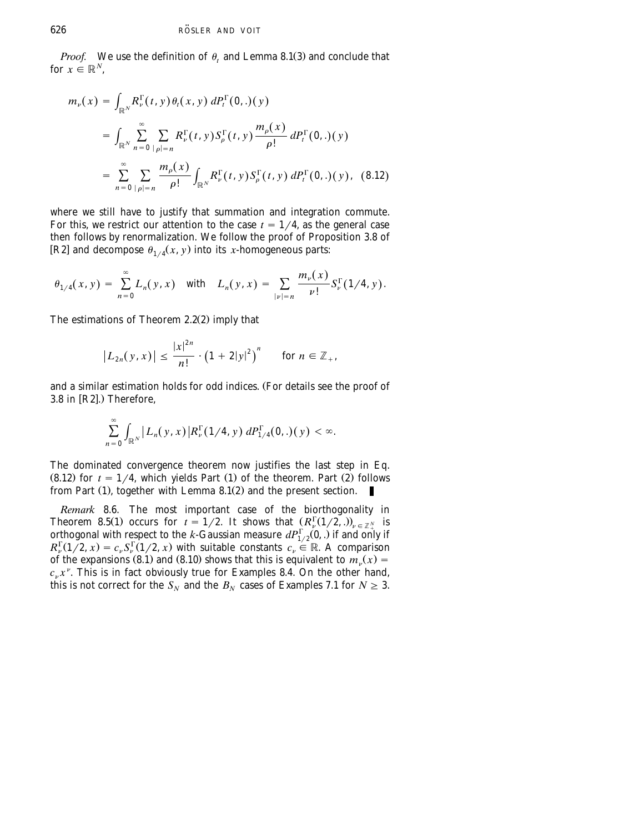*Proof.* We use the definition of  $\theta$ , and Lemma 8.1(3) and conclude that for  $x \in \mathbb{R}^N$ .

$$
m_{\nu}(x) = \int_{\mathbb{R}^{N}} R_{\nu}^{\Gamma}(t, y) \theta_{t}(x, y) dP_{t}^{\Gamma}(0, .)(y)
$$
  
\n
$$
= \int_{\mathbb{R}^{N}} \sum_{n=0}^{\infty} \sum_{|\rho|=n} R_{\nu}^{\Gamma}(t, y) S_{\rho}^{\Gamma}(t, y) \frac{m_{\rho}(x)}{\rho!} dP_{t}^{\Gamma}(0, .)(y)
$$
  
\n
$$
= \sum_{n=0}^{\infty} \sum_{|\rho|=n} \frac{m_{\rho}(x)}{\rho!} \int_{\mathbb{R}^{N}} R_{\nu}^{\Gamma}(t, y) S_{\rho}^{\Gamma}(t, y) dP_{t}^{\Gamma}(0, .)(y), \quad (8.12)
$$

where we still have to justify that summation and integration commute. For this, we restrict our attention to the case  $t = 1/4$ , as the general case then follows by renormalization. We follow the proof of Proposition 3.8 of [R2] and decompose  $\theta_{1/4}(x, y)$  into its *x*-homogeneous parts:

$$
\theta_{1/4}(x, y) = \sum_{n=0}^{\infty} L_n(y, x) \quad \text{with} \quad L_n(y, x) = \sum_{|\nu|=n} \frac{m_{\nu}(x)}{\nu!} S_{\nu}^{\Gamma}(1/4, y).
$$

The estimations of Theorem  $2.2(2)$  imply that

$$
|L_{2n}(y,x)| \leq \frac{|x|^{2n}}{n!} \cdot (1+2|y|^2)^n \quad \text{for } n \in \mathbb{Z}_+,
$$

and a similar estimation holds for odd indices. (For details see the proof of 3.8 in  $[R2]$ .) Therefore,

$$
\sum_{n=0}^{\infty}\int_{\mathbb{R}^N}\big|L_n(y,x)\big|R_{\nu}^{\Gamma}(1/4,y)\,dP_{1/4}^{\Gamma}(0,.)(y)\big|<\infty.
$$

The dominated convergence theorem now justifies the last step in Eq.  $(8.12)$  for  $t = 1/4$ , which yields Part  $(1)$  of the theorem. Part  $(2)$  follows from Part  $(1)$ , together with Lemma 8.1 $(2)$  and the present section.

*Remark* 8.6. The most important case of the biorthogonality in Theorem 8.5(1) occurs for  $t = 1/2$ . It shows that  $(R_v^{\Gamma}(1/2, .))_{v \in \mathbb{Z}_{+}^{N}}$  is orthogonal with respect to the *k*-Gaussian measure  $dP^{\Gamma}_{1/2}(0,.)$  if and only if  $R_v^{\Gamma}(1/\mathbf{2}, x) = c_v S_v^{\Gamma}(1/\mathbf{2}, x)$  with suitable constants  $c_v \in \mathbb{R}$ . A comparison of the expansions (8.1) and (8.10) shows that this is equivalent to  $m_v(x) =$  $c<sub>v</sub> x<sup>v</sup>$ . This is in fact obviously true for Examples 8.4. On the other hand, this is not correct for the  $S_N$  and the  $B_N$  cases of Examples 7.1 for  $N \geq 3$ .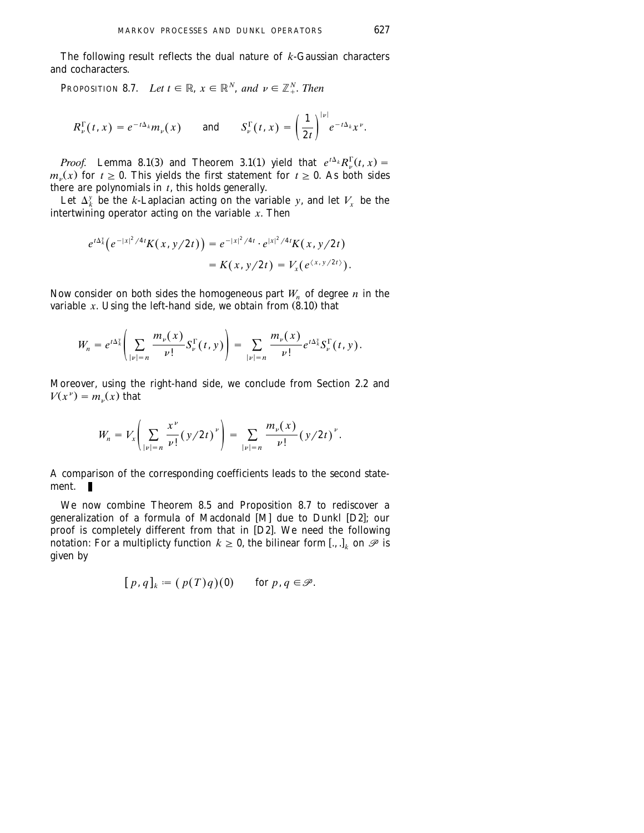The following result reflects the dual nature of *k*-Gaussian characters and cocharacters.

PROPOSITION 8.7. *Let*  $t \in \mathbb{R}$ ,  $x \in \mathbb{R}^N$ , and  $v \in \mathbb{Z}_+^N$ . *Then* 

$$
R^{\Gamma}_{\nu}(t,x)=e^{-t\Delta_k}m_{\nu}(x) \quad \text{and} \quad S^{\Gamma}_{\nu}(t,x)=\left(\frac{1}{2t}\right)^{|\nu|}e^{-t\Delta_k}x^{\nu}.
$$

*Proof.* Lemma 8.1(3) and Theorem 3.1(1) yield that  $e^{t\Delta_k}R_{\nu}^{\Gamma}(t, x) =$  $m_{\nu}(x)$  for  $t \ge 0$ . This yields the first statement for  $t \ge 0$ . As both sides there are polynomials in *t*, this holds generally.

Let  $\Delta^y_k$  be the *k*-Laplacian acting on the variable *y*, and let  $V_r$  be the intertwining operator acting on the variable *x*. Then

$$
e^{t\Delta_k^y}\big(e^{-|x|^2/4t}K(x,y/2t)\big) = e^{-|x|^2/4t} \cdot e^{|x|^2/4t}K(x,y/2t)
$$
  
=  $K(x,y/2t) = V_x(e^{(x,y/2t)}).$ 

Now consider on both sides the homogeneous part  $W_n$  of degree *n* in the variable  $x$ . Using the left-hand side, we obtain from  $(8.10)$  that

$$
W_n = e^{t\Delta_k^{\mathrm{v}}} \left( \sum_{|\nu|=n} \frac{m_{\nu}(x)}{\nu!} S_{\nu}^{\Gamma}(t, y) \right) = \sum_{|\nu|=n} \frac{m_{\nu}(x)}{\nu!} e^{t\Delta_k^{\mathrm{v}}} S_{\nu}^{\Gamma}(t, y).
$$

Moreover, using the right-hand side, we conclude from [Section 2.2](#page-7-0) and  $V(x^{\nu}) = m_{\nu}(x)$  that

$$
W_n = V_x \left( \sum_{|\nu|=n} \frac{x^{\nu}}{\nu!} (y/2t)^{\nu} \right) = \sum_{|\nu|=n} \frac{m_{\nu}(x)}{\nu!} (y/2t)^{\nu}.
$$

A comparison of the corresponding coefficients leads to the second statement. п

We now combine Theorem 8.5 and Proposition 8.7 to rediscover a generalization of a formula of [M](#page-67-0)acdonald  $[M]$  due to Dunkl [D2]; our proof is completely different from that in  $[D2]$ . We need the following notation: For a multiplicty function  $k \geq 0$ , the bilinear form [., .], on  $\mathscr P$  is given by

$$
[p,q]_k := (p(T)q)(0) \quad \text{for } p,q \in \mathcal{P}.
$$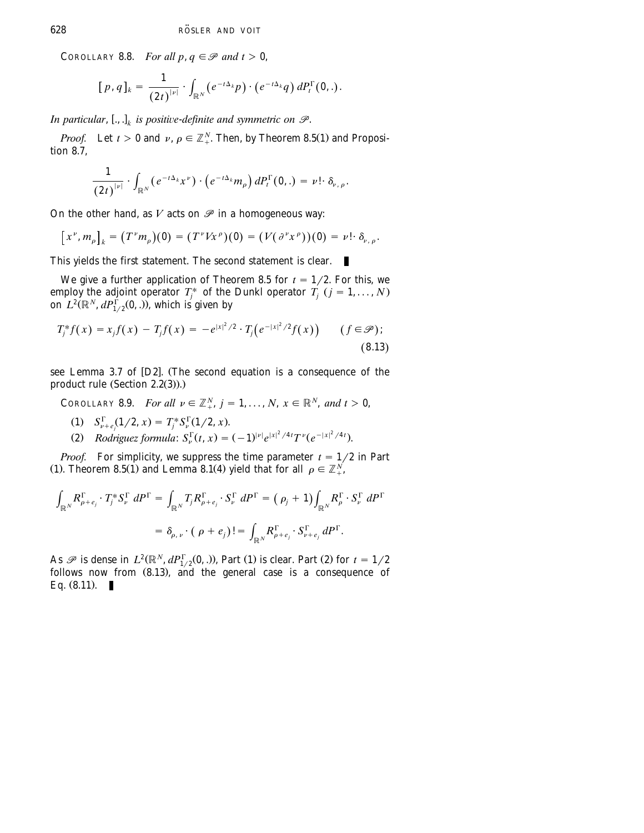COROLLARY 8.8. *For all p*,  $q \in \mathcal{P}$  *and*  $t > 0$ ,

$$
[p,q]_k = \frac{1}{(2t)^{|\nu|}} \cdot \int_{\mathbb{R}^N} (e^{-t\Delta_k}p) \cdot (e^{-t\Delta_k}q) dP_t^{\Gamma}(0,.)
$$

*In particular*,  $[.,.]$  *is positive-definite and symmetric on*  $\mathscr{P}$ *.* 

*Proof.* Let  $t > 0$  and  $\nu$ ,  $\rho \in \mathbb{Z}_{+}^{N}$ . Then, by Theorem 8.5(1) and Proposition 8.7,

$$
\frac{1}{(2t)^{|\nu|}}\cdot\int_{\mathbb{R}^N}(e^{-t\Delta_k}x^\nu)\cdot\left(e^{-t\Delta_k}m_\rho\right)dP_t^\Gamma(0,.)=\nu!\cdot\delta_{\nu,\,\rho}.
$$

On the other hand, as  $V$  acts on  $\mathscr P$  in a homogeneous way:

$$
[x^{\nu},m_{\rho}]_{k}=(T^{\nu}m_{\rho})(0)=(T^{\nu}Vx^{\rho})(0)=(V(\partial^{\nu}x^{\rho}))(0)=\nu!\cdot\delta_{\nu,\rho}.
$$

This yields the first statement. The second statement is clear.

We give a further application of Theorem 8.5 for  $t = 1/2$ . For this, we employ the adjoint operator *T<sub>i</sub>* of the Dunkl operator *T<sub>i</sub>* (*j* = 1, ..., *N*) on  $L^2(\mathbb{R}^N, dP_{1/2}^{\Gamma}(0,.))$ , which is given by

$$
T_j^* f(x) = x_j f(x) - T_j f(x) = -e^{|x|^2/2} \cdot T_j(e^{-|x|^2/2} f(x)) \qquad (f \in \mathcal{P});
$$
\n(8.13)

see Lemma 3.7 of [D2]. (The second equation is a consequence of the product rule  $(Section 2.2(3))$ .)

COROLLARY 8.9. *For all*  $v \in \mathbb{Z}_+^N$ ,  $j = 1, ..., N$ ,  $x \in \mathbb{R}^N$ , and  $t > 0$ ,

- $\mathcal{S}_{\nu+e}^{\Gamma}(1/2, x) = T_i^* \mathcal{S}_{\nu}^{\Gamma}(1/2, x).$
- (2) Rodriguez formula:  $S_{\nu}^{\Gamma}(t, x) = (-1)^{|\nu|} e^{|x|^2/4t} T^{\nu} (e^{-|x|^2/4t}).$

*Proof.* For simplicity, we suppress the time parameter  $t = \frac{1}{2}$  in Part (1). Theorem 8.5(1) and Lemma 8.1(4) yield that for all  $\rho \in \mathbb{Z}_+^N$ ,

$$
\int_{\mathbb{R}^N} R_{\rho+e_j}^{\Gamma} \cdot T_j^* S_{\nu}^{\Gamma} dP^{\Gamma} = \int_{\mathbb{R}^N} T_j R_{\rho+e_j}^{\Gamma} \cdot S_{\nu}^{\Gamma} dP^{\Gamma} = (\rho_j + 1) \int_{\mathbb{R}^N} R_{\rho}^{\Gamma} \cdot S_{\nu}^{\Gamma} dP^{\Gamma}
$$

$$
= \delta_{\rho,\nu} \cdot (\rho + e_j)! = \int_{\mathbb{R}^N} R_{\rho+e_j}^{\Gamma} \cdot S_{\nu+e_j}^{\Gamma} dP^{\Gamma}.
$$

As  $\mathscr P$  is dense in  $L^2(\mathbb R^N, dP_{1/2}^{\Gamma}(0,.))$ , Part (1) is clear. Part (2) for  $t = 1/2$ follows now from  $(8.13)$ , and the general case is a consequence of Eq.  $(8.11)$ .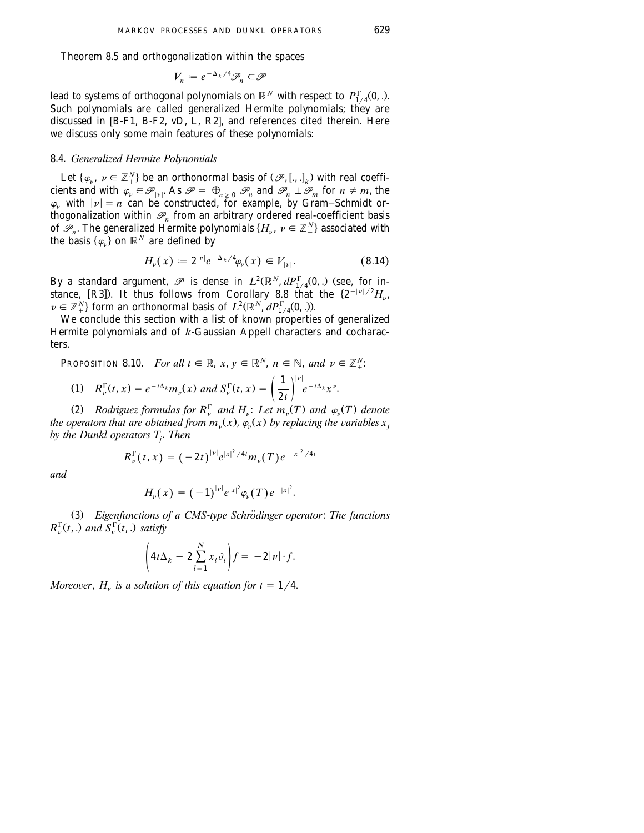Theorem 8.5 and orthogonalization within the spaces

$$
V_n := e^{-\Delta_k/4} \mathscr{P}_n \subset \mathscr{P}
$$

*N* lead to systems of orthogonal polynomials on  $\mathbb{R}^N$  with respect to  $P_{1/4}^{\Gamma}(0, .)$ . Such polynomials are called generalized Hermite polynomials; they are discussed in [B-F1, B-F2, vD, [L, R2](#page-67-0)], and references cited therein. Here we discuss only some main features of these polynomials:

### 8.4. *Generalized Hermite Polynomials*

Let  $\{\varphi_{\nu}, \nu \in \mathbb{Z}_{+}^{N}\}$  be an orthonormal basis of  $(\mathscr{P}, [.,.]_{k})$  with real coefficients and with  $\varphi_{\nu} \in \mathcal{P}_{|\nu|}$ . As  $\mathcal{P} = \bigoplus_{n \geq 0} \mathcal{P}_n$  and  $\mathcal{P}_n \perp \mathcal{P}_m$  for  $n \neq m$ , the  $\varphi_{\nu}$  with  $|\nu| = n$  can be constructed, for example, by Gram–Schmidt orthogonalization within  $\mathcal{P}_n$  from an arbitrary ordered real-coefficient basis of  $\mathscr{P}_n$ . The generalized Hermite polynomials  $\{H_n, \nu \in \mathbb{Z}_{+}^N\}$  associated with the basis  $\{\varphi_{\nu}\}$  on  $\mathbb{R}^N$  are defined by

$$
H_{\nu}(x) := 2^{|\nu|} e^{-\Delta_k/4} \varphi_{\nu}(x) \in V_{|\nu|}.
$$
 (8.14)

By a standard argument,  $\mathscr P$  is dense in  $L^2(\mathbb R^N, dP_{1/4}^{\Gamma}(0,.))$  (see, for instance, [R3]). It thus follows from Corollary 8.8 that the  $\{2^{-|\nu|/2}H_{\nu},\}$  $\nu \in \mathbb{Z}_{+}^{N}$  form an orthonormal basis of  $L^{2}(\mathbb{R}^{N}, dP_{1/4}^{\Gamma}(0,.))$ .

We conclude this section with a list of known properties of generalized Hermite polynomials and of *k*-Gaussian Appell characters and cocharacters.

PROPOSITION 8.10. *For all*  $t \in \mathbb{R}$ ,  $x, y \in \mathbb{R}^N$ ,  $n \in \mathbb{N}$ , and  $v \in \mathbb{Z}_+^N$ .

(1) 
$$
R_v^{\Gamma}(t, x) = e^{-t\Delta_k} m_v(x)
$$
 and  $S_v^{\Gamma}(t, x) = \left(\frac{1}{2t}\right)^{|v|} e^{-t\Delta_k} x^{\nu}$ .

(2) *Rodriguez formulas for*  $R_v^{\Gamma}$  *and*  $H_v$ : *Let*  $m_v(T)$  *and*  $\varphi_v(T)$  *denote the operators that are obtained from*  $m_v(x)$ *,*  $\varphi_v(x)$  *by replacing the variables*  $x_i$ *by the Dunkl operators Tj* . *Then*

$$
R_{\nu}^{\Gamma}(t,x) = (-2t)^{|\nu|} e^{|x|^2/4t} m_{\nu}(T) e^{-|x|^2/4t}
$$

*and*

$$
H_{\nu}(x) = (-1)^{|\nu|} e^{|x|^2} \varphi_{\nu}(T) e^{-|x|^2}.
$$

Ž . 3 *Eigenfunctions of a CMS*-*type Schrodinger operator* ¨ : *The functions*  $R_v^{\Gamma}(t,.)$  and  $S_v^{\Gamma}(t,.)$  satisfy

$$
\left(4t\Delta_k-2\sum_{l=1}^N x_l\partial_l\right)f=-2|\nu|\cdot f.
$$

*Moreover,*  $H_v$  *is a solution of this equation for t = 1/4.*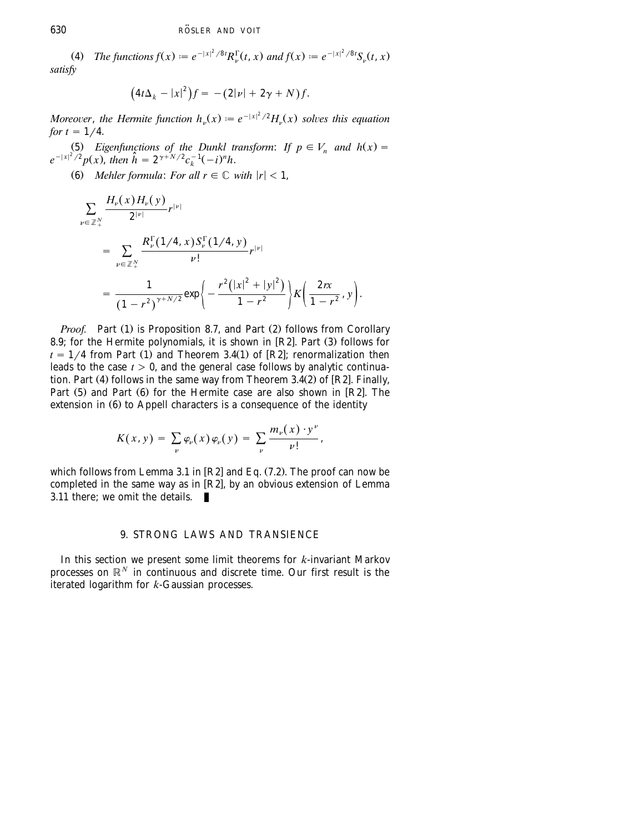<span id="page-55-0"></span>(4) The functions  $f(x) := e^{-|x|^2/8t} R_{\nu}^{\Gamma}(t, x)$  and  $f(x) := e^{-|x|^2/8t} S_{\nu}(t, x)$ *satisfy*

$$
(4t\Delta_k - |x|^2)f = -(2|\nu| + 2\gamma + N)f.
$$

Moreover, the Hermite function  $h_{\nu}(x) := e^{-|x|^2/2} H_{\nu}(x)$  solves this equation *for*  $t = 1/4$ .

(5) *Eigenfunctions of the Dunkl transform: If*  $p \in V_n$  *and*  $h(x) = e^{-|x|^2/2} p(x)$ , *then*  $\hat{h} = 2^{\gamma + N/2} c_k^{-1} (-i)^n h$ .

(6) *Mehler formula: For all*  $r \in \mathbb{C}$  *<i>with*  $|r| < 1$ ,

$$
\sum_{\nu \in \mathbb{Z}_{+}^{N}} \frac{H_{\nu}(x) H_{\nu}(y)}{2^{|\nu|}} r^{|\nu|}
$$
\n
$$
= \sum_{\nu \in \mathbb{Z}_{+}^{N}} \frac{R_{\nu}^{\Gamma}(1/4, x) S_{\nu}^{\Gamma}(1/4, y)}{\nu!} r^{|\nu|}
$$
\n
$$
= \frac{1}{(1 - r^{2})^{\gamma + N/2}} \exp \bigg\{ - \frac{r^{2}(|x|^{2} + |y|^{2})}{1 - r^{2}} \bigg\} K \bigg( \frac{2rx}{1 - r^{2}}, y \bigg).
$$

*Proof.* Part (1) is Proposition 8.7, and Part (2) follows from Corollary 8.9; for the Hermite polynomials, it is shown in  $[R2]$ . Part  $(3)$  follows for  $t = 1/4$  from Part (1) and Theorem 3.4(1) of [R2]; renormalization then leads to the case  $t > 0$ , and the general case follows by analytic continuation. Part (4) follows in the same way from Theorem 3.4(2) of [R2]. Finally, Part  $(5)$  and Part  $(6)$  for the Hermite case are also shown in [R2]. The extension in  $(6)$  to Appell characters is a consequence of the identity

$$
K(x, y) = \sum_{\nu} \varphi_{\nu}(x) \varphi_{\nu}(y) = \sum_{\nu} \frac{m_{\nu}(x) \cdot y^{\nu}}{\nu!},
$$

which follows from Lemma 3.1 in  $[R2]$  and Eq. (7.2). The proof can now be completed in the same way as in  $[R2]$ , by an obvious extension of Lemma 3.11 there; we omit the details.

### 9. STRONG LAWS AND TRANSIENCE

In this section we present some limit theorems for *k*-invariant Markov processes on  $\mathbb{R}^N$  in continuous and discrete time. Our first result is the iterated logarithm for *k*-Gaussian processes.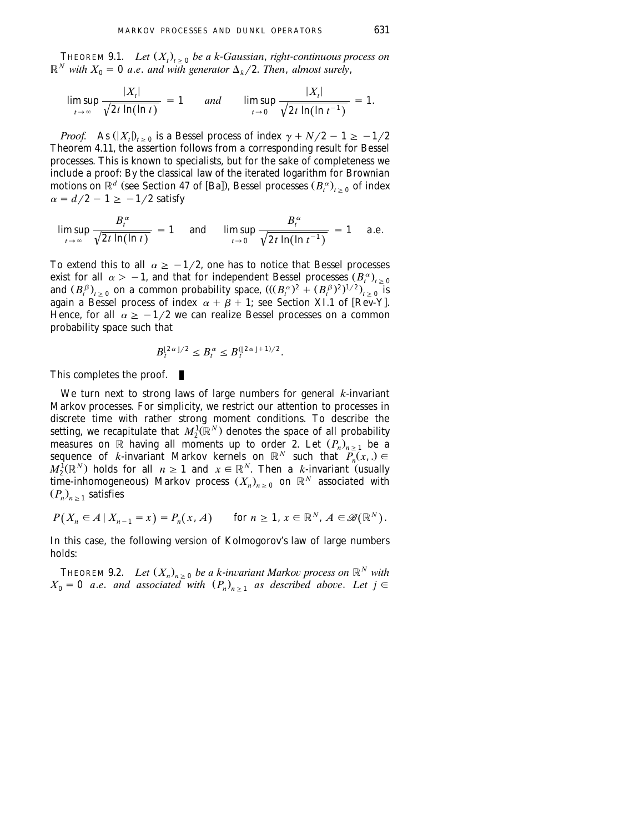THEOREM 9.1. *Let*  $(X_t)_{t>0}$  *be a k-Gaussian, right-continuous process on*  $\mathbb{R}^N$  with  $X_0 = 0$  *a.e. and with generator*  $\Delta_k/2$ . *Then, almost surely,* 

$$
\limsup_{t\to\infty}\frac{|X_t|}{\sqrt{2t\ln(\ln t)}}=1\qquad\text{and}\qquad \limsup_{t\to 0}\frac{|X_t|}{\sqrt{2t\ln(\ln t^{-1})}}=1.
$$

*Proof.* As  $(|X_t|)_{t>0}$  is a Bessel process of index  $\gamma + N/2 - 1 \ge -1/2$ Theorem 4.11, the assertion follows from a corresponding result for Bessel processes. This is known to specialists, but for the sake of completeness we include a proof: By the classical law of the iterated logarithm for Brownian motions on  $\mathbb{R}^d$  (see Section 47 of [Ba]), Bessel processes  $(B_t^{\alpha})_{t>0}$  of index  $\alpha = d/2 - 1 \ge -1/2$  satisfy

$$
\limsup_{t\to\infty}\frac{B_t^{\alpha}}{\sqrt{2t\ln(\ln t)}}=1\quad\text{ and }\quad\limsup_{t\to 0}\frac{B_t^{\alpha}}{\sqrt{2t\ln(\ln t^{-1})}}=1\quad\text{ a.e.}
$$

To extend this to all  $\alpha \geq -1/2$ , one has to notice that Bessel processes exist for all  $\alpha > -1$ , and that for independent Bessel processes  $(B_t^{\alpha})_{t \geq 0}$ and  $(B_t^{\beta})_{t\geq 0}$  on a common probability space,  $((B_t^{\alpha})^2 + (B_t^{\beta})^2)^{1/2}$ ,  $\sum_{t=0}^{t}$  is again a Bessel process of index  $\alpha + \beta + 1$ ; see Section XI.1 of [Rev-Y]. Hence, for all  $\alpha \geq -1/2$  we can realize Bessel processes on a common probability space such that

$$
B_t^{\lfloor 2\alpha \rfloor/2} \leq B_t^{\alpha} \leq B_t^{\left(\lfloor 2\alpha \rfloor + 1\right)/2}.
$$

This completes the proof.

We turn next to strong laws of large numbers for general *k*-invariant Markov processes. For simplicity, we restrict our attention to processes in discrete time with rather strong moment conditions. To describe the setting, we recapitulate that  $M_2^1(\mathbb{R}^N)$  denotes the space of all probability measures on R having all moments up to order 2. Let  $(P_n)_{n>1}$  be a sequence of *k*-invariant Markov kernels on  $\mathbb{R}^N$  such that  $P_n(x, x) \in$  $M_2^{\hat{I}}(\mathbb{R}^N)$  holds for all  $n \ge 1$  and  $x \in \mathbb{R}^N$ . Then a *k*-invariant (usually time-inhomogeneous) Markov process  $(X_n)_{n>0}$  on  $\mathbb{R}^N$  associated with  $(P_n)_{n \geq 1}$  satisfies

$$
P(X_n \in A \mid X_{n-1} = x) = P_n(x, A) \quad \text{for } n \ge 1, x \in \mathbb{R}^N, A \in \mathcal{B}(\mathbb{R}^N).
$$

In this case, the following version of Kolmogorov's law of large numbers holds:

**THEOREM 9.2.** *Let*  $(X_n)_{n>0}$  *be a k-invariant Markov process on*  $\mathbb{R}^N$  *with*  $X_0 = 0$  *a.e.* and associated with  $(P_n)_{n>1}$  as described above. Let  $j \in$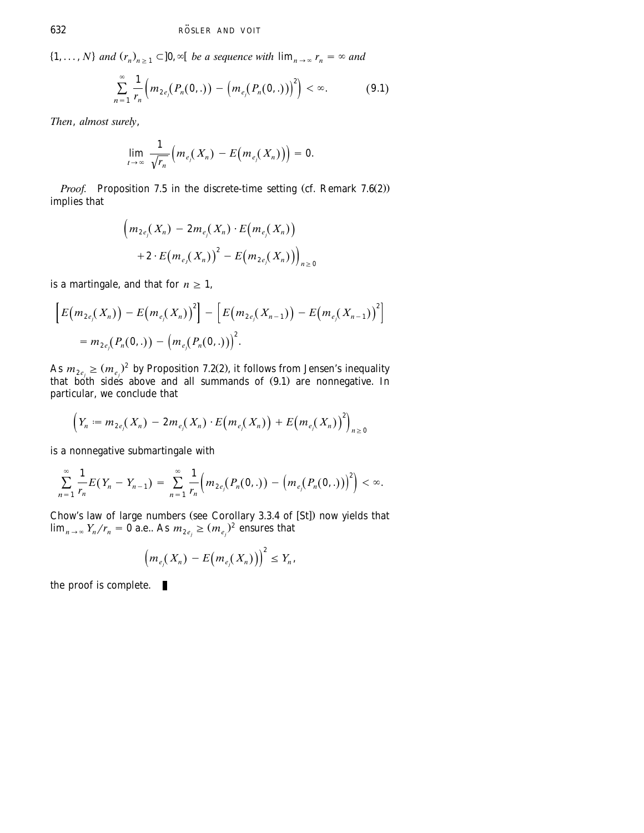$\{1, \ldots, N\}$  and  $(r_n)_{n \geq 1} \subset ]0, \infty[$  *be a sequence with*  $\lim_{n \to \infty} r_n = \infty$  and

$$
\sum_{n=1}^{\infty} \frac{1}{r_n} \Big( m_{2e_j}(P_n(0,.)) - \Big( m_{e_j}(P_n(0,.) ) \Big)^2 \Big) < \infty.
$$
 (9.1)

*Then*, *almost surely*,

$$
\lim_{t\to\infty}\frac{1}{\sqrt{r_n}}\Big(m_{e_j}(X_n)-E\big(m_{e_j}(X_n)\big)\Big)=0.
$$

*Proof.* Proposition 7.5 in the discrete-time setting (cf. Remark  $7.6(2)$ ) implies that

$$
\left(m_{2e_j}(X_n) - 2m_{e_j}(X_n) \cdot E(m_{e_j}(X_n))\right) + 2 \cdot E(m_{e_j}(X_n))^{2} - E(m_{2e_j}(X_n))\right)_{n \geq 0}
$$

is a martingale, and that for  $n \geq 1$ ,

$$
\left[E\big(m_{2e_j}(X_n)\big)-E\big(m_{e_j}(X_n)\big)^2\right]-\left[E\big(m_{2e_j}(X_{n-1})\big)-E\big(m_{e_j}(X_{n-1})\big)^2\right]
$$
  
=  $m_{2e_j}(P_n(0,.))-\big(m_{e_j}(P_n(0,.))\big)^2$ .

As  $m_{2e} \ge (m_e)^2$  by Proposition 7.2(2), it follows from Jensen's inequality that both sides above and all summands of  $(9.1)$  are nonnegative. In particular, we conclude that

$$
\Big(Y_n := m_{2e_j}(X_n) - 2m_{e_j}(X_n) \cdot E(m_{e_j}(X_n)) + E(m_{e_j}(X_n))^{2}\Big)_{n \geq 0}
$$

is a nonnegative submartingale with

$$
\sum_{n=1}^{\infty}\frac{1}{r_n}E(Y_n-Y_{n-1})=\sum_{n=1}^{\infty}\frac{1}{r_n}\Big(m_{2e_j}(P_n(0,.))-m_{e_j}(P_n(0,.))\Big)^2\Big]<\infty.
$$

Chow's law of large numbers (see Corollary 3.3.4 of [St]) now yields that  $\lim_{n \to \infty} Y_n/r_n = 0$  a.e.. As  $m_{2e_i} \ge (m_{e_i})^2$  ensures that

$$
\left(m_{e_j}(X_n)-E\big(m_{e_j}(X_n)\big)\right)^2\leq Y_n,
$$

the proof is complete.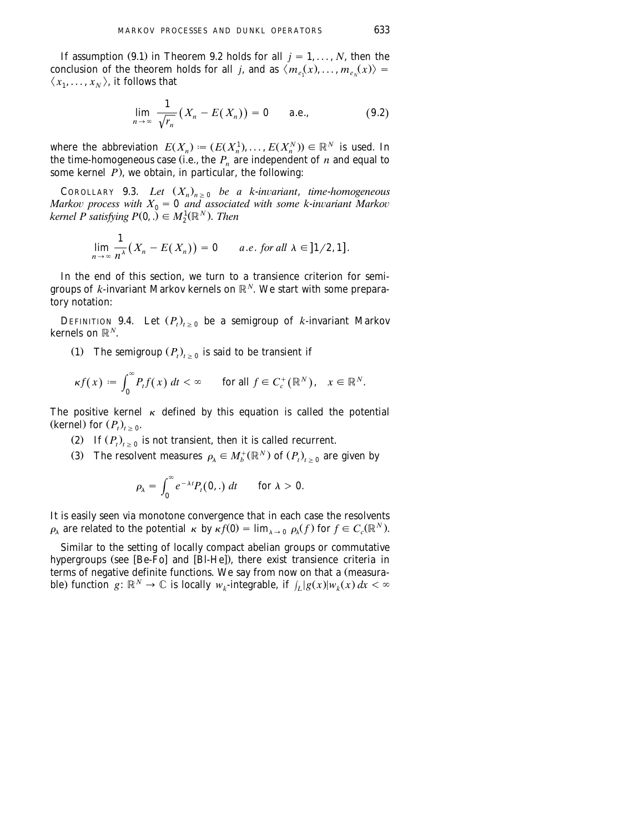If assumption (9.1) in Theorem 9.2 holds for all  $j = 1, ..., N$ , then the conclusion of the theorem holds for all *j*, and as  $\langle m_e(x), \ldots, m_e(x) \rangle =$  $\langle x_1, \ldots, x_N \rangle$ , it follows that

$$
\lim_{n\to\infty}\frac{1}{\sqrt{r_n}}(X_n-E(X_n))=0\qquad\text{a.e.,}\qquad\qquad(9.2)
$$

where the abbreviation  $E(X_n) := (E(X_n^1), \ldots, E(X_n^N)) \in \mathbb{R}^N$  is used. In the time-homogeneous case (i.e., the  $P_n$  are independent of  $n$  and equal to some kernel  $\overrightarrow{P}$ , we obtain, in particular, the following:

COROLLARY 9.3. *Let*  $(X_n)_{n \geq 0}$  *be a k*-*invariant*, *time*-*homogeneous Markov process with*  $X_0 = 0$  *and associated with some k-invariant Markov kernel P satisfying P*(0, .)  $\in M_2^1(\mathbb{R}^N)$ . *Then* 

$$
\lim_{n\to\infty}\frac{1}{n^{\lambda}}\big(X_n-E(X_n)\big)=0\qquad a.e.\ for all\ \lambda\in]1/2,1].
$$

In the end of this section, we turn to a transience criterion for semigroups of  $k$ -invariant Markov kernels on  $\mathbb{R}^N$ . We start with some preparatory notation:

DEFINITION 9.4. Let  $(P_t)_{t>0}$  be a semigroup of *k*-invariant Markov kernels on  $\mathbb{R}^N$ .

(1) The semigroup  $(P_t)_{t>0}$  is said to be transient if

$$
\kappa f(x) := \int_0^\infty P_t f(x) \, dt < \infty \qquad \text{for all } f \in C_c^+(\mathbb{R}^N), \quad x \in \mathbb{R}^N.
$$

The positive kernel  $\kappa$  defined by this equation is called the potential (kernel) for  $(P_t)_{t>0}$ .

- (2) If  $(P_t)_{t \geq 0}$  is not transient, then it is called recurrent.
- (3) The resolvent measures  $\rho_{\lambda} \in M_b^+(\mathbb{R}^N)$  of  $(P_t)_{t>0}$  are given by

$$
\rho_{\lambda} = \int_0^{\infty} e^{-\lambda t} P_t(0,.) dt \quad \text{for } \lambda > 0.
$$

It is easily seen via monotone convergence that in each case the resolvents  $\rho_{\lambda}$  are related to the potential  $\kappa$  by  $\kappa f(0) = \lim_{\lambda \to 0} \rho_{\lambda}(f)$  for  $f \in C_c(\mathbb{R}^N)$ .

Similar to the setting of locally compact abelian groups or commutative hypergroups (see  $[Be-Fo]$  and  $[Bl-He]$ ), there exist transience criteria in terms of negative definite functions. We say from now on that a (measurable) function  $g: \mathbb{R}^N \to \mathbb{C}$  is locally  $w_k$ -integrable, if  $\int_L |g(x)| w_k(x) dx < \infty$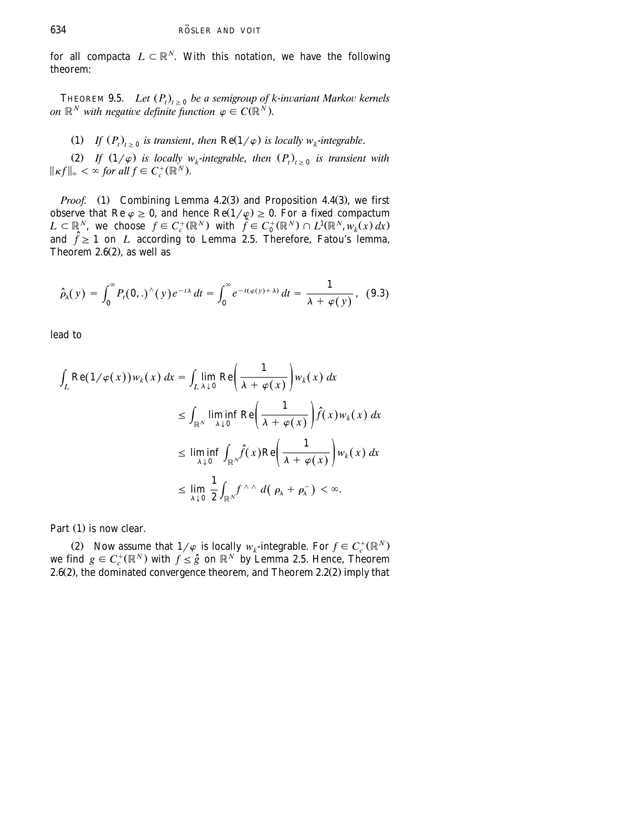for all compacta  $L \subset \mathbb{R}^N$ . With this notation, we have the following theorem:

THEOREM 9.5. *Let*  $(P_t)_{t>0}$  *be a semigroup of k-invariant Markov kernels on*  $\mathbb{R}^N$  *with negative definite function*  $\varphi \in C(\mathbb{R}^N)$ .

(1) If  $(P_t)_{t>0}$  is transient, then  $\text{Re}(1/\varphi)$  is locally  $w_k$ -integrable.

(2) If  $(1/\varphi)$  is locally  $w_k$ -integrable, then  $(P_t)_{t\geq 0}$  is transient with  $\|\kappa f\|_{\infty} < \infty$  for all  $f \in C_c^+(\mathbb{R}^N)$ .

*Proof.* (1) Combining Lemma 4.2(3) and Proposition 4.4(3), we first observe that Re  $\varphi \geq 0$ , and hence Re $(1/\varphi) \geq 0$ . For a fixed compactum  $L \subset \mathbb{R}^N$ , we choose  $f \in C_c^+(\mathbb{R}^N)$  with  $\hat{f} \in C_0^+(\mathbb{R}^N) \cap L^1(\mathbb{R}^N, w_k(x) dx)$ and  $\hat{f} \ge 1$  on *L* according to Lemma 2.5. Therefore, Fatou's lemma, Theorem  $2.6(2)$ , as well as

$$
\widehat{\rho}_{\lambda}(y) = \int_0^{\infty} P_t(\mathbf{0},.)^{\wedge}(y) e^{-t\lambda} dt = \int_0^{\infty} e^{-t(\varphi(y)+\lambda)} dt = \frac{1}{\lambda + \varphi(y)}, \quad (9.3)
$$

lead to

$$
\int_{L} \operatorname{Re}(1/\varphi(x)) w_{k}(x) dx = \int_{L \lambda \downarrow 0} \lim_{\lambda \downarrow 0} \operatorname{Re}\left(\frac{1}{\lambda + \varphi(x)}\right) w_{k}(x) dx
$$
\n
$$
\leq \int_{\mathbb{R}^{N}} \liminf_{\lambda \downarrow 0} \operatorname{Re}\left(\frac{1}{\lambda + \varphi(x)}\right) \hat{f}(x) w_{k}(x) dx
$$
\n
$$
\leq \liminf_{\lambda \downarrow 0} \int_{\mathbb{R}^{N}} \hat{f}(x) \operatorname{Re}\left(\frac{1}{\lambda + \varphi(x)}\right) w_{k}(x) dx
$$
\n
$$
\leq \lim_{\lambda \downarrow 0} \frac{1}{2} \int_{\mathbb{R}^{N}} f^{\wedge \wedge} d(\rho_{\lambda} + \rho_{\lambda}) < \infty.
$$

Part  $(1)$  is now clear.

(2) Now assume that  $1/\varphi$  is locally  $w_k$ -integrable. For  $f \in C_c^+(\mathbb{R}^N)$  we find  $g \in C_c^+(\mathbb{R}^N)$  with  $f \le \hat{g}$  on  $\mathbb{R}^N$  by Lemma 2.5. Hence, Theorem 2.6 $(2)$ , the dominated convergence theorem, and Theorem 2.2 $(2)$  imply that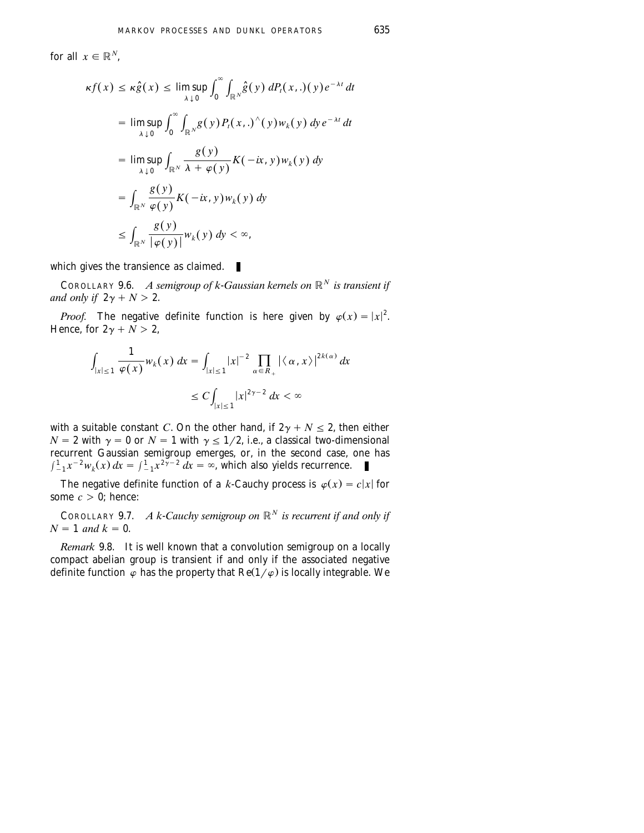for all  $x \in \mathbb{R}^N$ .

$$
\kappa f(x) \leq \kappa \hat{g}(x) \leq \limsup_{\lambda \downarrow 0} \int_0^\infty \int_{\mathbb{R}^N} \hat{g}(y) \, dP_t(x,.) (y) e^{-\lambda t} \, dt
$$
\n
$$
= \limsup_{\lambda \downarrow 0} \int_0^\infty \int_{\mathbb{R}^N} g(y) P_t(x,.) \, (y) w_k(y) \, dy \, e^{-\lambda t} \, dt
$$
\n
$$
= \limsup_{\lambda \downarrow 0} \int_{\mathbb{R}^N} \frac{g(y)}{\lambda + \varphi(y)} K(-ix, y) w_k(y) \, dy
$$
\n
$$
= \int_{\mathbb{R}^N} \frac{g(y)}{\varphi(y)} K(-ix, y) w_k(y) \, dy
$$
\n
$$
\leq \int_{\mathbb{R}^N} \frac{g(y)}{|\varphi(y)|} w_k(y) \, dy < \infty,
$$

which gives the transience as claimed.

COROLLARY 9.6. *A semigroup of k-Gaussian kernels on*  $\mathbb{R}^N$  *is transient if and only if*  $2\gamma + N > 2$ .

*Proof.* The negative definite function is here given by  $\varphi(x) = |x|^2$ . Hence, for  $2\gamma + N > 2$ ,

$$
\int_{|x|\leq 1} \frac{1}{\varphi(x)} w_k(x) dx = \int_{|x|\leq 1} |x|^{-2} \prod_{\alpha \in R_+} |\langle \alpha, x \rangle|^{2k(\alpha)} dx
$$
  

$$
\leq C \int_{|x|\leq 1} |x|^{2\gamma - 2} dx < \infty
$$

with a suitable constant *C*. On the other hand, if  $2\gamma + N \le 2$ , then either  $N = 2$  with  $\gamma = 0$  or  $N = 1$  with  $\gamma \le 1/2$ , i.e., a classical two-dimensional recurrent Gaussian semigroup emerges, or, in the second case, one has  $\int_{-1}^{1} x^{-2} w_k(x) dx = \int_{-1}^{1} x^{2\gamma-2} dx = \infty$ , which also yields recurrence.

The negative definite function of a *k*-Cauchy process is  $\varphi(x) = c|x|$  for some  $c > 0$ ; hence:

COROLLARY 9.7. *A k-Cauchy semigroup on*  $\mathbb{R}^N$  *is recurrent if and only if*  $N = 1$  *and*  $k = 0$ .

*Remark* 9.8. It is well known that a convolution semigroup on a locally compact abelian group is transient if and only if the associated negative definite function  $\varphi$  has the property that Re(1/ $\varphi$ ) is locally integrable. We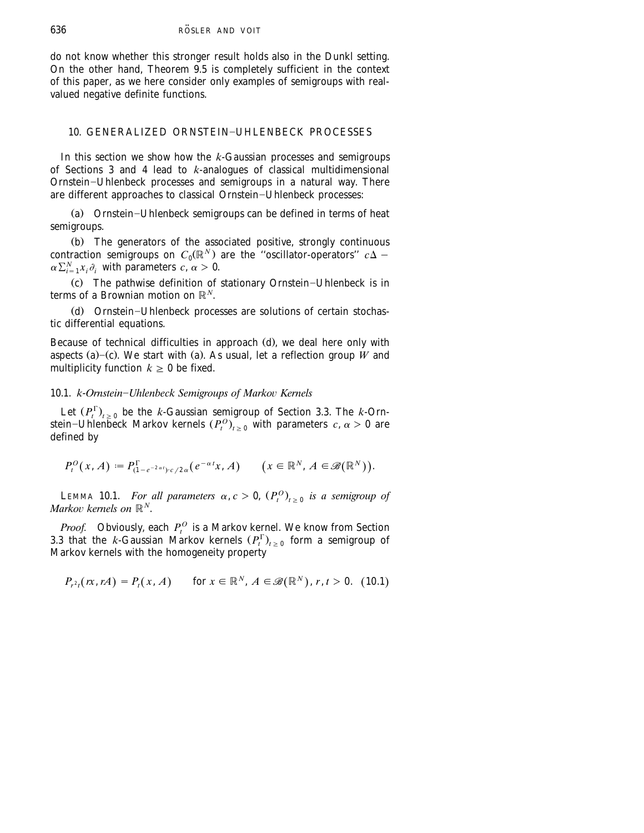<span id="page-61-0"></span>do not know whether this stronger result holds also in the Dunkl setting. On the other hand, Theorem 9.5 is completely sufficient in the context of this paper, as we here consider only examples of semigroups with realvalued negative definite functions.

# 10. GENERALIZED ORNSTEIN-UHLENBECK PROCESSES

In this section we show how the *k*-Gaussian processes and semigroups of [Sections 3](#page-13-0) [and 4](#page-16-0) lead to *k*-analogues of classical multidimensional Ornstein-Uhlenbeck processes and semigroups in a natural way. There are different approaches to classical Ornstein-Uhlenbeck processes:

(a) Ornstein-Uhlenbeck semigroups can be defined in terms of heat semigroups.

(b) The generators of the associated positive, strongly continuous contraction semigroups on  $C_0(\mathbb{R}^N)$  are the "oscillator-operators"  $c\Delta$  - $\alpha \sum_{i=1}^{N} x_i \partial_i$  with parameters  $c, \alpha > 0$ .

(c) The pathwise definition of stationary Ornstein-Uhlenbeck is in terms of a Brownian motion on  $\mathbb{R}^N$ .

(d) Ornstein-Uhlenbeck processes are solutions of certain stochastic differential equations.

Because of technical difficulties in approach (d), we deal here only with aspects (a)–(c). We start with (a). As usual, let a reflection group  $\hat{W}$  and multiplicity function  $k \geq 0$  be fixed.

# 10.1. *k*-*Ornstein*–*Uhlenbeck Semigroups of Markov Kernels*

Let  $(P_t^{\Gamma})_{t\geq 0}$  be the *k*-Gaussian semigroup of [Section 3.3.](#page-15-0) The *k*-Ornstein–Uhlenbeck Markov kernels  $(P_t^O)_{t \geq 0}$  with parameters  $c, \alpha > 0$  are defined by

$$
P_t^O(x, A) := P_{(1-e^{-2\alpha t}) \cdot c/2\alpha}^{\Gamma}(e^{-\alpha t}x, A) \qquad (x \in \mathbb{R}^N, A \in \mathscr{B}(\mathbb{R}^N)).
$$

**LEMMA 10.1.** *For all parameters*  $\alpha$ ,  $c > 0$ ,  $(P_t^0)_{t>0}$  *is a semigroup of Markov kernels on*  $\mathbb{R}^N$ .

*Proof.* Obviously, each  $P_t^O$  is a Markov kernel. We know from [Section](#page-15-0) [3.3](#page-15-0) that the *k*-Gaussian Markov kernels  $(P_t^{\Gamma})_{t>0}$  form a semigroup of Markov kernels with the homogeneity property

$$
P_{r^2t}(rx, rA) = P_t(x, A) \quad \text{for } x \in \mathbb{R}^N, A \in \mathscr{B}(\mathbb{R}^N), r, t > 0. \tag{10.1}
$$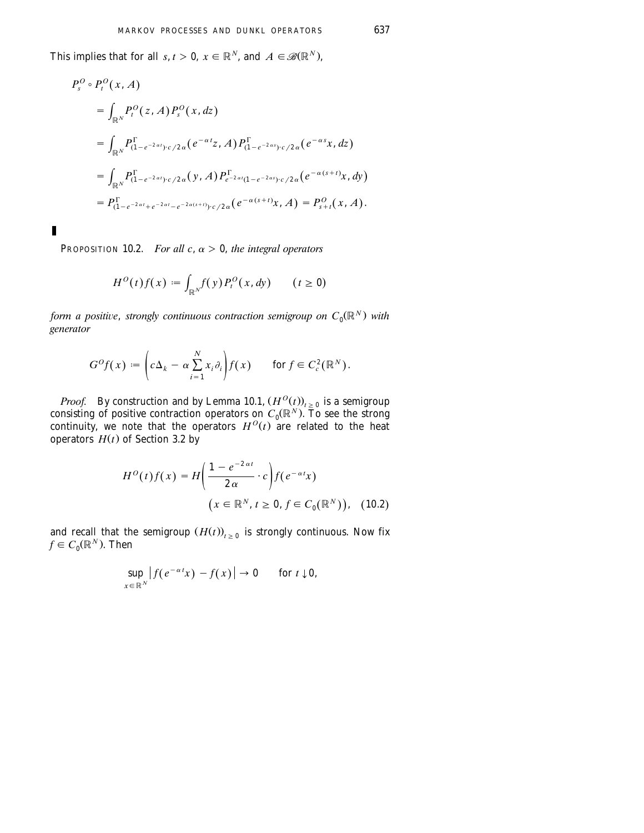*This implies that for all <i>s*, *t* > 0, *x*  $\in \mathbb{R}^N$ , and  $A \in \mathcal{B}(\mathbb{R}^N)$ ,

$$
P_s^O \circ P_t^O(x, A)
$$
  
=  $\int_{\mathbb{R}^N} P_t^O(z, A) P_s^O(x, dz)$   
=  $\int_{\mathbb{R}^N} P_{(1-e^{-2\alpha t}) \cdot c/2\alpha} (e^{-\alpha t}z, A) P_{(1-e^{-2\alpha s}) \cdot c/2\alpha} (e^{-\alpha s}x, dz)$   
=  $\int_{\mathbb{R}^N} P_{(1-e^{-2\alpha t}) \cdot c/2\alpha} (y, A) P_{e^{-2\alpha t}(1-e^{-2\alpha s}) \cdot c/2\alpha} (e^{-\alpha (s+t)}x, dy)$   
=  $P_{(1-e^{-2\alpha t}+e^{-2\alpha t}-e^{-2\alpha (s+t)}) \cdot c/2\alpha} (e^{-\alpha (s+t)}x, A) = P_{s+t}^O(x, A).$ 

PROPOSITION 10.2. *For all c*,  $\alpha > 0$ , *the integral operators* 

п

$$
H^0(t)f(x) := \int_{\mathbb{R}^N} f(y) P_t^0(x, dy) \qquad (t \ge 0)
$$

*form a positive, strongly continuous contraction semigroup on*  $C_0(\mathbb{R}^N)$  with *generator*

$$
G^{O}f(x) := \left(c\Delta_{k} - \alpha \sum_{i=1}^{N} x_{i} \partial_{i}\right) f(x) \quad \text{for } f \in C_{c}^{2}(\mathbb{R}^{N}).
$$

*Proof.* By construction and by Lemma 10.1,  $(H^{O}(t))_{t \geq 0}$  is a semigroup consisting of positive contraction operators on  $C_0(\mathbb{R}^N)$ . To see the strong continuity, we note that the operators  $H^O(t)$  are related to the heat operators  $H(t)$  of [Section 3.2](#page-14-0) by

$$
H^{O}(t)f(x) = H\left(\frac{1 - e^{-2\alpha t}}{2\alpha} \cdot c\right) f(e^{-\alpha t}x)
$$

$$
(x \in \mathbb{R}^{N}, t \ge 0, f \in C_{0}(\mathbb{R}^{N})), \quad (10.2)
$$

and recall that the semigroup  $(H(t))_{t>0}$  is strongly continuous. Now fix  $f \in C_0(\mathbb{R}^N)$ . Then

$$
\sup_{x\in\mathbb{R}^N}\left|f(e^{-\alpha t}x)-f(x)\right|\to 0\qquad\text{for }t\downarrow 0,
$$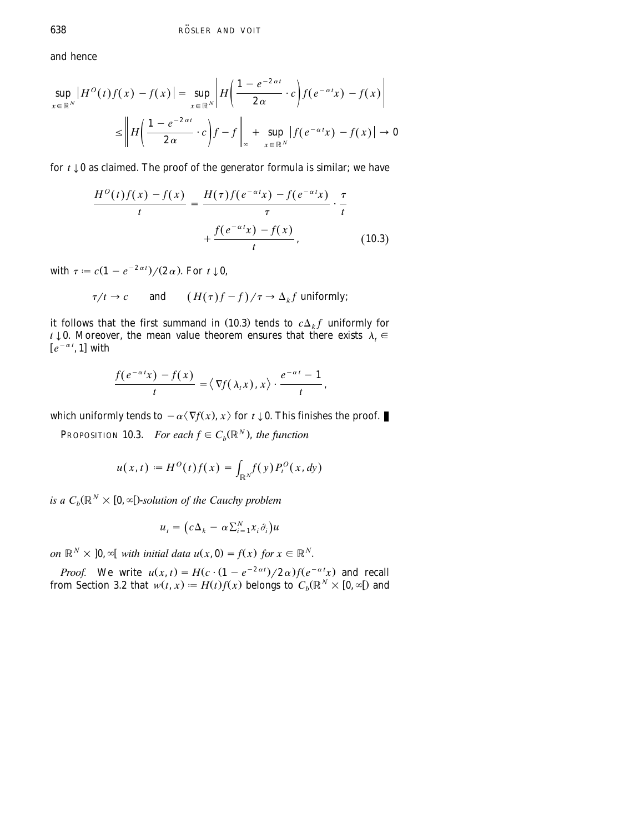and hence

$$
\sup_{x \in \mathbb{R}^N} |H^O(t)f(x) - f(x)| = \sup_{x \in \mathbb{R}^N} \left| H\left(\frac{1 - e^{-2\alpha t}}{2\alpha} \cdot c\right) f(e^{-\alpha t}x) - f(x) \right|
$$
  

$$
\leq \left\| H\left(\frac{1 - e^{-2\alpha t}}{2\alpha} \cdot c\right) f - f\right\|_{\infty} + \sup_{x \in \mathbb{R}^N} |f(e^{-\alpha t}x) - f(x)| \to 0
$$

for  $t \downarrow 0$  as claimed. The proof of the generator formula is similar; we have

$$
\frac{H^O(t)f(x) - f(x)}{t} = \frac{H(\tau)f(e^{-\alpha t}x) - f(e^{-\alpha t}x)}{\tau} \cdot \frac{\tau}{t}
$$

$$
+ \frac{f(e^{-\alpha t}x) - f(x)}{t}, \qquad (10.3)
$$

with  $\tau = c(1 - e^{-2 \alpha t})/(2 \alpha)$ . For  $t \downarrow 0$ ,

 $\tau/t \to c$  and  $(H(\tau)f - f)/\tau \to \Delta_k f$  uniformly;

it follows that the first summand in (10.3) tends to  $c\Delta_k f$  uniformly for *t*  $\downarrow$  0. Moreover, the mean value theorem ensures that there exists  $\lambda_t \in$  $[e^{-\alpha t}, 1]$  with

$$
\frac{f(e^{-\alpha t}x)-f(x)}{t}=\langle \nabla f(\lambda_t x), x\rangle \cdot \frac{e^{-\alpha t}-1}{t},
$$

which uniformly tends to  $-\alpha \langle \nabla f(x), x \rangle$  for  $t \downarrow 0$ . This finishes the proof.

**PROPOSITION 10.3.** *For each*  $f \in C_b(\mathbb{R}^N)$ , *the function* 

$$
u(x,t) := H^0(t)f(x) = \int_{\mathbb{R}^N} f(y) P_t^0(x,dy)
$$

is a  $C_b(\mathbb{R}^N \times [0, \infty])$ -solution of the Cauchy problem

$$
u_t = (c\Delta_k - \alpha \sum_{i=1}^N x_i \partial_i) u
$$

*N*  $\times$  **10**,  $\infty$  *with initial data*  $u(x, 0) = f(x)$  *for*  $x \in \mathbb{R}^N$ .

*Proof.* We write  $u(x, t) = H(c \cdot (1 - e^{-2 \alpha t})/2 \alpha) f(e^{-\alpha t}x)$  and recall from [Section 3.2](#page-14-0) that  $w(t, x) := H(t)f(x)$  belongs to  $C_b(\mathbb{R}^N \times [0, \infty[)$  and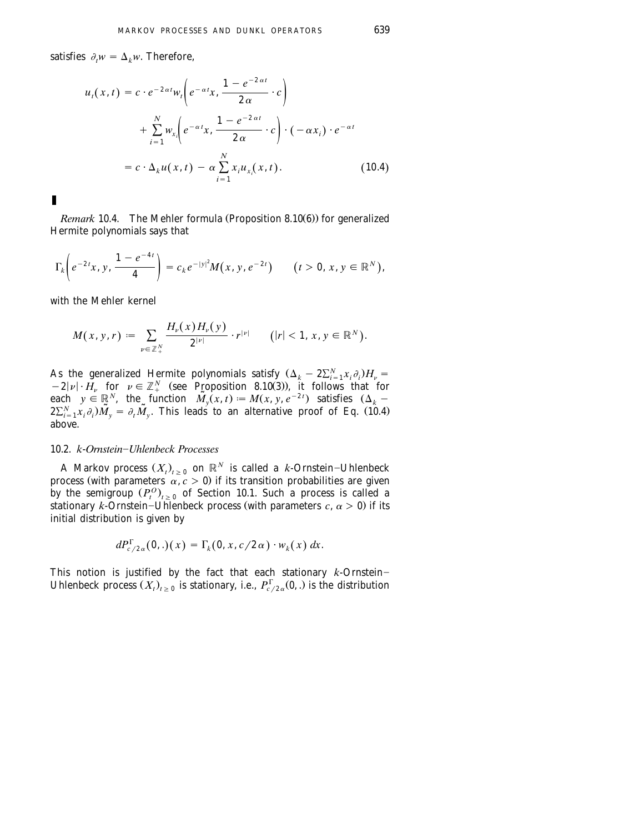satisfies  $\partial_t w = \Delta_k w$ . Therefore,

$$
u_t(x,t) = c \cdot e^{-2\alpha t} w_t \bigg( e^{-\alpha t} x, \frac{1 - e^{-2\alpha t}}{2\alpha} \cdot c \bigg)
$$
  
+ 
$$
\sum_{i=1}^N w_{x_i} \bigg( e^{-\alpha t} x, \frac{1 - e^{-2\alpha t}}{2\alpha} \cdot c \bigg) \cdot (-\alpha x_i) \cdot e^{-\alpha t}
$$
  
= 
$$
c \cdot \Delta_k u(x,t) - \alpha \sum_{i=1}^N x_i u_{x_i}(x,t).
$$
 (10.4)

*Remark* 10.4. The Mehler formula (Proposition 8.10(6)) for generalized Hermite polynomials says that

$$
\Gamma_k\bigg(e^{-2t}x, y, \frac{1-e^{-4t}}{4}\bigg) = c_k e^{-|y|^2} M(x, y, e^{-2t}) \qquad (t > 0, x, y \in \mathbb{R}^N),
$$

with the Mehler kernel

П

$$
M(x, y, r) := \sum_{\nu \in \mathbb{Z}_+^N} \frac{H_{\nu}(x) H_{\nu}(y)}{2^{|\nu|}} \cdot r^{|\nu|} \qquad (|r| < 1, x, y \in \mathbb{R}^N).
$$

As the generalized Hermite polynomials satisfy  $(\Delta_k - 2\sum_{i=1}^N x_i \partial_i)H_v =$  $-2|\nu| \cdot H_{\nu}$  for  $\nu \in \mathbb{Z}_{+}^{N}$  (see Proposition 8.10(3)), it follows that for each  $y \in \mathbb{R}^N$ , the function  $\tilde{M}_y(x, t) := M(x, y, e^{-2t})$  satisfies  $(\Delta_k 2\sum_{i=1}^{N} x_i \partial_i \widetilde{M}_v = \partial_t \widetilde{M}_v$ . This leads to an alternative proof of Eq. (10.4) above.

### 10.2. *k*-*Ornstein*]*Uhlenbeck Processes*

A Markov process  $(X_t)_{t \geq 0}$  on  $\mathbb{R}^N$  is called a *k*-Ornstein-Uhlenbeck process (with parameters  $\alpha$ ,  $c > 0$ ) if its transition probabilities are given by the semigroup  $(P_t^O)_{t>0}$  of [Section 10.1.](#page-61-0) Such a process is called a stationary *k*-Ornstein–Uhlenbeck process (with parameters  $c, \alpha > 0$ ) if its initial distribution is given by

$$
dP_{c/2\alpha}^{\Gamma}(0,.)(x)=\Gamma_k(0,x,c/2\alpha)\cdot w_k(x)\,dx.
$$

This notion is justified by the fact that each stationary  $k$ -Ornstein-Uhlenbeck process  $(X_t)_{t>0}$  is stationary, i.e.,  $P_{c/2}^{\Gamma}(0, \cdot)$  is the distribution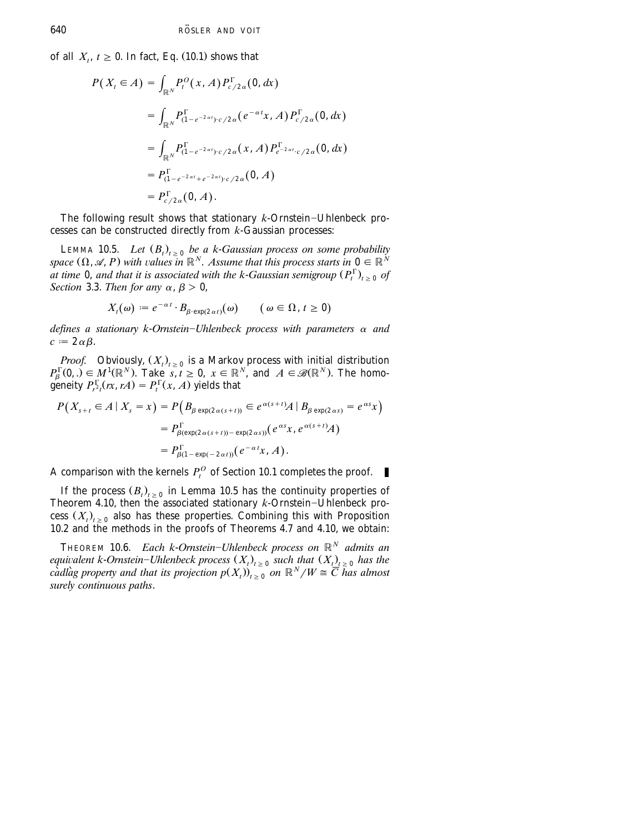of all  $X_t$ ,  $t \geq 0$ . In fact, Eq. (10.1) shows that

$$
P(X_t \in A) = \int_{\mathbb{R}^N} P_t^O(x, A) P_{c/2\alpha}^{\Gamma}(0, dx)
$$
  
= 
$$
\int_{\mathbb{R}^N} P_{(1-e^{-2\alpha t}) \cdot c/2\alpha}^{\Gamma}(e^{-\alpha t}x, A) P_{c/2\alpha}^{\Gamma}(0, dx)
$$
  
= 
$$
\int_{\mathbb{R}^N} P_{(1-e^{-2\alpha t}) \cdot c/2\alpha}^{\Gamma}(x, A) P_{e^{-2\alpha t} \cdot c/2\alpha}^{\Gamma}(0, dx)
$$
  
= 
$$
P_{(1-e^{-2\alpha t}+e^{-2\alpha t}) \cdot c/2\alpha}^{\Gamma}(0, A)
$$
  
= 
$$
P_{c/2\alpha}^{\Gamma}(0, A).
$$

The following result shows that stationary  $k$ -Ornstein-Uhlenbeck processes can be constructed directly from *k*-Gaussian processes:

LEMMA 10.5. *Let*  $(B_t)_{t \geq 0}$  *be a k-Gaussian process on some probability* space  $(\Omega, \mathscr{A}, P)$  with values in  $\mathbb{R}^N$ . Assume that this process starts in  $0 \in \mathbb{R}^N$ at time 0, and that it is associated with the k-Gaussian semigroup  $(P_t^{\Gamma})_{t>0}$  of *[Section](#page-15-0)* 3.3. *Then for any*  $\alpha$ ,  $\beta > 0$ ,

$$
X_t(\omega) := e^{-\alpha t} \cdot B_{\beta \cdot \exp(2\alpha t)}(\omega) \qquad (\omega \in \Omega, t \ge 0)
$$

*defines a stationary k-Ornstein–Uhlenbeck process with parameters*  $\alpha$  *and*  $c := 2 \alpha \beta$ .

*Proof.* Obviously,  $(X_t)_{t \geq 0}$  is a Markov process with initial distribution  $P_{\beta}^{\Gamma}(0,.) \in M^{1}(\mathbb{R}^{N})$ . Take  $s, t \ge 0$ ,  $x \in \mathbb{R}^{N}$ , and  $A \in \mathcal{B}(\mathbb{R}^{N})$ . The homogeneity  $P_{r}^{\Gamma}(rx, rA) = P_{t}^{\Gamma}(x, A)$  yields that

$$
P(X_{s+t} \in A \mid X_s = x) = P\left(B_{\beta \exp(2\alpha(s+t))} \in e^{\alpha(s+t)}A \mid B_{\beta \exp(2\alpha s)} = e^{\alpha s}x\right)
$$
  
=  $P_{\beta(\exp(2\alpha(s+t))-\exp(2\alpha s))}^{\Gamma}(e^{\alpha s}x, e^{\alpha(s+t)}A)$   
=  $P_{\beta(1-\exp(-2\alpha t))}^{\Gamma}(e^{-\alpha t}x, A).$ 

*A* comparison with the kernels  $P_t^O$  of [Section 10.1](#page-61-0) completes the proof.

If the process  $(B_t)_{t\geq 0}$  in Lemma 10.5 has the continuity properties of Theorem 4.10, then the associated stationary  $k$ -Ornstein-Uhlenbeck process  $(X_t)_{t>0}$  also has these properties. Combining this with Proposition 10.2 and the methods in the proofs of Theorems 4.7 and 4.10, we obtain:

THEOREM 10.6. *Each k-Ornstein-Uhlenbeck process on*  $\mathbb{R}^N$  *admits an equivalent k-Ornstein–Uhlenbeck process*  $(X_t)_{t\geq 0}$  *such that*  $(X_t)_{t\geq 0}$  *has the cadlag property and that its projection*  $p(X_t)$   $\rightarrow$   $\infty$  *on*  $\mathbb{R}^N/W \cong \overline{C}$  *has almost surely continuous paths*.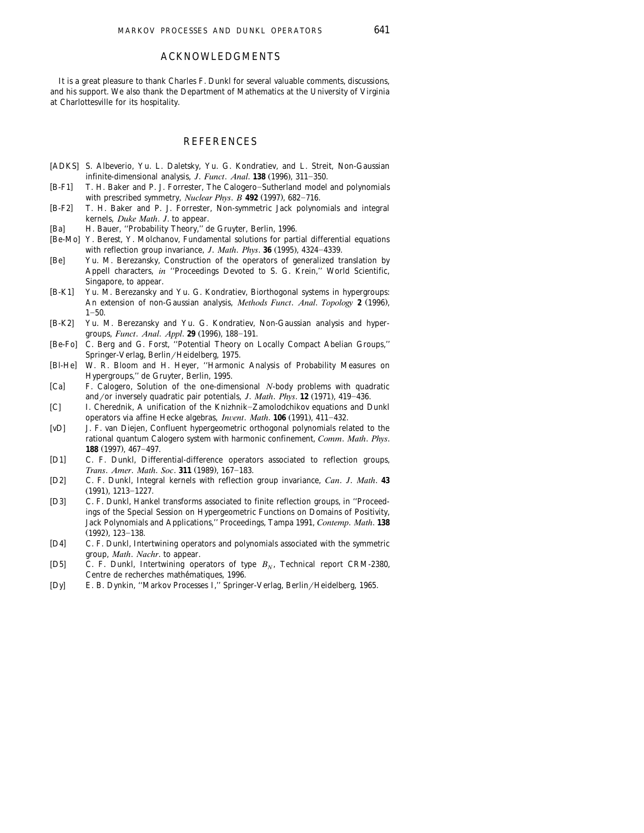### ACKNOWLEDGMENTS

<span id="page-66-0"></span>It is a great pleasure to thank Charles F. Dunkl for several valuable comments, discussions, and his support. We also thank the Department of Mathematics at the University of Virginia at Charlottesville for its hospitality.

## **REFERENCES**

- [ADKS] S. Albeverio, Yu. L. Daletsky, Yu. G. Kondratiev, and L. Streit, Non-Gaussian infinite-dimensional analysis,  $J.$  *Funct. Anal.* **138** (1996), 311-350.
- $[B-F1]$ T. H. Baker and P. J. Forrester, The Calogero-Sutherland model and polynomials with prescribed symmetry, *Nuclear Phys. B*  $492$  (1997), 682-716.
- $[B-F2]$ T. H. Baker and P. J. Forrester, Non-symmetric Jack polynomials and integral kernels, *Duke Math*. *J*. to appear.
- $[Ba]$ H. Bauer, "Probability Theory," de Gruyter, Berlin, 1996.
- [Be-Mo] Y. Berest, Y. Molchanov, Fundamental solutions for partial differential equations with reflection group invariance,  $J$ . *Math. Phys.* **36** (1995), 4324-4339.
- $[Be]$ Yu. M. Berezansky, Construction of the operators of generalized translation by Appell characters, *in* ''Proceedings Devoted to S. G. Krein,'' World Scientific, Singapore, to appear.
- $[B-K1]$ Yu. M. Berezansky and Yu. G. Kondratiev, Biorthogonal systems in hypergroups: An extension of non-Gaussian analysis, *Methods Funct. Anal. Topology* 2 (1996),  $1 - 50.$
- $[B-K2]$ Yu. M. Berezansky and Yu. G. Kondratiev, Non-Gaussian analysis and hypergroups, *Funct. Anal. Appl.* **29** (1996), 188-191.
- $[Be-Fo]$ C. Berg and G. Forst, "Potential Theory on Locally Compact Abelian Groups," Springer-Verlag, Berlin/Heidelberg, 1975.
- $[Bl-He]$ W. R. Bloom and H. Heyer, "Harmonic Analysis of Probability Measures on Hypergroups,'' de Gruyter, Berlin, 1995.
- $[Ca]$ F. Calogero, Solution of the one-dimensional *N*-body problems with quadratic and/or inversely quadratic pair potentials, *J. Math. Phys.* **12** (1971), 419–436.
- $|C|$ I. Cherednik, A unification of the Knizhnik-Zamolodchikov equations and Dunkl operators via affine Hecke algebras, *Invent. Math.* **106** (1991), 411-432.
- $[vD]$ J. F. van Diejen, Confluent hypergeometric orthogonal polynomials related to the rational quantum Calogero system with harmonic confinement, *Comm*. *Math*. *Phys*. **188** (1997), 467-497.
- $[D1]$ C. F. Dunkl, Differential-difference operators associated to reflection groups, *Trans. Amer. Math. Soc.* **311** (1989), 167-183.
- $[D2]$  D2 C. F. Dunkl, Integral kernels with reflection group invariance, *Can*. *J*. *Math*. **43**  $(1991)$ ,  $1213-1227$ .
- $[D3]$ C. F. Dunkl, Hankel transforms associated to finite reflection groups, in "Proceedings of the Special Session on Hypergeometric Functions on Domains of Positivity, Jack Polynomials and Applications,'' Proceedings, Tampa 1991, *Contemp*. *Math*. **138**  $(1992)$ ,  $123-138$ .
- $[D4]$ C. F. Dunkl, Intertwining operators and polynomials associated with the symmetric group, *Math*. *Nachr*. to appear.
- $[D5]$ C. F. Dunkl, Intertwining operators of type  $B_N$ , Technical report CRM-2380, Centre de recherches mathématiques, 1996. Centre de recherches mathématiques, 1996.<br>` E. B. Dynkin, ''Markov Processes I,'' Springer-Verlag, Berlin/Heidelberg, 1965.
-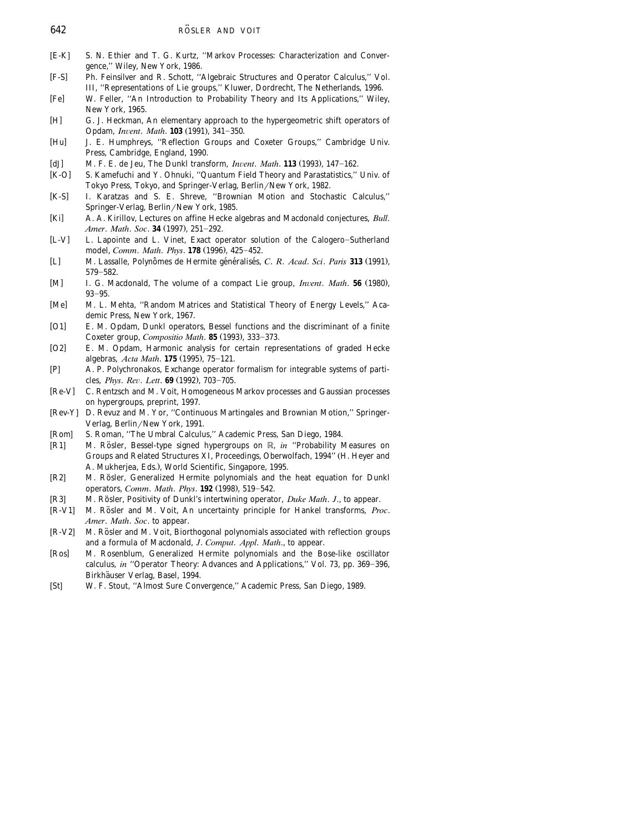- <span id="page-67-0"></span> $[E-K]$ S. N. Ethier and T. G. Kurtz, "Markov Processes: Characterization and Convergence,'' Wiley, New York, 1986.
- $[F-S]$ Ph. Feinsilver and R. Schott, "Algebraic Structures and Operator Calculus," Vol. III, ''Representations of Lie groups,'' Kluwer, Dordrecht, The Netherlands, 1996.
- $[Fe]$ W. Feller, "An Introduction to Probability Theory and Its Applications," Wiley, New York, 1965.
- $[H]$ G. J. Heckman, An elementary approach to the hypergeometric shift operators of Opdam, *Invent. Math.* **103** (1991), 341-350.
- $[Hu]$ J. E. Humphreys, "Reflection Groups and Coxeter Groups," Cambridge Univ. Press, Cambridge, England, 1990.
- $[dJ]$ M. F. E. de Jeu, The Dunkl transform, *Invent. Math.* **113** (1993), 147-162.
- $[K-O]$ S. Kamefuchi and Y. Ohnuki, "Quantum Field Theory and Parastatistics," Univ. of Tokyo Press, Tokyo, and Springer-Verlag, Berlin/New York, 1982.
- $[K-S]$ I. Karatzas and S. E. Shreve, "Brownian Motion and Stochastic Calculus," Springer-Verlag, Berlin/New York, 1985.
- $Kil$ A. A. Kirillov, Lectures on affine Hecke algebras and Macdonald conjectures, *Bull*. *Amer. Math. Soc.* **34** (1997), 251-292.
- $[L-V]$ L. Lapointe and L. Vinet, Exact operator solution of the Calogero-Sutherland model, *Comm. Math. Phys.* **178** (1996), 425-452.
- $[L]$ M. Lassalle, Polynômes de Hermite généralisés, C. *R. Acad. Sci. Paris* 313 (1991),  $579 - 582.$
- $[M]$ I. G. Macdonald, The volume of a compact Lie group, *Invent. Math.* **56** (1980),  $93 - 95.$
- $[Me]$ M. L. Mehta, "Random Matrices and Statistical Theory of Energy Levels," Academic Press, New York, 1967.
- $[O1]$ E. M. Opdam, Dunkl operators, Bessel functions and the discriminant of a finite Coxeter group, *Compositio Math*. **85** (1993), 333-373.
- $[O2]$ E. M. Opdam, Harmonic analysis for certain representations of graded Hecke algebras, *Acta Math.* **175** (1995), 75-121.
- $[P]$ A. P. Polychronakos, Exchange operator formalism for integrable systems of particles, *Phys. Rev. Lett.* **69** (1992), 703-705.
- $[Re-V]$ C. Rentzsch and M. Voit, Homogeneous Markov processes and Gaussian processes on hypergroups, preprint, 1997.
- [Rev-Y] D. Revuz and M. Yor, "Continuous Martingales and Brownian Motion," Springer-Verlag, Berlin/New York, 1991.
- $\lceil Rom \rceil$ S. Roman, "The Umbral Calculus," Academic Press, San Diego, 1984.
- $[R1]$ M. Rösler, Bessel-type signed hypergroups on R, in "Probability Measures on Groups and Related Structures XI, Proceedings, Oberwolfach, 1994" (H. Heyer and A. Mukherjea, Eds.), World Scientific, Singapore, 1995.
- $[R2]$ M. Rösler, Generalized Hermite polynomials and the heat equation for Dunkl operators, *Comm. Math. Phys.* **192** (1998), 519-542.
- $[R3]$ M. Rösler, Positivity of Dunkl's intertwining operator, *Duke Math. J.*, to appear.
- $[R-V1]$ M. Rösler and M. Voit, An uncertainty principle for Hankel transforms, Proc. *Amer*. *Math*. *Soc*. to appear.
- $[R-V2]$ M. Rösler and M. Voit, Biorthogonal polynomials associated with reflection groups and a formula of Macdonald, *J*. *Comput*. *Appl*. *Math*., to appear.
- $[Ros]$  Ros M. Rosenblum, Generalized Hermite polynomials and the Bose-like oscillator calculus, *in* "Operator Theory: Advances and Applications," Vol. 73, pp. 369-396, Birkhäuser Verlag, Basel, 1994.<br>
[St] W. F. Stout, "Almost Sure Con-
- W. F. Stout, "Almost Sure Convergence," Academic Press, San Diego, 1989.